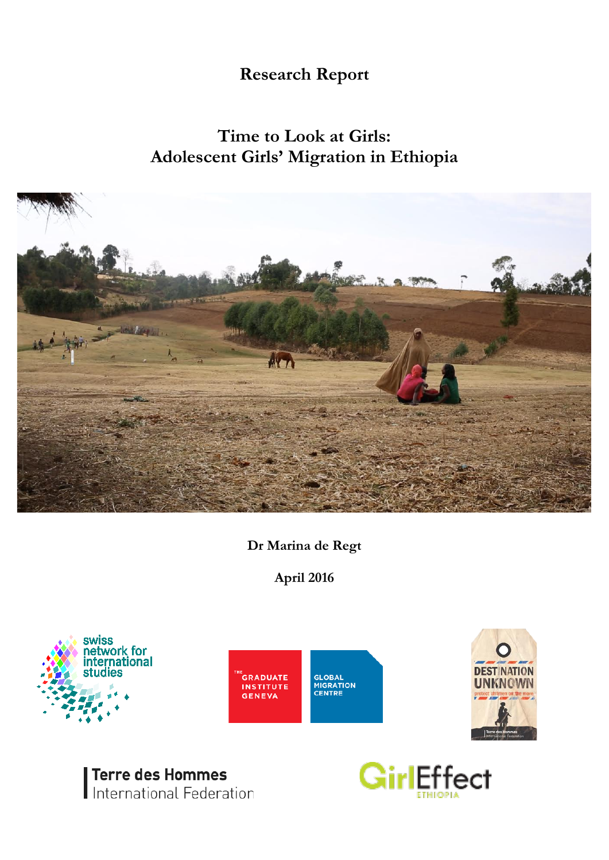# **Research Report**

# **Time to Look at Girls: Adolescent Girls' Migration in Ethiopia**



**Dr Marina de Regt**

**April 2016**





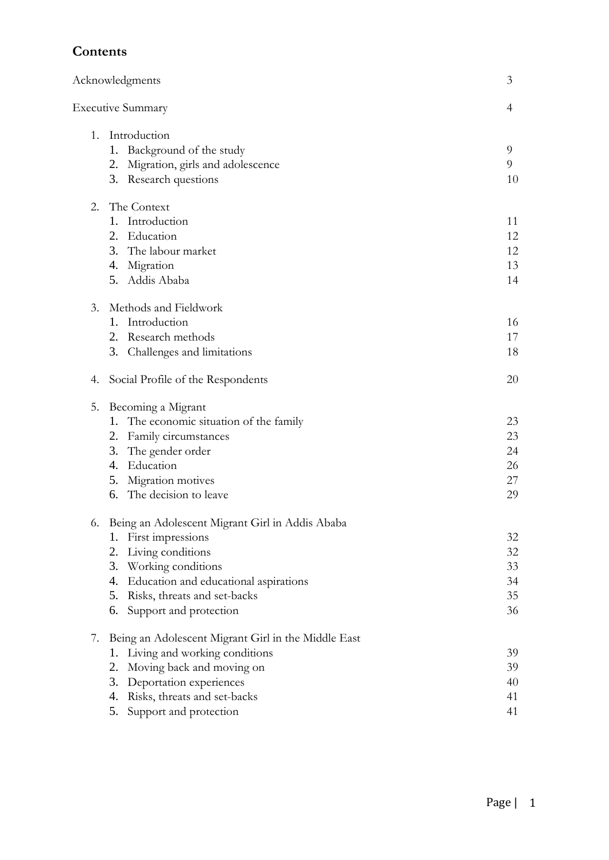# **Contents**

|    | Acknowledgments                                     | 3        |
|----|-----------------------------------------------------|----------|
|    | <b>Executive Summary</b>                            | 4        |
| 1. | Introduction<br>Background of the study<br>1.       | 9        |
|    | 2. Migration, girls and adolescence                 | 9        |
|    | 3. Research questions                               | 10       |
| 2. | The Context                                         |          |
|    | Introduction<br>1.                                  | 11       |
|    | 2. Education                                        | 12       |
|    | 3. The labour market                                | 12       |
|    | 4. Migration<br>5. Addis Ababa                      | 13<br>14 |
| 3. | Methods and Fieldwork                               |          |
|    | 1. Introduction                                     | 16       |
|    | 2. Research methods                                 | 17       |
|    | Challenges and limitations<br>3.                    | 18       |
| 4. | Social Profile of the Respondents                   | 20       |
| 5. | Becoming a Migrant                                  |          |
|    | 1. The economic situation of the family             | 23       |
|    | Family circumstances<br>2.                          | 23       |
|    | 3.<br>The gender order                              | 24       |
|    | 4. Education                                        | 26       |
|    | Migration motives<br>5.                             | 27       |
|    | 6. The decision to leave                            | 29       |
| 6. | Being an Adolescent Migrant Girl in Addis Ababa     |          |
|    | First impressions<br>1.<br>Living conditions<br>2.  | 32<br>32 |
|    | Working conditions<br>3.                            | 33       |
|    | Education and educational aspirations<br>4.         | 34       |
|    | 5.<br>Risks, threats and set-backs                  | 35       |
|    | Support and protection<br>6.                        | 36       |
| 7. | Being an Adolescent Migrant Girl in the Middle East |          |
|    | Living and working conditions<br>1.                 | 39       |
|    | Moving back and moving on<br>2.                     | 39       |
|    | 3.<br>Deportation experiences                       | 40       |
|    | Risks, threats and set-backs<br>4.                  | 41       |
|    | 5.<br>Support and protection                        | 41       |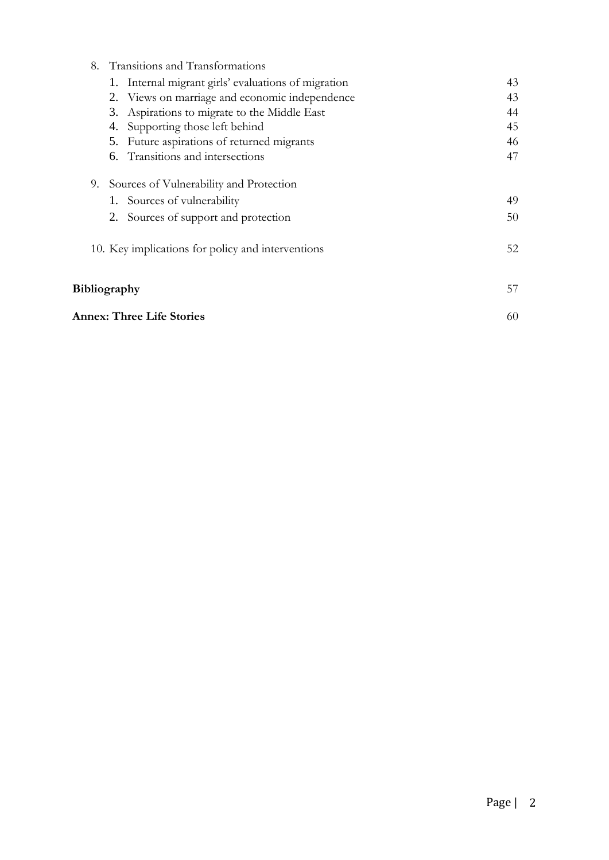| 8. | Transitions and Transformations                     |    |
|----|-----------------------------------------------------|----|
|    | 1. Internal migrant girls' evaluations of migration | 43 |
|    | 2. Views on marriage and economic independence      | 43 |
|    | Aspirations to migrate to the Middle East<br>3.     | 44 |
|    | Supporting those left behind<br>4.                  | 45 |
|    | Future aspirations of returned migrants<br>5.       | 46 |
|    | 6. Transitions and intersections                    | 47 |
|    | 9. Sources of Vulnerability and Protection          |    |
|    | 1. Sources of vulnerability                         | 49 |
|    | 2. Sources of support and protection                | 50 |
|    | 10. Key implications for policy and interventions   | 52 |
|    | <b>Bibliography</b>                                 | 57 |
|    | <b>Annex: Three Life Stories</b>                    | 60 |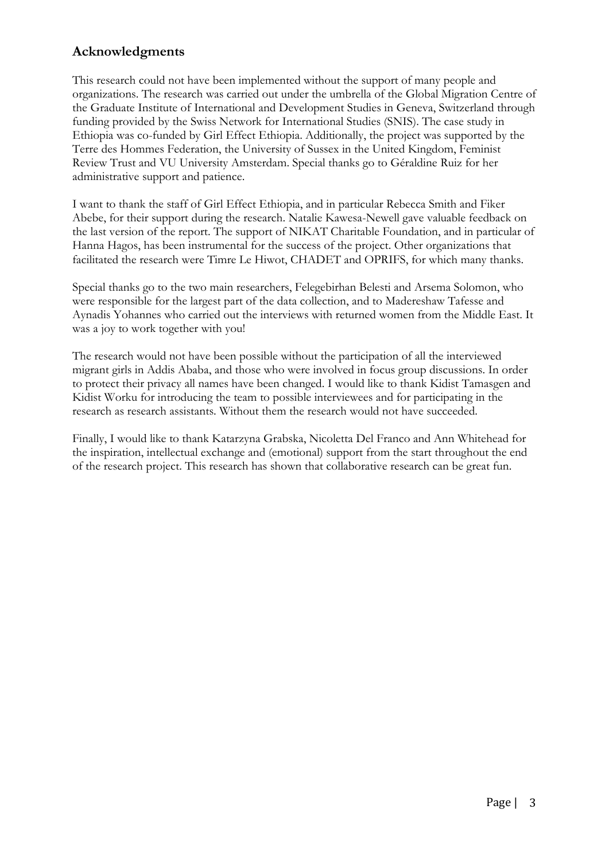# **Acknowledgments**

This research could not have been implemented without the support of many people and organizations. The research was carried out under the umbrella of the Global Migration Centre of the Graduate Institute of International and Development Studies in Geneva, Switzerland through funding provided by the Swiss Network for International Studies (SNIS). The case study in Ethiopia was co-funded by Girl Effect Ethiopia. Additionally, the project was supported by the Terre des Hommes Federation, the University of Sussex in the United Kingdom, Feminist Review Trust and VU University Amsterdam. Special thanks go to Géraldine Ruiz for her administrative support and patience.

I want to thank the staff of Girl Effect Ethiopia, and in particular Rebecca Smith and Fiker Abebe, for their support during the research. Natalie Kawesa-Newell gave valuable feedback on the last version of the report. The support of NIKAT Charitable Foundation, and in particular of Hanna Hagos, has been instrumental for the success of the project. Other organizations that facilitated the research were Timre Le Hiwot, CHADET and OPRIFS, for which many thanks.

Special thanks go to the two main researchers, Felegebirhan Belesti and Arsema Solomon, who were responsible for the largest part of the data collection, and to Madereshaw Tafesse and Aynadis Yohannes who carried out the interviews with returned women from the Middle East. It was a joy to work together with you!

The research would not have been possible without the participation of all the interviewed migrant girls in Addis Ababa, and those who were involved in focus group discussions. In order to protect their privacy all names have been changed. I would like to thank Kidist Tamasgen and Kidist Worku for introducing the team to possible interviewees and for participating in the research as research assistants. Without them the research would not have succeeded.

Finally, I would like to thank Katarzyna Grabska, Nicoletta Del Franco and Ann Whitehead for the inspiration, intellectual exchange and (emotional) support from the start throughout the end of the research project. This research has shown that collaborative research can be great fun.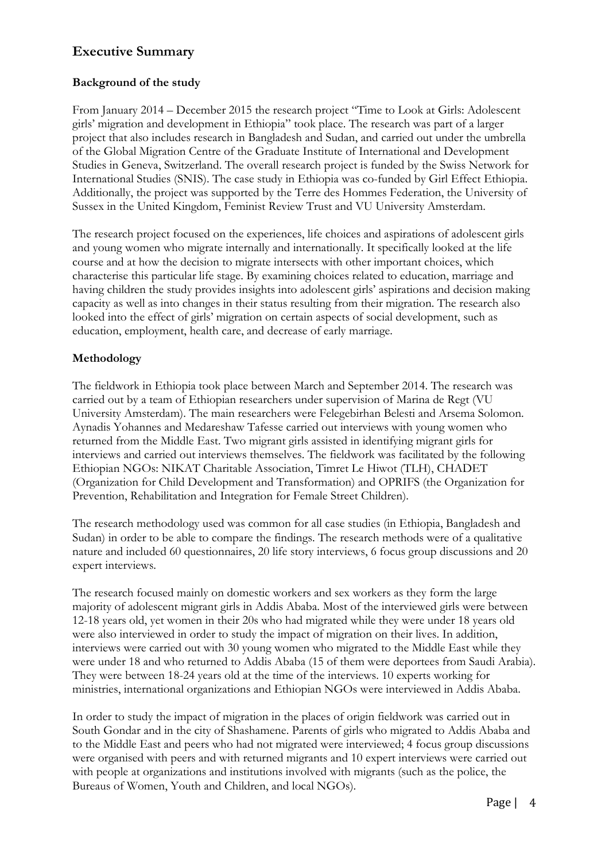# **Executive Summary**

## **Background of the study**

From January 2014 – December 2015 the research project "Time to Look at Girls: Adolescent girls' migration and development in Ethiopia" took place. The research was part of a larger project that also includes research in Bangladesh and Sudan, and carried out under the umbrella of the Global Migration Centre of the Graduate Institute of International and Development Studies in Geneva, Switzerland. The overall research project is funded by the Swiss Network for International Studies (SNIS). The case study in Ethiopia was co-funded by Girl Effect Ethiopia. Additionally, the project was supported by the Terre des Hommes Federation, the University of Sussex in the United Kingdom, Feminist Review Trust and VU University Amsterdam.

The research project focused on the experiences, life choices and aspirations of adolescent girls and young women who migrate internally and internationally. It specifically looked at the life course and at how the decision to migrate intersects with other important choices, which characterise this particular life stage. By examining choices related to education, marriage and having children the study provides insights into adolescent girls' aspirations and decision making capacity as well as into changes in their status resulting from their migration. The research also looked into the effect of girls' migration on certain aspects of social development, such as education, employment, health care, and decrease of early marriage.

## **Methodology**

The fieldwork in Ethiopia took place between March and September 2014. The research was carried out by a team of Ethiopian researchers under supervision of Marina de Regt (VU University Amsterdam). The main researchers were Felegebirhan Belesti and Arsema Solomon. Aynadis Yohannes and Medareshaw Tafesse carried out interviews with young women who returned from the Middle East. Two migrant girls assisted in identifying migrant girls for interviews and carried out interviews themselves. The fieldwork was facilitated by the following Ethiopian NGOs: NIKAT Charitable Association, Timret Le Hiwot (TLH), CHADET (Organization for Child Development and Transformation) and OPRIFS (the Organization for Prevention, Rehabilitation and Integration for Female Street Children).

The research methodology used was common for all case studies (in Ethiopia, Bangladesh and Sudan) in order to be able to compare the findings. The research methods were of a qualitative nature and included 60 questionnaires, 20 life story interviews, 6 focus group discussions and 20 expert interviews.

The research focused mainly on domestic workers and sex workers as they form the large majority of adolescent migrant girls in Addis Ababa. Most of the interviewed girls were between 12-18 years old, yet women in their 20s who had migrated while they were under 18 years old were also interviewed in order to study the impact of migration on their lives. In addition, interviews were carried out with 30 young women who migrated to the Middle East while they were under 18 and who returned to Addis Ababa (15 of them were deportees from Saudi Arabia). They were between 18-24 years old at the time of the interviews. 10 experts working for ministries, international organizations and Ethiopian NGOs were interviewed in Addis Ababa.

In order to study the impact of migration in the places of origin fieldwork was carried out in South Gondar and in the city of Shashamene. Parents of girls who migrated to Addis Ababa and to the Middle East and peers who had not migrated were interviewed; 4 focus group discussions were organised with peers and with returned migrants and 10 expert interviews were carried out with people at organizations and institutions involved with migrants (such as the police, the Bureaus of Women, Youth and Children, and local NGOs).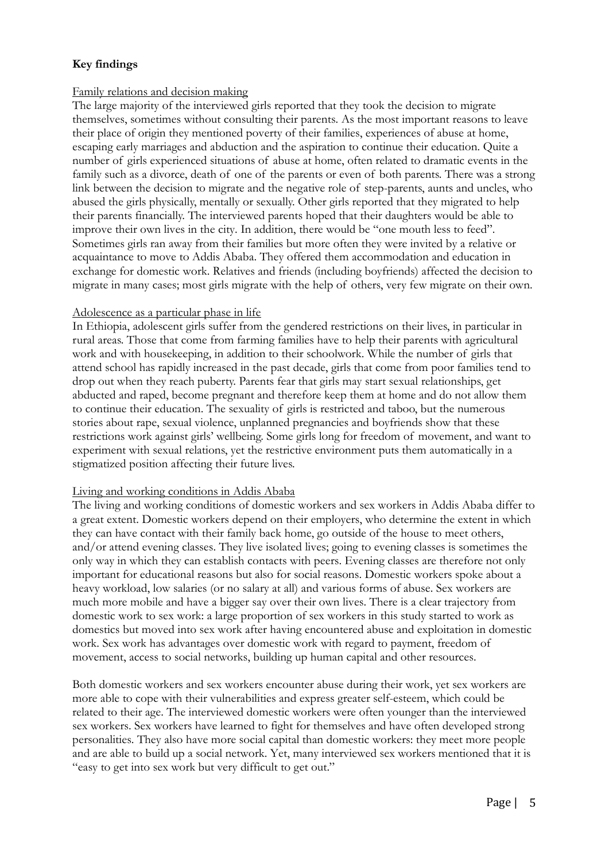## **Key findings**

## Family relations and decision making

The large majority of the interviewed girls reported that they took the decision to migrate themselves, sometimes without consulting their parents. As the most important reasons to leave their place of origin they mentioned poverty of their families, experiences of abuse at home, escaping early marriages and abduction and the aspiration to continue their education. Quite a number of girls experienced situations of abuse at home, often related to dramatic events in the family such as a divorce, death of one of the parents or even of both parents. There was a strong link between the decision to migrate and the negative role of step-parents, aunts and uncles, who abused the girls physically, mentally or sexually. Other girls reported that they migrated to help their parents financially. The interviewed parents hoped that their daughters would be able to improve their own lives in the city. In addition, there would be "one mouth less to feed". Sometimes girls ran away from their families but more often they were invited by a relative or acquaintance to move to Addis Ababa. They offered them accommodation and education in exchange for domestic work. Relatives and friends (including boyfriends) affected the decision to migrate in many cases; most girls migrate with the help of others, very few migrate on their own.

#### Adolescence as a particular phase in life

In Ethiopia, adolescent girls suffer from the gendered restrictions on their lives, in particular in rural areas. Those that come from farming families have to help their parents with agricultural work and with housekeeping, in addition to their schoolwork. While the number of girls that attend school has rapidly increased in the past decade, girls that come from poor families tend to drop out when they reach puberty. Parents fear that girls may start sexual relationships, get abducted and raped, become pregnant and therefore keep them at home and do not allow them to continue their education. The sexuality of girls is restricted and taboo, but the numerous stories about rape, sexual violence, unplanned pregnancies and boyfriends show that these restrictions work against girls' wellbeing. Some girls long for freedom of movement, and want to experiment with sexual relations, yet the restrictive environment puts them automatically in a stigmatized position affecting their future lives.

#### Living and working conditions in Addis Ababa

The living and working conditions of domestic workers and sex workers in Addis Ababa differ to a great extent. Domestic workers depend on their employers, who determine the extent in which they can have contact with their family back home, go outside of the house to meet others, and/or attend evening classes. They live isolated lives; going to evening classes is sometimes the only way in which they can establish contacts with peers. Evening classes are therefore not only important for educational reasons but also for social reasons. Domestic workers spoke about a heavy workload, low salaries (or no salary at all) and various forms of abuse. Sex workers are much more mobile and have a bigger say over their own lives. There is a clear trajectory from domestic work to sex work: a large proportion of sex workers in this study started to work as domestics but moved into sex work after having encountered abuse and exploitation in domestic work. Sex work has advantages over domestic work with regard to payment, freedom of movement, access to social networks, building up human capital and other resources.

Both domestic workers and sex workers encounter abuse during their work, yet sex workers are more able to cope with their vulnerabilities and express greater self-esteem, which could be related to their age. The interviewed domestic workers were often younger than the interviewed sex workers. Sex workers have learned to fight for themselves and have often developed strong personalities. They also have more social capital than domestic workers: they meet more people and are able to build up a social network. Yet, many interviewed sex workers mentioned that it is "easy to get into sex work but very difficult to get out."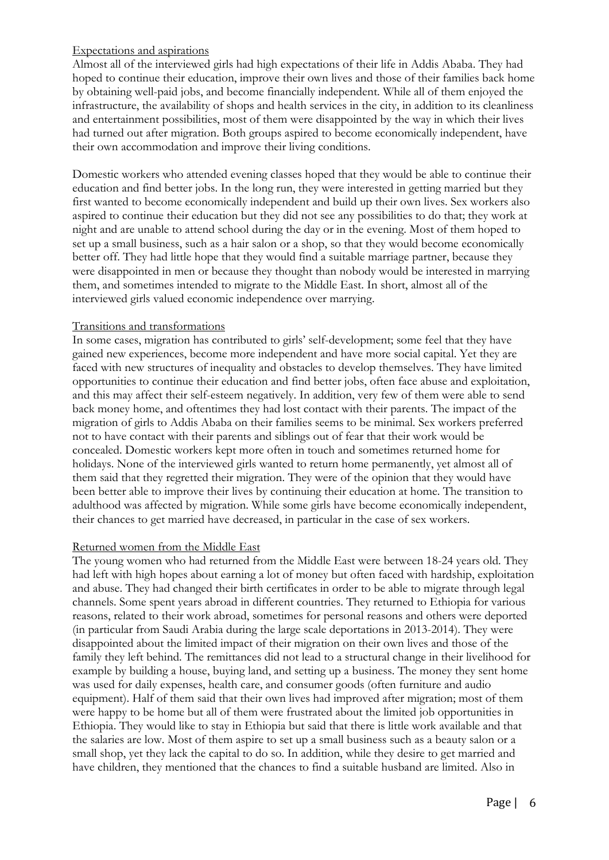## Expectations and aspirations

Almost all of the interviewed girls had high expectations of their life in Addis Ababa. They had hoped to continue their education, improve their own lives and those of their families back home by obtaining well-paid jobs, and become financially independent. While all of them enjoyed the infrastructure, the availability of shops and health services in the city, in addition to its cleanliness and entertainment possibilities, most of them were disappointed by the way in which their lives had turned out after migration. Both groups aspired to become economically independent, have their own accommodation and improve their living conditions.

Domestic workers who attended evening classes hoped that they would be able to continue their education and find better jobs. In the long run, they were interested in getting married but they first wanted to become economically independent and build up their own lives. Sex workers also aspired to continue their education but they did not see any possibilities to do that; they work at night and are unable to attend school during the day or in the evening. Most of them hoped to set up a small business, such as a hair salon or a shop, so that they would become economically better off. They had little hope that they would find a suitable marriage partner, because they were disappointed in men or because they thought than nobody would be interested in marrying them, and sometimes intended to migrate to the Middle East. In short, almost all of the interviewed girls valued economic independence over marrying.

#### Transitions and transformations

In some cases, migration has contributed to girls' self-development; some feel that they have gained new experiences, become more independent and have more social capital. Yet they are faced with new structures of inequality and obstacles to develop themselves. They have limited opportunities to continue their education and find better jobs, often face abuse and exploitation, and this may affect their self-esteem negatively. In addition, very few of them were able to send back money home, and oftentimes they had lost contact with their parents. The impact of the migration of girls to Addis Ababa on their families seems to be minimal. Sex workers preferred not to have contact with their parents and siblings out of fear that their work would be concealed. Domestic workers kept more often in touch and sometimes returned home for holidays. None of the interviewed girls wanted to return home permanently, yet almost all of them said that they regretted their migration. They were of the opinion that they would have been better able to improve their lives by continuing their education at home. The transition to adulthood was affected by migration. While some girls have become economically independent, their chances to get married have decreased, in particular in the case of sex workers.

#### Returned women from the Middle East

The young women who had returned from the Middle East were between 18-24 years old. They had left with high hopes about earning a lot of money but often faced with hardship, exploitation and abuse. They had changed their birth certificates in order to be able to migrate through legal channels. Some spent years abroad in different countries. They returned to Ethiopia for various reasons, related to their work abroad, sometimes for personal reasons and others were deported (in particular from Saudi Arabia during the large scale deportations in 2013-2014). They were disappointed about the limited impact of their migration on their own lives and those of the family they left behind. The remittances did not lead to a structural change in their livelihood for example by building a house, buying land, and setting up a business. The money they sent home was used for daily expenses, health care, and consumer goods (often furniture and audio equipment). Half of them said that their own lives had improved after migration; most of them were happy to be home but all of them were frustrated about the limited job opportunities in Ethiopia. They would like to stay in Ethiopia but said that there is little work available and that the salaries are low. Most of them aspire to set up a small business such as a beauty salon or a small shop, yet they lack the capital to do so. In addition, while they desire to get married and have children, they mentioned that the chances to find a suitable husband are limited. Also in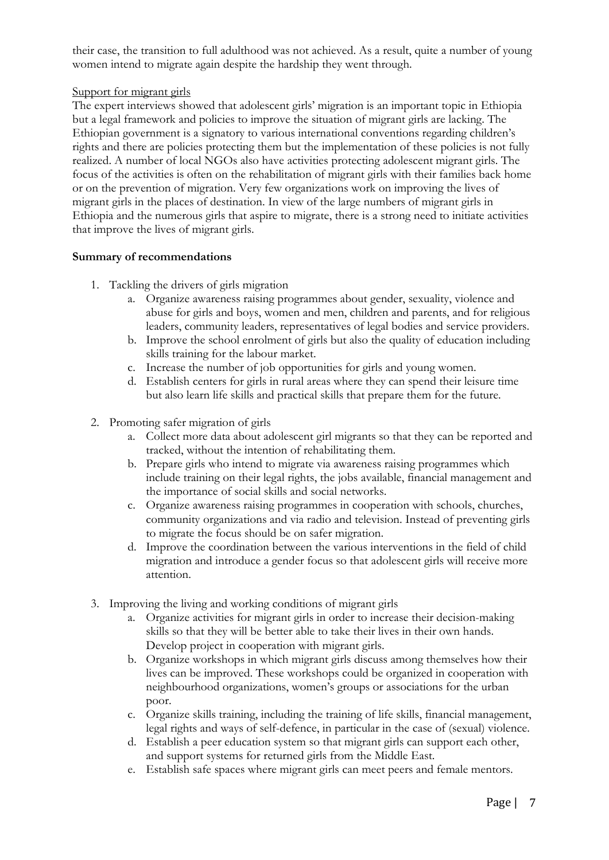their case, the transition to full adulthood was not achieved. As a result, quite a number of young women intend to migrate again despite the hardship they went through.

## Support for migrant girls

The expert interviews showed that adolescent girls' migration is an important topic in Ethiopia but a legal framework and policies to improve the situation of migrant girls are lacking. The Ethiopian government is a signatory to various international conventions regarding children's rights and there are policies protecting them but the implementation of these policies is not fully realized. A number of local NGOs also have activities protecting adolescent migrant girls. The focus of the activities is often on the rehabilitation of migrant girls with their families back home or on the prevention of migration. Very few organizations work on improving the lives of migrant girls in the places of destination. In view of the large numbers of migrant girls in Ethiopia and the numerous girls that aspire to migrate, there is a strong need to initiate activities that improve the lives of migrant girls.

## **Summary of recommendations**

- 1. Tackling the drivers of girls migration
	- a. Organize awareness raising programmes about gender, sexuality, violence and abuse for girls and boys, women and men, children and parents, and for religious leaders, community leaders, representatives of legal bodies and service providers.
	- b. Improve the school enrolment of girls but also the quality of education including skills training for the labour market.
	- c. Increase the number of job opportunities for girls and young women.
	- d. Establish centers for girls in rural areas where they can spend their leisure time but also learn life skills and practical skills that prepare them for the future.
- 2. Promoting safer migration of girls
	- a. Collect more data about adolescent girl migrants so that they can be reported and tracked, without the intention of rehabilitating them.
	- b. Prepare girls who intend to migrate via awareness raising programmes which include training on their legal rights, the jobs available, financial management and the importance of social skills and social networks.
	- c. Organize awareness raising programmes in cooperation with schools, churches, community organizations and via radio and television. Instead of preventing girls to migrate the focus should be on safer migration.
	- d. Improve the coordination between the various interventions in the field of child migration and introduce a gender focus so that adolescent girls will receive more attention.
- 3. Improving the living and working conditions of migrant girls
	- a. Organize activities for migrant girls in order to increase their decision-making skills so that they will be better able to take their lives in their own hands. Develop project in cooperation with migrant girls.
	- b. Organize workshops in which migrant girls discuss among themselves how their lives can be improved. These workshops could be organized in cooperation with neighbourhood organizations, women's groups or associations for the urban poor.
	- c. Organize skills training, including the training of life skills, financial management, legal rights and ways of self-defence, in particular in the case of (sexual) violence.
	- d. Establish a peer education system so that migrant girls can support each other, and support systems for returned girls from the Middle East.
	- e. Establish safe spaces where migrant girls can meet peers and female mentors.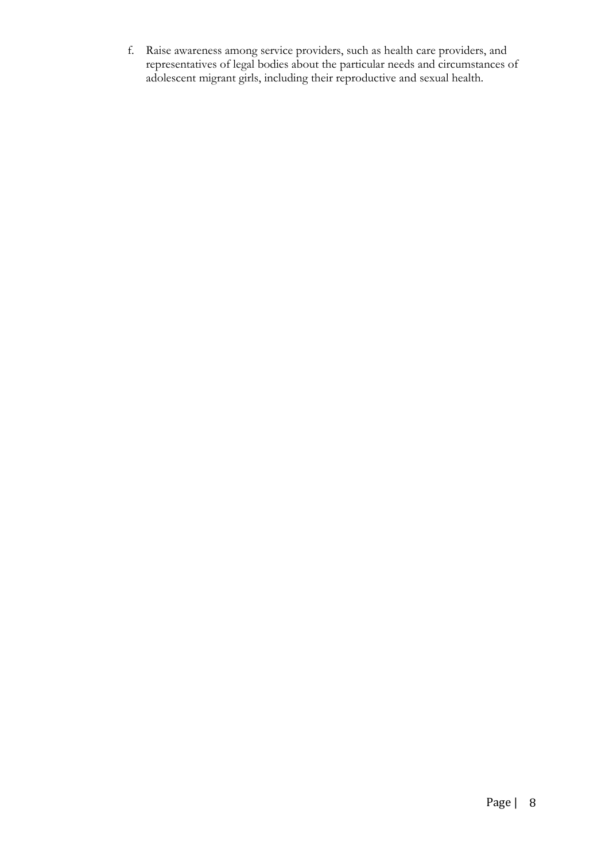f. Raise awareness among service providers, such as health care providers, and representatives of legal bodies about the particular needs and circumstances of adolescent migrant girls, including their reproductive and sexual health.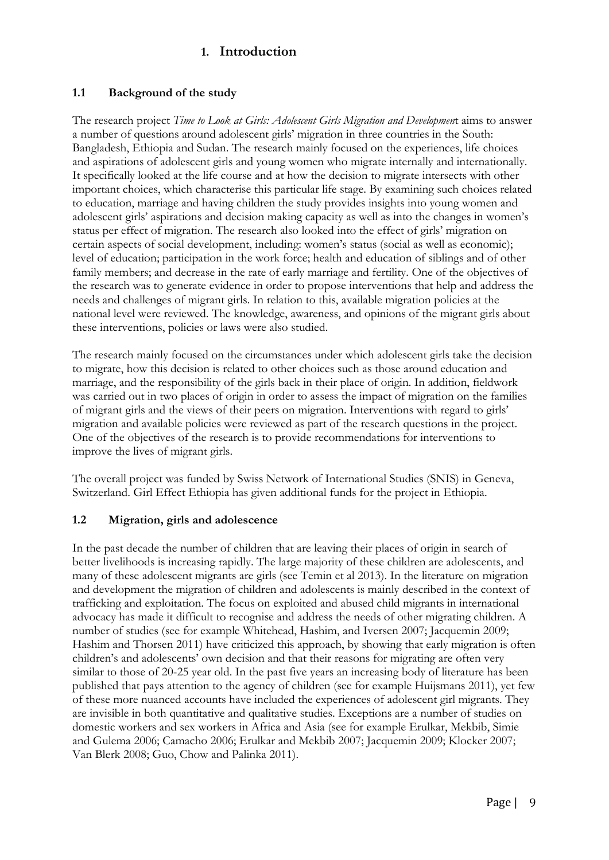## **1. Introduction**

## **1.1 Background of the study**

The research project *Time to Look at Girls: Adolescent Girls Migration and Developmen*t aims to answer a number of questions around adolescent girls' migration in three countries in the South: Bangladesh, Ethiopia and Sudan. The research mainly focused on the experiences, life choices and aspirations of adolescent girls and young women who migrate internally and internationally. It specifically looked at the life course and at how the decision to migrate intersects with other important choices, which characterise this particular life stage. By examining such choices related to education, marriage and having children the study provides insights into young women and adolescent girls' aspirations and decision making capacity as well as into the changes in women's status per effect of migration. The research also looked into the effect of girls' migration on certain aspects of social development, including: women's status (social as well as economic); level of education; participation in the work force; health and education of siblings and of other family members; and decrease in the rate of early marriage and fertility. One of the objectives of the research was to generate evidence in order to propose interventions that help and address the needs and challenges of migrant girls. In relation to this, available migration policies at the national level were reviewed. The knowledge, awareness, and opinions of the migrant girls about these interventions, policies or laws were also studied.

The research mainly focused on the circumstances under which adolescent girls take the decision to migrate, how this decision is related to other choices such as those around education and marriage, and the responsibility of the girls back in their place of origin. In addition, fieldwork was carried out in two places of origin in order to assess the impact of migration on the families of migrant girls and the views of their peers on migration. Interventions with regard to girls' migration and available policies were reviewed as part of the research questions in the project. One of the objectives of the research is to provide recommendations for interventions to improve the lives of migrant girls.

The overall project was funded by Swiss Network of International Studies (SNIS) in Geneva, Switzerland. Girl Effect Ethiopia has given additional funds for the project in Ethiopia.

#### **1.2 Migration, girls and adolescence**

In the past decade the number of children that are leaving their places of origin in search of better livelihoods is increasing rapidly. The large majority of these children are adolescents, and many of these adolescent migrants are girls (see Temin et al 2013). In the literature on migration and development the migration of children and adolescents is mainly described in the context of trafficking and exploitation. The focus on exploited and abused child migrants in international advocacy has made it difficult to recognise and address the needs of other migrating children. A number of studies (see for example Whitehead, Hashim, and Iversen 2007; Jacquemin 2009; Hashim and Thorsen 2011) have criticized this approach, by showing that early migration is often children's and adolescents' own decision and that their reasons for migrating are often very similar to those of 20-25 year old. In the past five years an increasing body of literature has been published that pays attention to the agency of children (see for example Huijsmans 2011), yet few of these more nuanced accounts have included the experiences of adolescent girl migrants. They are invisible in both quantitative and qualitative studies. Exceptions are a number of studies on domestic workers and sex workers in Africa and Asia (see for example Erulkar, Mekbib, Simie and Gulema 2006; Camacho 2006; Erulkar and Mekbib 2007; Jacquemin 2009; Klocker 2007; Van Blerk 2008; Guo, Chow and Palinka 2011).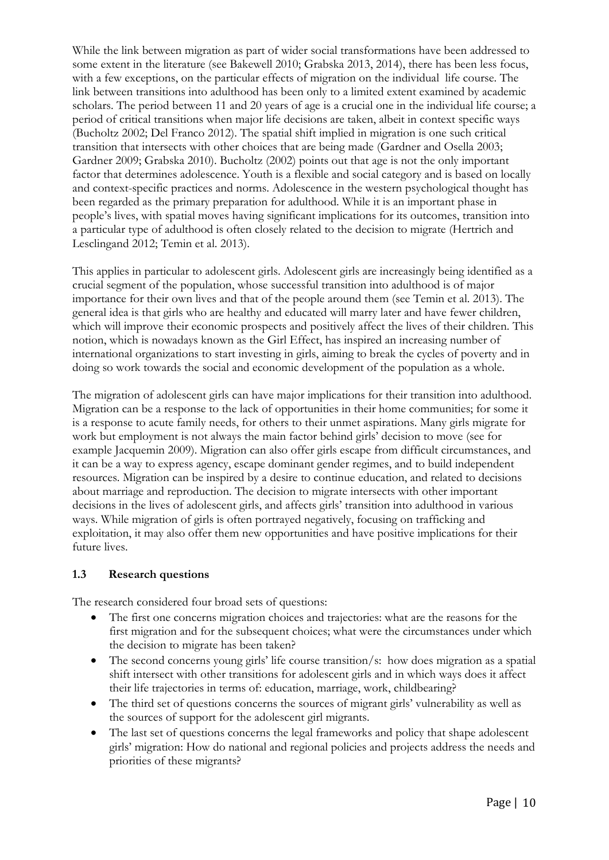While the link between migration as part of wider social transformations have been addressed to some extent in the literature (see Bakewell 2010; Grabska 2013, 2014), there has been less focus, with a few exceptions, on the particular effects of migration on the individual life course. The link between transitions into adulthood has been only to a limited extent examined by academic scholars. The period between 11 and 20 years of age is a crucial one in the individual life course; a period of critical transitions when major life decisions are taken, albeit in context specific ways (Bucholtz 2002; Del Franco 2012). The spatial shift implied in migration is one such critical transition that intersects with other choices that are being made (Gardner and Osella 2003; Gardner 2009; Grabska 2010). Bucholtz (2002) points out that age is not the only important factor that determines adolescence. Youth is a flexible and social category and is based on locally and context-specific practices and norms. Adolescence in the western psychological thought has been regarded as the primary preparation for adulthood. While it is an important phase in people's lives, with spatial moves having significant implications for its outcomes, transition into a particular type of adulthood is often closely related to the decision to migrate (Hertrich and Lesclingand 2012; Temin et al. 2013).

This applies in particular to adolescent girls. Adolescent girls are increasingly being identified as a crucial segment of the population, whose successful transition into adulthood is of major importance for their own lives and that of the people around them (see Temin et al. 2013). The general idea is that girls who are healthy and educated will marry later and have fewer children, which will improve their economic prospects and positively affect the lives of their children. This notion, which is nowadays known as the Girl Effect, has inspired an increasing number of international organizations to start investing in girls, aiming to break the cycles of poverty and in doing so work towards the social and economic development of the population as a whole.

The migration of adolescent girls can have major implications for their transition into adulthood. Migration can be a response to the lack of opportunities in their home communities; for some it is a response to acute family needs, for others to their unmet aspirations. Many girls migrate for work but employment is not always the main factor behind girls' decision to move (see for example Jacquemin 2009). Migration can also offer girls escape from difficult circumstances, and it can be a way to express agency, escape dominant gender regimes, and to build independent resources. Migration can be inspired by a desire to continue education, and related to decisions about marriage and reproduction. The decision to migrate intersects with other important decisions in the lives of adolescent girls, and affects girls' transition into adulthood in various ways. While migration of girls is often portrayed negatively, focusing on trafficking and exploitation, it may also offer them new opportunities and have positive implications for their future lives.

#### **1.3 Research questions**

The research considered four broad sets of questions:

- The first one concerns migration choices and trajectories: what are the reasons for the first migration and for the subsequent choices; what were the circumstances under which the decision to migrate has been taken?
- The second concerns young girls' life course transition/s: how does migration as a spatial shift intersect with other transitions for adolescent girls and in which ways does it affect their life trajectories in terms of: education, marriage, work, childbearing?
- The third set of questions concerns the sources of migrant girls' vulnerability as well as the sources of support for the adolescent girl migrants.
- The last set of questions concerns the legal frameworks and policy that shape adolescent girls' migration: How do national and regional policies and projects address the needs and priorities of these migrants?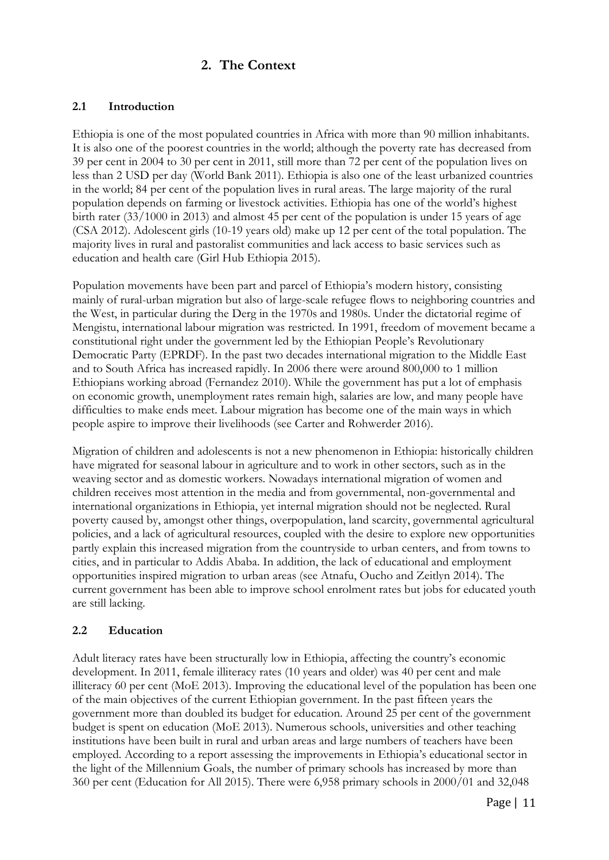## **2. The Context**

## **2.1 Introduction**

Ethiopia is one of the most populated countries in Africa with more than 90 million inhabitants. It is also one of the poorest countries in the world; although the poverty rate has decreased from 39 per cent in 2004 to 30 per cent in 2011, still more than 72 per cent of the population lives on less than 2 USD per day (World Bank 2011). Ethiopia is also one of the least urbanized countries in the world; 84 per cent of the population lives in rural areas. The large majority of the rural population depends on farming or livestock activities. Ethiopia has one of the world's highest birth rater (33/1000 in 2013) and almost 45 per cent of the population is under 15 years of age (CSA 2012). Adolescent girls (10-19 years old) make up 12 per cent of the total population. The majority lives in rural and pastoralist communities and lack access to basic services such as education and health care (Girl Hub Ethiopia 2015).

Population movements have been part and parcel of Ethiopia's modern history, consisting mainly of rural-urban migration but also of large-scale refugee flows to neighboring countries and the West, in particular during the Derg in the 1970s and 1980s. Under the dictatorial regime of Mengistu, international labour migration was restricted. In 1991, freedom of movement became a constitutional right under the government led by the Ethiopian People's Revolutionary Democratic Party (EPRDF). In the past two decades international migration to the Middle East and to South Africa has increased rapidly. In 2006 there were around 800,000 to 1 million Ethiopians working abroad (Fernandez 2010). While the government has put a lot of emphasis on economic growth, unemployment rates remain high, salaries are low, and many people have difficulties to make ends meet. Labour migration has become one of the main ways in which people aspire to improve their livelihoods (see Carter and Rohwerder 2016).

Migration of children and adolescents is not a new phenomenon in Ethiopia: historically children have migrated for seasonal labour in agriculture and to work in other sectors, such as in the weaving sector and as domestic workers. Nowadays international migration of women and children receives most attention in the media and from governmental, non-governmental and international organizations in Ethiopia, yet internal migration should not be neglected. Rural poverty caused by, amongst other things, overpopulation, land scarcity, governmental agricultural policies, and a lack of agricultural resources, coupled with the desire to explore new opportunities partly explain this increased migration from the countryside to urban centers, and from towns to cities, and in particular to Addis Ababa. In addition, the lack of educational and employment opportunities inspired migration to urban areas (see Atnafu, Oucho and Zeitlyn 2014). The current government has been able to improve school enrolment rates but jobs for educated youth are still lacking.

#### **2.2 Education**

Adult literacy rates have been structurally low in Ethiopia, affecting the country's economic development. In 2011, female illiteracy rates (10 years and older) was 40 per cent and male illiteracy 60 per cent (MoE 2013). Improving the educational level of the population has been one of the main objectives of the current Ethiopian government. In the past fifteen years the government more than doubled its budget for education. Around 25 per cent of the government budget is spent on education (MoE 2013). Numerous schools, universities and other teaching institutions have been built in rural and urban areas and large numbers of teachers have been employed. According to a report assessing the improvements in Ethiopia's educational sector in the light of the Millennium Goals, the number of primary schools has increased by more than 360 per cent (Education for All 2015). There were 6,958 primary schools in 2000/01 and 32,048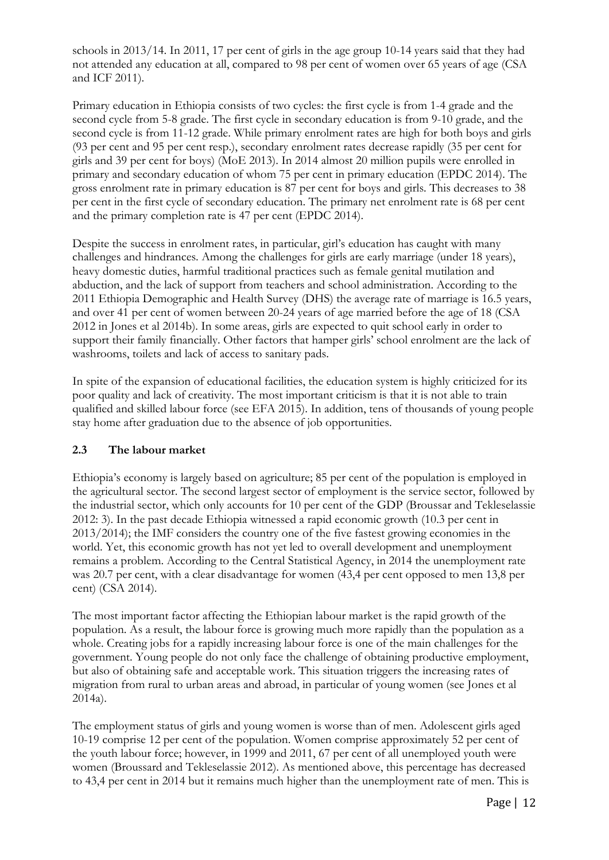schools in 2013/14. In 2011, 17 per cent of girls in the age group 10-14 years said that they had not attended any education at all, compared to 98 per cent of women over 65 years of age (CSA and ICF 2011).

Primary education in Ethiopia consists of two cycles: the first cycle is from 1-4 grade and the second cycle from 5-8 grade. The first cycle in secondary education is from 9-10 grade, and the second cycle is from 11-12 grade. While primary enrolment rates are high for both boys and girls (93 per cent and 95 per cent resp.), secondary enrolment rates decrease rapidly (35 per cent for girls and 39 per cent for boys) (MoE 2013). In 2014 almost 20 million pupils were enrolled in primary and secondary education of whom 75 per cent in primary education (EPDC 2014). The gross enrolment rate in primary education is 87 per cent for boys and girls. This decreases to 38 per cent in the first cycle of secondary education. The primary net enrolment rate is 68 per cent and the primary completion rate is 47 per cent (EPDC 2014).

Despite the success in enrolment rates, in particular, girl's education has caught with many challenges and hindrances. Among the challenges for girls are early marriage (under 18 years), heavy domestic duties, harmful traditional practices such as female genital mutilation and abduction, and the lack of support from teachers and school administration. According to the 2011 Ethiopia Demographic and Health Survey (DHS) the average rate of marriage is 16.5 years, and over 41 per cent of women between 20-24 years of age married before the age of 18 (CSA 2012 in Jones et al 2014b). In some areas, girls are expected to quit school early in order to support their family financially. Other factors that hamper girls' school enrolment are the lack of washrooms, toilets and lack of access to sanitary pads.

In spite of the expansion of educational facilities, the education system is highly criticized for its poor quality and lack of creativity. The most important criticism is that it is not able to train qualified and skilled labour force (see EFA 2015). In addition, tens of thousands of young people stay home after graduation due to the absence of job opportunities.

#### **2.3 The labour market**

Ethiopia's economy is largely based on agriculture; 85 per cent of the population is employed in the agricultural sector. The second largest sector of employment is the service sector, followed by the industrial sector, which only accounts for 10 per cent of the GDP (Broussar and Tekleselassie 2012: 3). In the past decade Ethiopia witnessed a rapid economic growth (10.3 per cent in 2013/2014); the IMF considers the country one of the five fastest growing economies in the world. Yet, this economic growth has not yet led to overall development and unemployment remains a problem. According to the Central Statistical Agency, in 2014 the unemployment rate was 20.7 per cent, with a clear disadvantage for women (43,4 per cent opposed to men 13,8 per cent) (CSA 2014).

The most important factor affecting the Ethiopian labour market is the rapid growth of the population. As a result, the labour force is growing much more rapidly than the population as a whole. Creating jobs for a rapidly increasing labour force is one of the main challenges for the government. Young people do not only face the challenge of obtaining productive employment, but also of obtaining safe and acceptable work. This situation triggers the increasing rates of migration from rural to urban areas and abroad, in particular of young women (see Jones et al 2014a).

The employment status of girls and young women is worse than of men. Adolescent girls aged 10-19 comprise 12 per cent of the population. Women comprise approximately 52 per cent of the youth labour force; however, in 1999 and 2011, 67 per cent of all unemployed youth were women (Broussard and Tekleselassie 2012). As mentioned above, this percentage has decreased to 43,4 per cent in 2014 but it remains much higher than the unemployment rate of men. This is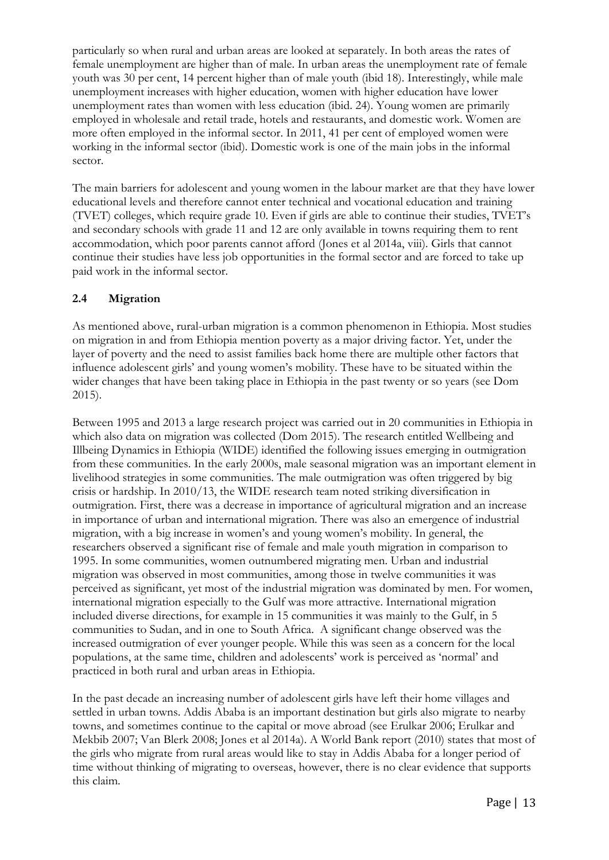particularly so when rural and urban areas are looked at separately. In both areas the rates of female unemployment are higher than of male. In urban areas the unemployment rate of female youth was 30 per cent, 14 percent higher than of male youth (ibid 18). Interestingly, while male unemployment increases with higher education, women with higher education have lower unemployment rates than women with less education (ibid. 24). Young women are primarily employed in wholesale and retail trade, hotels and restaurants, and domestic work. Women are more often employed in the informal sector. In 2011, 41 per cent of employed women were working in the informal sector (ibid). Domestic work is one of the main jobs in the informal sector.

The main barriers for adolescent and young women in the labour market are that they have lower educational levels and therefore cannot enter technical and vocational education and training (TVET) colleges, which require grade 10. Even if girls are able to continue their studies, TVET's and secondary schools with grade 11 and 12 are only available in towns requiring them to rent accommodation, which poor parents cannot afford (Jones et al 2014a, viii). Girls that cannot continue their studies have less job opportunities in the formal sector and are forced to take up paid work in the informal sector.

## **2.4 Migration**

As mentioned above, rural-urban migration is a common phenomenon in Ethiopia. Most studies on migration in and from Ethiopia mention poverty as a major driving factor. Yet, under the layer of poverty and the need to assist families back home there are multiple other factors that influence adolescent girls' and young women's mobility. These have to be situated within the wider changes that have been taking place in Ethiopia in the past twenty or so years (see Dom 2015).

Between 1995 and 2013 a large research project was carried out in 20 communities in Ethiopia in which also data on migration was collected (Dom 2015). The research entitled Wellbeing and Illbeing Dynamics in Ethiopia (WIDE) identified the following issues emerging in outmigration from these communities. In the early 2000s, male seasonal migration was an important element in livelihood strategies in some communities. The male outmigration was often triggered by big crisis or hardship. In 2010/13, the WIDE research team noted striking diversification in outmigration. First, there was a decrease in importance of agricultural migration and an increase in importance of urban and international migration. There was also an emergence of industrial migration, with a big increase in women's and young women's mobility. In general, the researchers observed a significant rise of female and male youth migration in comparison to 1995. In some communities, women outnumbered migrating men. Urban and industrial migration was observed in most communities, among those in twelve communities it was perceived as significant, yet most of the industrial migration was dominated by men. For women, international migration especially to the Gulf was more attractive. International migration included diverse directions, for example in 15 communities it was mainly to the Gulf, in 5 communities to Sudan, and in one to South Africa. A significant change observed was the increased outmigration of ever younger people. While this was seen as a concern for the local populations, at the same time, children and adolescents' work is perceived as 'normal' and practiced in both rural and urban areas in Ethiopia.

In the past decade an increasing number of adolescent girls have left their home villages and settled in urban towns. Addis Ababa is an important destination but girls also migrate to nearby towns, and sometimes continue to the capital or move abroad (see Erulkar 2006; Erulkar and Mekbib 2007; Van Blerk 2008; Jones et al 2014a). A World Bank report (2010) states that most of the girls who migrate from rural areas would like to stay in Addis Ababa for a longer period of time without thinking of migrating to overseas, however, there is no clear evidence that supports this claim.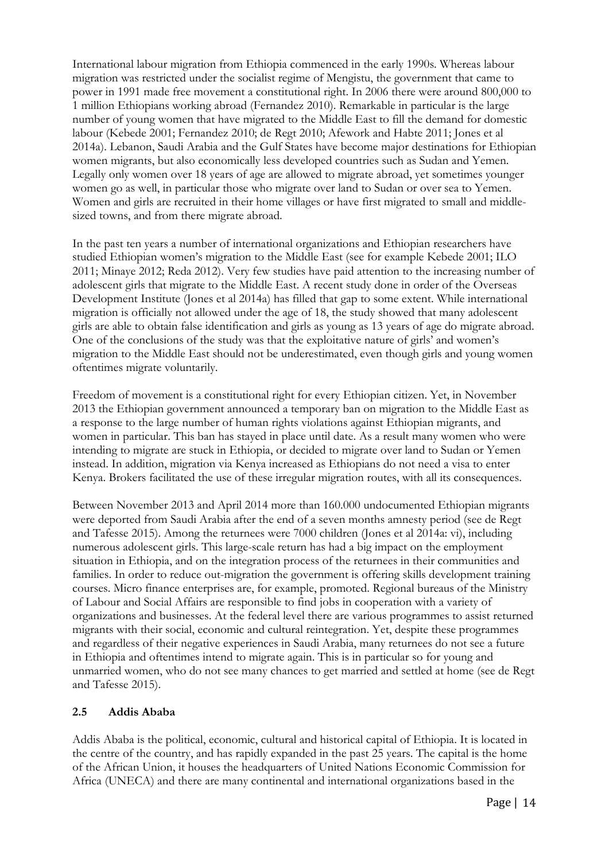International labour migration from Ethiopia commenced in the early 1990s. Whereas labour migration was restricted under the socialist regime of Mengistu, the government that came to power in 1991 made free movement a constitutional right. In 2006 there were around 800,000 to 1 million Ethiopians working abroad (Fernandez 2010). Remarkable in particular is the large number of young women that have migrated to the Middle East to fill the demand for domestic labour (Kebede 2001; Fernandez 2010; de Regt 2010; Afework and Habte 2011; Jones et al 2014a). Lebanon, Saudi Arabia and the Gulf States have become major destinations for Ethiopian women migrants, but also economically less developed countries such as Sudan and Yemen. Legally only women over 18 years of age are allowed to migrate abroad, yet sometimes younger women go as well, in particular those who migrate over land to Sudan or over sea to Yemen. Women and girls are recruited in their home villages or have first migrated to small and middlesized towns, and from there migrate abroad.

In the past ten years a number of international organizations and Ethiopian researchers have studied Ethiopian women's migration to the Middle East (see for example Kebede 2001; ILO 2011; Minaye 2012; Reda 2012). Very few studies have paid attention to the increasing number of adolescent girls that migrate to the Middle East. A recent study done in order of the Overseas Development Institute (Jones et al 2014a) has filled that gap to some extent. While international migration is officially not allowed under the age of 18, the study showed that many adolescent girls are able to obtain false identification and girls as young as 13 years of age do migrate abroad. One of the conclusions of the study was that the exploitative nature of girls' and women's migration to the Middle East should not be underestimated, even though girls and young women oftentimes migrate voluntarily.

Freedom of movement is a constitutional right for every Ethiopian citizen. Yet, in November 2013 the Ethiopian government announced a temporary ban on migration to the Middle East as a response to the large number of human rights violations against Ethiopian migrants, and women in particular. This ban has stayed in place until date. As a result many women who were intending to migrate are stuck in Ethiopia, or decided to migrate over land to Sudan or Yemen instead. In addition, migration via Kenya increased as Ethiopians do not need a visa to enter Kenya. Brokers facilitated the use of these irregular migration routes, with all its consequences.

Between November 2013 and April 2014 more than 160.000 undocumented Ethiopian migrants were deported from Saudi Arabia after the end of a seven months amnesty period (see de Regt and Tafesse 2015). Among the returnees were 7000 children (Jones et al 2014a: vi), including numerous adolescent girls. This large-scale return has had a big impact on the employment situation in Ethiopia, and on the integration process of the returnees in their communities and families. In order to reduce out-migration the government is offering skills development training courses. Micro finance enterprises are, for example, promoted. Regional bureaus of the Ministry of Labour and Social Affairs are responsible to find jobs in cooperation with a variety of organizations and businesses. At the federal level there are various programmes to assist returned migrants with their social, economic and cultural reintegration. Yet, despite these programmes and regardless of their negative experiences in Saudi Arabia, many returnees do not see a future in Ethiopia and oftentimes intend to migrate again. This is in particular so for young and unmarried women, who do not see many chances to get married and settled at home (see de Regt and Tafesse 2015).

#### **2.5 Addis Ababa**

Addis Ababa is the political, economic, cultural and historical capital of Ethiopia. It is located in the centre of the country, and has rapidly expanded in the past 25 years. The capital is the home of the African Union, it houses the headquarters of United Nations Economic Commission for Africa (UNECA) and there are many continental and international organizations based in the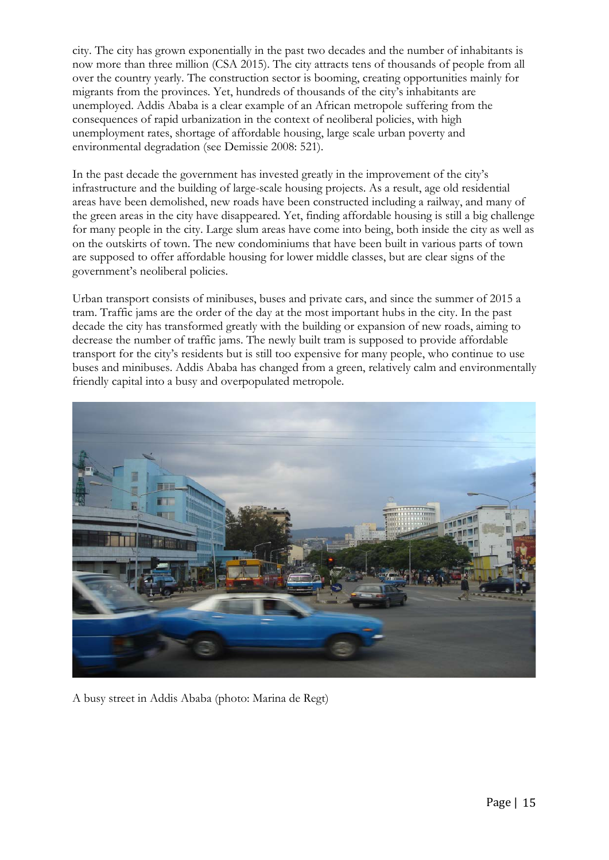city. The city has grown exponentially in the past two decades and the number of inhabitants is now more than three million (CSA 2015). The city attracts tens of thousands of people from all over the country yearly. The construction sector is booming, creating opportunities mainly for migrants from the provinces. Yet, hundreds of thousands of the city's inhabitants are unemployed. Addis Ababa is a clear example of an African metropole suffering from the consequences of rapid urbanization in the context of neoliberal policies, with high unemployment rates, shortage of affordable housing, large scale urban poverty and environmental degradation (see Demissie 2008: 521).

In the past decade the government has invested greatly in the improvement of the city's infrastructure and the building of large-scale housing projects. As a result, age old residential areas have been demolished, new roads have been constructed including a railway, and many of the green areas in the city have disappeared. Yet, finding affordable housing is still a big challenge for many people in the city. Large slum areas have come into being, both inside the city as well as on the outskirts of town. The new condominiums that have been built in various parts of town are supposed to offer affordable housing for lower middle classes, but are clear signs of the government's neoliberal policies.

Urban transport consists of minibuses, buses and private cars, and since the summer of 2015 a tram. Traffic jams are the order of the day at the most important hubs in the city. In the past decade the city has transformed greatly with the building or expansion of new roads, aiming to decrease the number of traffic jams. The newly built tram is supposed to provide affordable transport for the city's residents but is still too expensive for many people, who continue to use buses and minibuses. Addis Ababa has changed from a green, relatively calm and environmentally friendly capital into a busy and overpopulated metropole.



A busy street in Addis Ababa (photo: Marina de Regt)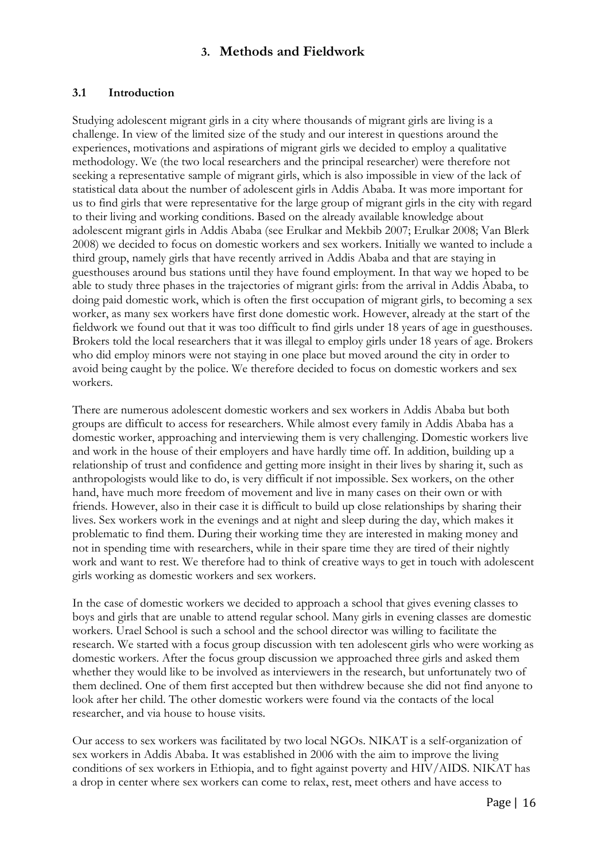## **3. Methods and Fieldwork**

## **3.1 Introduction**

Studying adolescent migrant girls in a city where thousands of migrant girls are living is a challenge. In view of the limited size of the study and our interest in questions around the experiences, motivations and aspirations of migrant girls we decided to employ a qualitative methodology. We (the two local researchers and the principal researcher) were therefore not seeking a representative sample of migrant girls, which is also impossible in view of the lack of statistical data about the number of adolescent girls in Addis Ababa. It was more important for us to find girls that were representative for the large group of migrant girls in the city with regard to their living and working conditions. Based on the already available knowledge about adolescent migrant girls in Addis Ababa (see Erulkar and Mekbib 2007; Erulkar 2008; Van Blerk 2008) we decided to focus on domestic workers and sex workers. Initially we wanted to include a third group, namely girls that have recently arrived in Addis Ababa and that are staying in guesthouses around bus stations until they have found employment. In that way we hoped to be able to study three phases in the trajectories of migrant girls: from the arrival in Addis Ababa, to doing paid domestic work, which is often the first occupation of migrant girls, to becoming a sex worker, as many sex workers have first done domestic work. However, already at the start of the fieldwork we found out that it was too difficult to find girls under 18 years of age in guesthouses. Brokers told the local researchers that it was illegal to employ girls under 18 years of age. Brokers who did employ minors were not staying in one place but moved around the city in order to avoid being caught by the police. We therefore decided to focus on domestic workers and sex workers.

There are numerous adolescent domestic workers and sex workers in Addis Ababa but both groups are difficult to access for researchers. While almost every family in Addis Ababa has a domestic worker, approaching and interviewing them is very challenging. Domestic workers live and work in the house of their employers and have hardly time off. In addition, building up a relationship of trust and confidence and getting more insight in their lives by sharing it, such as anthropologists would like to do, is very difficult if not impossible. Sex workers, on the other hand, have much more freedom of movement and live in many cases on their own or with friends. However, also in their case it is difficult to build up close relationships by sharing their lives. Sex workers work in the evenings and at night and sleep during the day, which makes it problematic to find them. During their working time they are interested in making money and not in spending time with researchers, while in their spare time they are tired of their nightly work and want to rest. We therefore had to think of creative ways to get in touch with adolescent girls working as domestic workers and sex workers.

In the case of domestic workers we decided to approach a school that gives evening classes to boys and girls that are unable to attend regular school. Many girls in evening classes are domestic workers. Urael School is such a school and the school director was willing to facilitate the research. We started with a focus group discussion with ten adolescent girls who were working as domestic workers. After the focus group discussion we approached three girls and asked them whether they would like to be involved as interviewers in the research, but unfortunately two of them declined. One of them first accepted but then withdrew because she did not find anyone to look after her child. The other domestic workers were found via the contacts of the local researcher, and via house to house visits.

Our access to sex workers was facilitated by two local NGOs. NIKAT is a self-organization of sex workers in Addis Ababa. It was established in 2006 with the aim to improve the living conditions of sex workers in Ethiopia, and to fight against poverty and HIV/AIDS. NIKAT has a drop in center where sex workers can come to relax, rest, meet others and have access to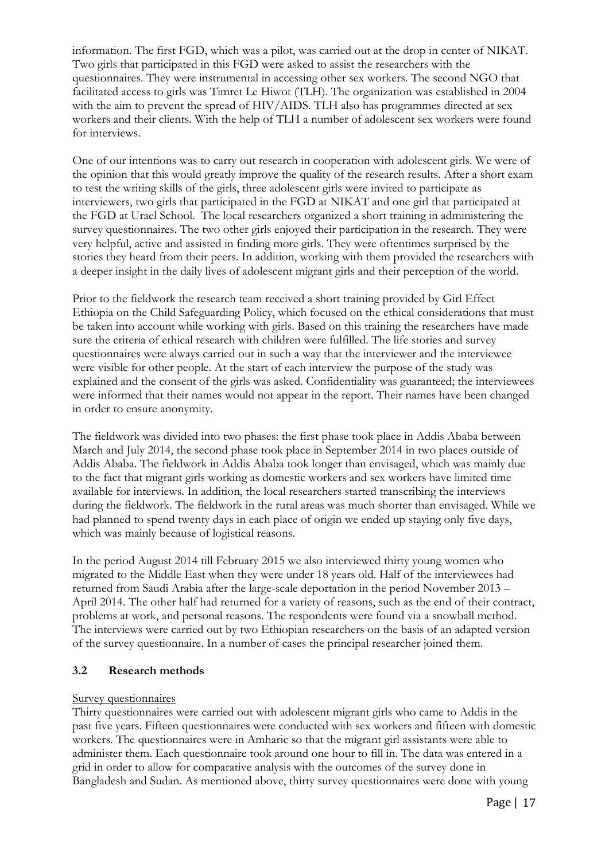information. The first FGD, which was a pilot, was carried out at the drop in center of NIKAT. Two girls that participated in this FGD were asked to assist the researchers with the questionnaires. They were instrumental in accessing other sex workers. The second NGO that facilitated access to girls was Timret Le Hiwot (TLH). The organization was established in 2004 with the aim to prevent the spread of HIV/AIDS. TLH also has programmes directed at sex workers and their clients. With the help of TLH a number of adolescent sex workers were found for interviews.

One of our intentions was to carry out research in cooperation with adolescent girls. We were of the opinion that this would greatly improve the quality of the research results. After a short exam to test the writing skills of the girls, three adolescent girls were invited to participate as interviewers, two girls that participated in the FGD at NIKAT and one girl that participated at the FGD at Urael School. The local researchers organized a short training in administering the survey questionnaires. The two other girls enjoyed their participation in the research. They were very helpful, active and assisted in finding more girls. They were oftentimes surprised by the stories they heard from their peers. In addition, working with them provided the researchers with a deeper insight in the daily lives of adolescent migrant girls and their perception of the world.

Prior to the fieldwork the research team received a short training provided by Girl Effect Ethiopia on the Child Safeguarding Policy, which focused on the ethical considerations that must be taken into account while working with girls. Based on this training the researchers have made sure the criteria of ethical research with children were fulfilled. The life stories and survey questionnaires were always carried out in such a way that the interviewer and the interviewee were visible for other people. At the start of each interview the purpose of the study was explained and the consent of the girls was asked. Confidentiality was guaranteed; the interviewees were informed that their names would not appear in the report. Their names have been changed in order to ensure anonymity.

The fieldwork was divided into two phases: the first phase took place in Addis Ababa between March and July 2014, the second phase took place in September 2014 in two places outside of Addis Ababa. The fieldwork in Addis Ababa took longer than envisaged, which was mainly due to the fact that migrant girls working as domestic workers and sex workers have limited time available for interviews. In addition, the local researchers started transcribing the interviews during the fieldwork. The fieldwork in the rural areas was much shorter than envisaged. While we had planned to spend twenty days in each place of origin we ended up staying only five days, which was mainly because of logistical reasons.

In the period August 2014 till February 2015 we also interviewed thirty young women who migrated to the Middle East when they were under 18 years old. Half of the interviewees had returned from Saudi Arabia after the large-scale deportation in the period November 2013 – April 2014. The other half had returned for a variety of reasons, such as the end of their contract, problems at work, and personal reasons. The respondents were found via a snowball method. The interviews were carried out by two Ethiopian researchers on the basis of an adapted version of the survey questionnaire. In a number of cases the principal researcher joined them.

#### **3.2 Research methods**

#### Survey questionnaires

Thirty questionnaires were carried out with adolescent migrant girls who came to Addis in the past five years. Fifteen questionnaires were conducted with sex workers and fifteen with domestic workers. The questionnaires were in Amharic so that the migrant girl assistants were able to administer them. Each questionnaire took around one hour to fill in. The data was entered in a grid in order to allow for comparative analysis with the outcomes of the survey done in Bangladesh and Sudan. As mentioned above, thirty survey questionnaires were done with young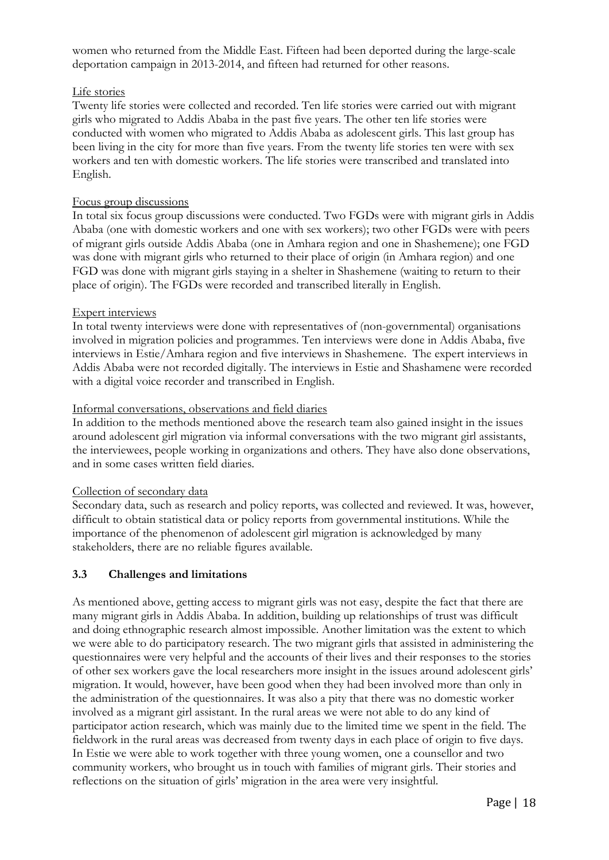women who returned from the Middle East. Fifteen had been deported during the large-scale deportation campaign in 2013-2014, and fifteen had returned for other reasons.

#### Life stories

Twenty life stories were collected and recorded. Ten life stories were carried out with migrant girls who migrated to Addis Ababa in the past five years. The other ten life stories were conducted with women who migrated to Addis Ababa as adolescent girls. This last group has been living in the city for more than five years. From the twenty life stories ten were with sex workers and ten with domestic workers. The life stories were transcribed and translated into English.

#### Focus group discussions

In total six focus group discussions were conducted. Two FGDs were with migrant girls in Addis Ababa (one with domestic workers and one with sex workers); two other FGDs were with peers of migrant girls outside Addis Ababa (one in Amhara region and one in Shashemene); one FGD was done with migrant girls who returned to their place of origin (in Amhara region) and one FGD was done with migrant girls staying in a shelter in Shashemene (waiting to return to their place of origin). The FGDs were recorded and transcribed literally in English.

#### Expert interviews

In total twenty interviews were done with representatives of (non-governmental) organisations involved in migration policies and programmes. Ten interviews were done in Addis Ababa, five interviews in Estie/Amhara region and five interviews in Shashemene. The expert interviews in Addis Ababa were not recorded digitally. The interviews in Estie and Shashamene were recorded with a digital voice recorder and transcribed in English.

#### Informal conversations, observations and field diaries

In addition to the methods mentioned above the research team also gained insight in the issues around adolescent girl migration via informal conversations with the two migrant girl assistants, the interviewees, people working in organizations and others. They have also done observations, and in some cases written field diaries.

#### Collection of secondary data

Secondary data, such as research and policy reports, was collected and reviewed. It was, however, difficult to obtain statistical data or policy reports from governmental institutions. While the importance of the phenomenon of adolescent girl migration is acknowledged by many stakeholders, there are no reliable figures available.

#### **3.3 Challenges and limitations**

As mentioned above, getting access to migrant girls was not easy, despite the fact that there are many migrant girls in Addis Ababa. In addition, building up relationships of trust was difficult and doing ethnographic research almost impossible. Another limitation was the extent to which we were able to do participatory research. The two migrant girls that assisted in administering the questionnaires were very helpful and the accounts of their lives and their responses to the stories of other sex workers gave the local researchers more insight in the issues around adolescent girls' migration. It would, however, have been good when they had been involved more than only in the administration of the questionnaires. It was also a pity that there was no domestic worker involved as a migrant girl assistant. In the rural areas we were not able to do any kind of participator action research, which was mainly due to the limited time we spent in the field. The fieldwork in the rural areas was decreased from twenty days in each place of origin to five days. In Estie we were able to work together with three young women, one a counsellor and two community workers, who brought us in touch with families of migrant girls. Their stories and reflections on the situation of girls' migration in the area were very insightful.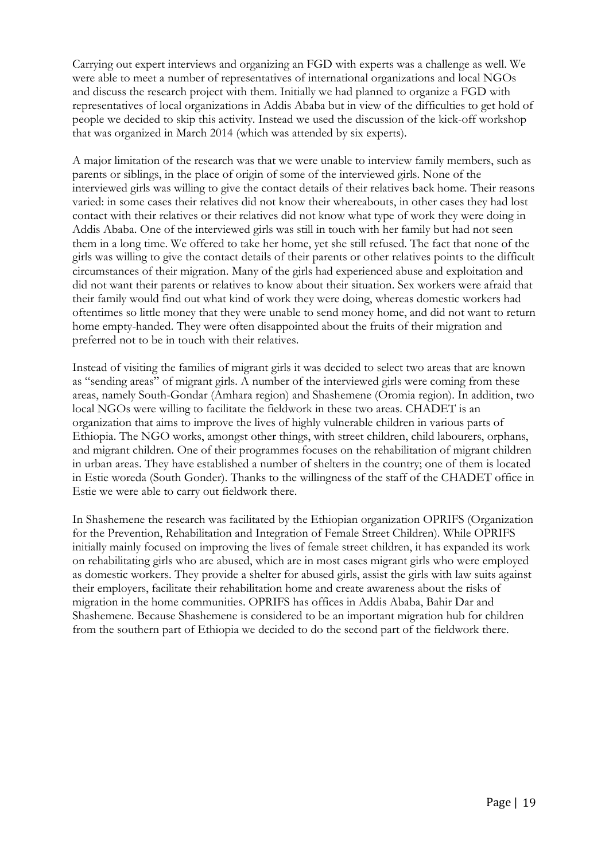Carrying out expert interviews and organizing an FGD with experts was a challenge as well. We were able to meet a number of representatives of international organizations and local NGOs and discuss the research project with them. Initially we had planned to organize a FGD with representatives of local organizations in Addis Ababa but in view of the difficulties to get hold of people we decided to skip this activity. Instead we used the discussion of the kick-off workshop that was organized in March 2014 (which was attended by six experts).

A major limitation of the research was that we were unable to interview family members, such as parents or siblings, in the place of origin of some of the interviewed girls. None of the interviewed girls was willing to give the contact details of their relatives back home. Their reasons varied: in some cases their relatives did not know their whereabouts, in other cases they had lost contact with their relatives or their relatives did not know what type of work they were doing in Addis Ababa. One of the interviewed girls was still in touch with her family but had not seen them in a long time. We offered to take her home, yet she still refused. The fact that none of the girls was willing to give the contact details of their parents or other relatives points to the difficult circumstances of their migration. Many of the girls had experienced abuse and exploitation and did not want their parents or relatives to know about their situation. Sex workers were afraid that their family would find out what kind of work they were doing, whereas domestic workers had oftentimes so little money that they were unable to send money home, and did not want to return home empty-handed. They were often disappointed about the fruits of their migration and preferred not to be in touch with their relatives.

Instead of visiting the families of migrant girls it was decided to select two areas that are known as "sending areas" of migrant girls. A number of the interviewed girls were coming from these areas, namely South-Gondar (Amhara region) and Shashemene (Oromia region). In addition, two local NGOs were willing to facilitate the fieldwork in these two areas. CHADET is an organization that aims to improve the lives of highly vulnerable children in various parts of Ethiopia. The NGO works, amongst other things, with street children, child labourers, orphans, and migrant children. One of their programmes focuses on the rehabilitation of migrant children in urban areas. They have established a number of shelters in the country; one of them is located in Estie woreda (South Gonder). Thanks to the willingness of the staff of the CHADET office in Estie we were able to carry out fieldwork there.

In Shashemene the research was facilitated by the Ethiopian organization OPRIFS (Organization for the Prevention, Rehabilitation and Integration of Female Street Children). While OPRIFS initially mainly focused on improving the lives of female street children, it has expanded its work on rehabilitating girls who are abused, which are in most cases migrant girls who were employed as domestic workers. They provide a shelter for abused girls, assist the girls with law suits against their employers, facilitate their rehabilitation home and create awareness about the risks of migration in the home communities. OPRIFS has offices in Addis Ababa, Bahir Dar and Shashemene. Because Shashemene is considered to be an important migration hub for children from the southern part of Ethiopia we decided to do the second part of the fieldwork there.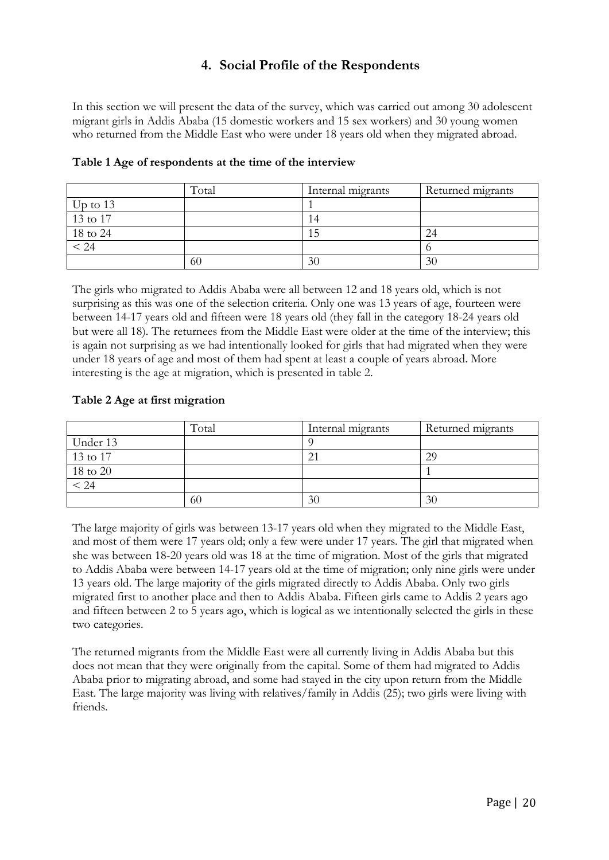# **4. Social Profile of the Respondents**

In this section we will present the data of the survey, which was carried out among 30 adolescent migrant girls in Addis Ababa (15 domestic workers and 15 sex workers) and 30 young women who returned from the Middle East who were under 18 years old when they migrated abroad.

|            | Total | Internal migrants | Returned migrants |
|------------|-------|-------------------|-------------------|
| Up to $13$ |       |                   |                   |
| 13 to 17   |       | . 4               |                   |
| 18 to 24   |       | لت                | 24                |
| < 24       |       |                   |                   |
|            | 60    | 30                | 30                |

#### **Table 1 Age of respondents at the time of the interview**

The girls who migrated to Addis Ababa were all between 12 and 18 years old, which is not surprising as this was one of the selection criteria. Only one was 13 years of age, fourteen were between 14-17 years old and fifteen were 18 years old (they fall in the category 18-24 years old but were all 18). The returnees from the Middle East were older at the time of the interview; this is again not surprising as we had intentionally looked for girls that had migrated when they were under 18 years of age and most of them had spent at least a couple of years abroad. More interesting is the age at migration, which is presented in table 2.

#### **Table 2 Age at first migration**

|          | Total | Internal migrants | Returned migrants |
|----------|-------|-------------------|-------------------|
| Under 13 |       |                   |                   |
| 13 to 17 |       | 21                | 29                |
| 18 to 20 |       |                   |                   |
| < 24     |       |                   |                   |
|          | 60    | 30                | 30                |

The large majority of girls was between 13-17 years old when they migrated to the Middle East, and most of them were 17 years old; only a few were under 17 years. The girl that migrated when she was between 18-20 years old was 18 at the time of migration. Most of the girls that migrated to Addis Ababa were between 14-17 years old at the time of migration; only nine girls were under 13 years old. The large majority of the girls migrated directly to Addis Ababa. Only two girls migrated first to another place and then to Addis Ababa. Fifteen girls came to Addis 2 years ago and fifteen between 2 to 5 years ago, which is logical as we intentionally selected the girls in these two categories.

The returned migrants from the Middle East were all currently living in Addis Ababa but this does not mean that they were originally from the capital. Some of them had migrated to Addis Ababa prior to migrating abroad, and some had stayed in the city upon return from the Middle East. The large majority was living with relatives/family in Addis (25); two girls were living with friends.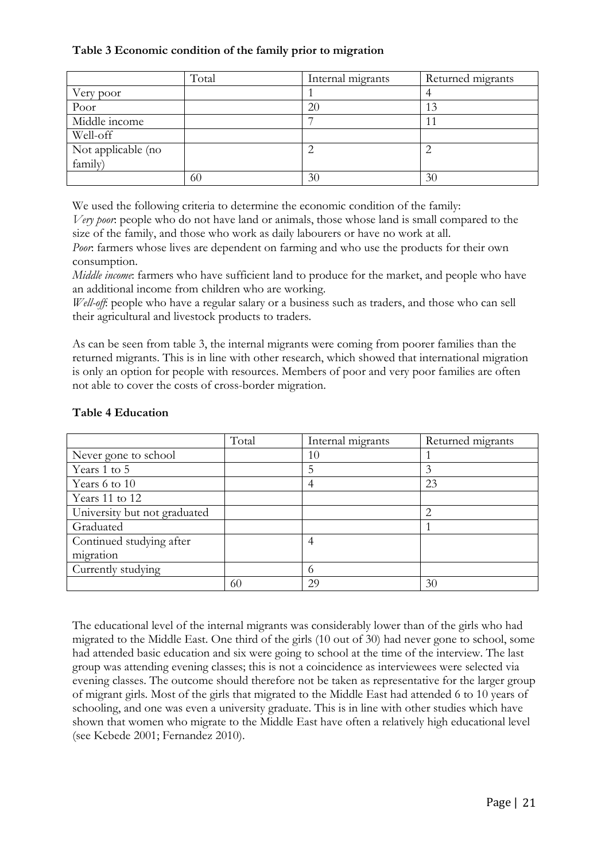## **Table 3 Economic condition of the family prior to migration**

|                    | Total | Internal migrants | Returned migrants |
|--------------------|-------|-------------------|-------------------|
| Very poor          |       |                   |                   |
| Poor               |       | 20                | 13                |
| Middle income      |       |                   |                   |
| Well-off           |       |                   |                   |
| Not applicable (no |       | ◠                 |                   |
| family)            |       |                   |                   |
|                    | 60    | 30                | 30                |

We used the following criteria to determine the economic condition of the family:

*Very poor*: people who do not have land or animals, those whose land is small compared to the size of the family, and those who work as daily labourers or have no work at all.

*Poor*: farmers whose lives are dependent on farming and who use the products for their own consumption.

*Middle income*: farmers who have sufficient land to produce for the market, and people who have an additional income from children who are working.

*Well-off*: people who have a regular salary or a business such as traders, and those who can sell their agricultural and livestock products to traders.

As can be seen from table 3, the internal migrants were coming from poorer families than the returned migrants. This is in line with other research, which showed that international migration is only an option for people with resources. Members of poor and very poor families are often not able to cover the costs of cross-border migration.

|                              | Total | Internal migrants | Returned migrants                                                                                                                                               |
|------------------------------|-------|-------------------|-----------------------------------------------------------------------------------------------------------------------------------------------------------------|
| Never gone to school         |       | 10                |                                                                                                                                                                 |
| Years 1 to 5                 |       | 5                 |                                                                                                                                                                 |
| Years 6 to 10                |       | 4                 | 23                                                                                                                                                              |
| Years 11 to 12               |       |                   |                                                                                                                                                                 |
| University but not graduated |       |                   | $\mathcal{D}_{\mathcal{A}}^{\mathcal{A}}(\mathcal{A})=\mathcal{D}_{\mathcal{A}}^{\mathcal{A}}(\mathcal{A})\mathcal{D}_{\mathcal{A}}^{\mathcal{A}}(\mathcal{A})$ |
| Graduated                    |       |                   |                                                                                                                                                                 |
| Continued studying after     |       | 4                 |                                                                                                                                                                 |
| migration                    |       |                   |                                                                                                                                                                 |
| Currently studying           |       |                   |                                                                                                                                                                 |
|                              | 60    | 29                | 30                                                                                                                                                              |

## **Table 4 Education**

The educational level of the internal migrants was considerably lower than of the girls who had migrated to the Middle East. One third of the girls (10 out of 30) had never gone to school, some had attended basic education and six were going to school at the time of the interview. The last group was attending evening classes; this is not a coincidence as interviewees were selected via evening classes. The outcome should therefore not be taken as representative for the larger group of migrant girls. Most of the girls that migrated to the Middle East had attended 6 to 10 years of schooling, and one was even a university graduate. This is in line with other studies which have shown that women who migrate to the Middle East have often a relatively high educational level (see Kebede 2001; Fernandez 2010).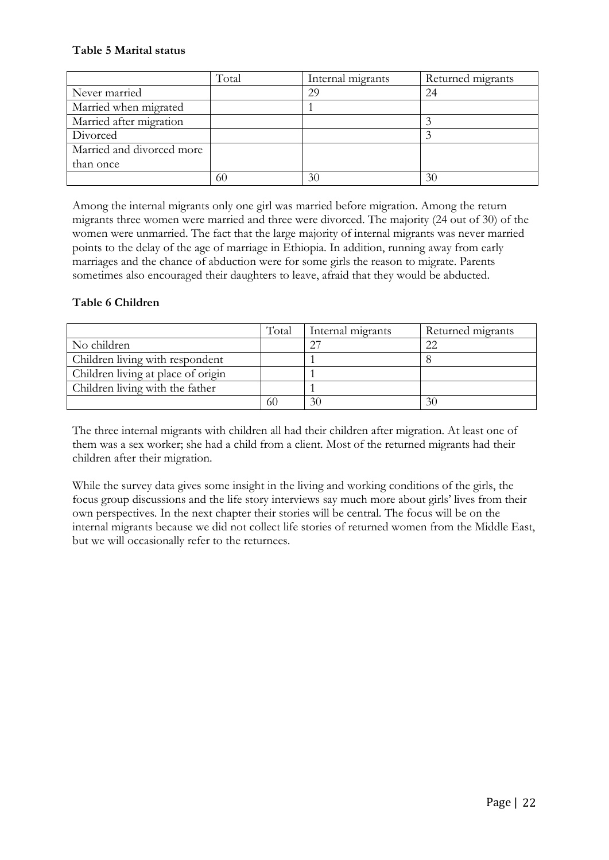## **Table 5 Marital status**

|                           | Total | Internal migrants | Returned migrants |
|---------------------------|-------|-------------------|-------------------|
| Never married             |       | 29                | 24                |
| Married when migrated     |       |                   |                   |
| Married after migration   |       |                   |                   |
| Divorced                  |       |                   |                   |
| Married and divorced more |       |                   |                   |
| than once                 |       |                   |                   |
|                           | 60    | 30                | 30                |

Among the internal migrants only one girl was married before migration. Among the return migrants three women were married and three were divorced. The majority (24 out of 30) of the women were unmarried. The fact that the large majority of internal migrants was never married points to the delay of the age of marriage in Ethiopia. In addition, running away from early marriages and the chance of abduction were for some girls the reason to migrate. Parents sometimes also encouraged their daughters to leave, afraid that they would be abducted.

## **Table 6 Children**

|                                    | Total | Internal migrants | Returned migrants |
|------------------------------------|-------|-------------------|-------------------|
| No children                        |       |                   |                   |
| Children living with respondent    |       |                   |                   |
| Children living at place of origin |       |                   |                   |
| Children living with the father    |       |                   |                   |
|                                    | 60    | 3 <sup>1</sup>    | 30                |

The three internal migrants with children all had their children after migration. At least one of them was a sex worker; she had a child from a client. Most of the returned migrants had their children after their migration.

While the survey data gives some insight in the living and working conditions of the girls, the focus group discussions and the life story interviews say much more about girls' lives from their own perspectives. In the next chapter their stories will be central. The focus will be on the internal migrants because we did not collect life stories of returned women from the Middle East, but we will occasionally refer to the returnees.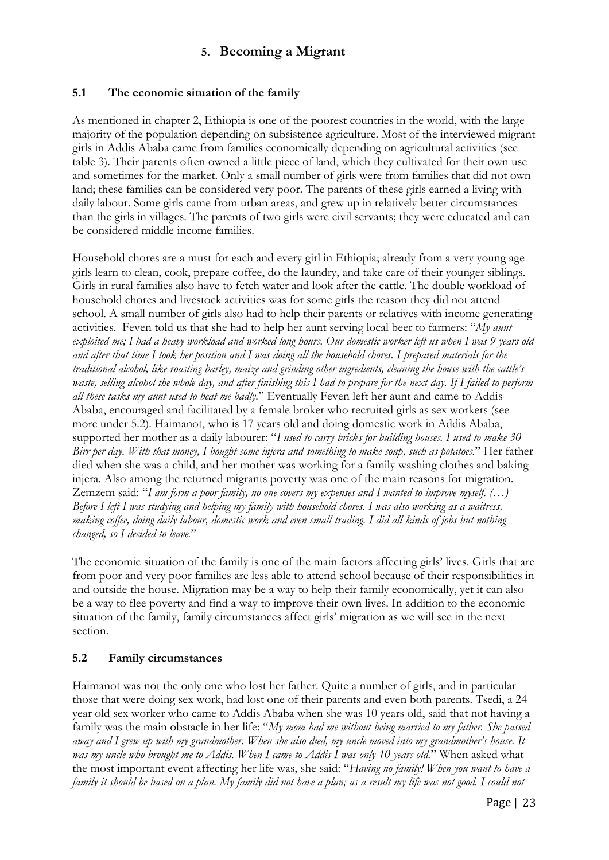# **5. Becoming a Migrant**

## **5.1 The economic situation of the family**

As mentioned in chapter 2, Ethiopia is one of the poorest countries in the world, with the large majority of the population depending on subsistence agriculture. Most of the interviewed migrant girls in Addis Ababa came from families economically depending on agricultural activities (see table 3). Their parents often owned a little piece of land, which they cultivated for their own use and sometimes for the market. Only a small number of girls were from families that did not own land; these families can be considered very poor. The parents of these girls earned a living with daily labour. Some girls came from urban areas, and grew up in relatively better circumstances than the girls in villages. The parents of two girls were civil servants; they were educated and can be considered middle income families.

Household chores are a must for each and every girl in Ethiopia; already from a very young age girls learn to clean, cook, prepare coffee, do the laundry, and take care of their younger siblings. Girls in rural families also have to fetch water and look after the cattle. The double workload of household chores and livestock activities was for some girls the reason they did not attend school. A small number of girls also had to help their parents or relatives with income generating activities. Feven told us that she had to help her aunt serving local beer to farmers: "*My aunt exploited me; I had a heavy workload and worked long hours. Our domestic worker left us when I was 9 years old and after that time I took her position and I was doing all the household chores. I prepared materials for the traditional alcohol, like roasting barley, maize and grinding other ingredients, cleaning the house with the cattle's waste, selling alcohol the whole day, and after finishing this I had to prepare for the next day. If I failed to perform all these tasks my aunt used to beat me badly.*" Eventually Feven left her aunt and came to Addis Ababa, encouraged and facilitated by a female broker who recruited girls as sex workers (see more under 5.2). Haimanot, who is 17 years old and doing domestic work in Addis Ababa, supported her mother as a daily labourer: "*I used to carry bricks for building houses. I used to make 30 Birr per day. With that money, I bought some injera and something to make soup, such as potatoes.*" Her father died when she was a child, and her mother was working for a family washing clothes and baking injera. Also among the returned migrants poverty was one of the main reasons for migration. Zemzem said: "*I am form a poor family, no one covers my expenses and I wanted to improve myself. (…) Before I left I was studying and helping my family with household chores. I was also working as a waitress, making coffee, doing daily labour, domestic work and even small trading. I did all kinds of jobs but nothing changed, so I decided to leave.*"

The economic situation of the family is one of the main factors affecting girls' lives. Girls that are from poor and very poor families are less able to attend school because of their responsibilities in and outside the house. Migration may be a way to help their family economically, yet it can also be a way to flee poverty and find a way to improve their own lives. In addition to the economic situation of the family, family circumstances affect girls' migration as we will see in the next section.

## **5.2 Family circumstances**

Haimanot was not the only one who lost her father. Quite a number of girls, and in particular those that were doing sex work, had lost one of their parents and even both parents. Tsedi, a 24 year old sex worker who came to Addis Ababa when she was 10 years old, said that not having a family was the main obstacle in her life: "*My mom had me without being married to my father. She passed away and I grew up with my grandmother. When she also died, my uncle moved into my grandmother's house. It was my uncle who brought me to Addis. When I came to Addis I was only 10 years old.*" When asked what the most important event affecting her life was, she said: "*Having no family! When you want to have a family it should be based on a plan. My family did not have a plan; as a result my life was not good. I could not*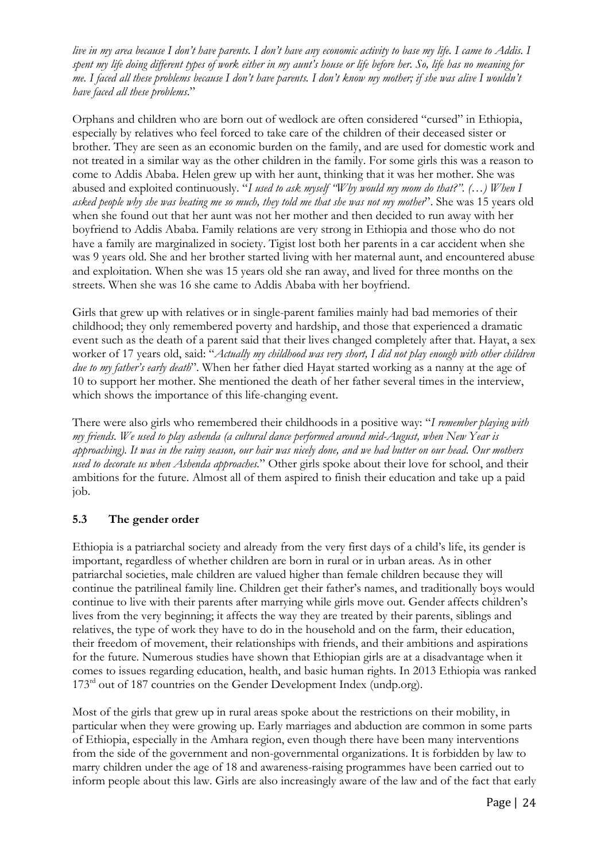*live in my area because I don't have parents. I don't have any economic activity to base my life. I came to Addis. I spent my life doing different types of work either in my aunt's house or life before her. So, life has no meaning for me. I faced all these problems because I don't have parents. I don't know my mother; if she was alive I wouldn't have faced all these problems*."

Orphans and children who are born out of wedlock are often considered "cursed" in Ethiopia, especially by relatives who feel forced to take care of the children of their deceased sister or brother. They are seen as an economic burden on the family, and are used for domestic work and not treated in a similar way as the other children in the family. For some girls this was a reason to come to Addis Ababa. Helen grew up with her aunt, thinking that it was her mother. She was abused and exploited continuously. "*I used to ask myself "Why would my mom do that?". (…) When I asked people why she was beating me so much, they told me that she was not my mother*". She was 15 years old when she found out that her aunt was not her mother and then decided to run away with her boyfriend to Addis Ababa. Family relations are very strong in Ethiopia and those who do not have a family are marginalized in society. Tigist lost both her parents in a car accident when she was 9 years old. She and her brother started living with her maternal aunt, and encountered abuse and exploitation. When she was 15 years old she ran away, and lived for three months on the streets. When she was 16 she came to Addis Ababa with her boyfriend.

Girls that grew up with relatives or in single-parent families mainly had bad memories of their childhood; they only remembered poverty and hardship, and those that experienced a dramatic event such as the death of a parent said that their lives changed completely after that. Hayat, a sex worker of 17 years old, said: "*Actually my childhood was very short, I did not play enough with other children due to my father's early death*". When her father died Hayat started working as a nanny at the age of 10 to support her mother. She mentioned the death of her father several times in the interview, which shows the importance of this life-changing event.

There were also girls who remembered their childhoods in a positive way: "*I remember playing with my friends. We used to play ashenda (a cultural dance performed around mid-August, when New Year is approaching). It was in the rainy season, our hair was nicely done, and we had butter on our head. Our mothers used to decorate us when Ashenda approaches.*" Other girls spoke about their love for school, and their ambitions for the future. Almost all of them aspired to finish their education and take up a paid job.

## **5.3 The gender order**

Ethiopia is a patriarchal society and already from the very first days of a child's life, its gender is important, regardless of whether children are born in rural or in urban areas. As in other patriarchal societies, male children are valued higher than female children because they will continue the patrilineal family line. Children get their father's names, and traditionally boys would continue to live with their parents after marrying while girls move out. Gender affects children's lives from the very beginning; it affects the way they are treated by their parents, siblings and relatives, the type of work they have to do in the household and on the farm, their education, their freedom of movement, their relationships with friends, and their ambitions and aspirations for the future. Numerous studies have shown that Ethiopian girls are at a disadvantage when it comes to issues regarding education, health, and basic human rights. In 2013 Ethiopia was ranked 173<sup>rd</sup> out of 187 countries on the Gender Development Index (undp.org).

Most of the girls that grew up in rural areas spoke about the restrictions on their mobility, in particular when they were growing up. Early marriages and abduction are common in some parts of Ethiopia, especially in the Amhara region, even though there have been many interventions from the side of the government and non-governmental organizations. It is forbidden by law to marry children under the age of 18 and awareness-raising programmes have been carried out to inform people about this law. Girls are also increasingly aware of the law and of the fact that early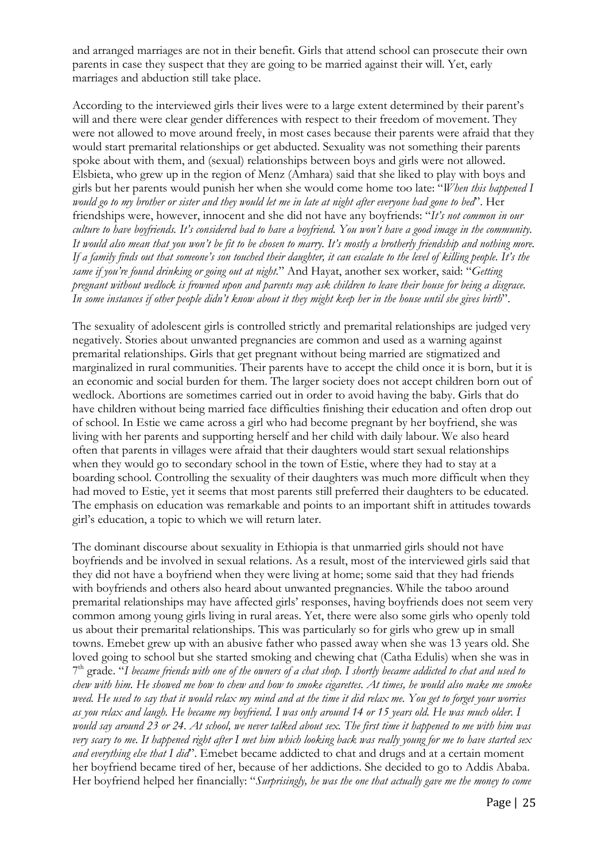and arranged marriages are not in their benefit. Girls that attend school can prosecute their own parents in case they suspect that they are going to be married against their will. Yet, early marriages and abduction still take place.

According to the interviewed girls their lives were to a large extent determined by their parent's will and there were clear gender differences with respect to their freedom of movement. They were not allowed to move around freely, in most cases because their parents were afraid that they would start premarital relationships or get abducted. Sexuality was not something their parents spoke about with them, and (sexual) relationships between boys and girls were not allowed. Elsbieta, who grew up in the region of Menz (Amhara) said that she liked to play with boys and girls but her parents would punish her when she would come home too late: "*When this happened I would go to my brother or sister and they would let me in late at night after everyone had gone to bed*". Her friendships were, however, innocent and she did not have any boyfriends: "*It's not common in our culture to have boyfriends. It's considered bad to have a boyfriend. You won't have a good image in the community. It would also mean that you won't be fit to be chosen to marry. It's mostly a brotherly friendship and nothing more. If a family finds out that someone's son touched their daughter, it can escalate to the level of killing people. It's the same if you're found drinking or going out at night.*" And Hayat, another sex worker, said: "*Getting pregnant without wedlock is frowned upon and parents may ask children to leave their house for being a disgrace. In some instances if other people didn't know about it they might keep her in the house until she gives birth*".

The sexuality of adolescent girls is controlled strictly and premarital relationships are judged very negatively. Stories about unwanted pregnancies are common and used as a warning against premarital relationships. Girls that get pregnant without being married are stigmatized and marginalized in rural communities. Their parents have to accept the child once it is born, but it is an economic and social burden for them. The larger society does not accept children born out of wedlock. Abortions are sometimes carried out in order to avoid having the baby. Girls that do have children without being married face difficulties finishing their education and often drop out of school. In Estie we came across a girl who had become pregnant by her boyfriend, she was living with her parents and supporting herself and her child with daily labour. We also heard often that parents in villages were afraid that their daughters would start sexual relationships when they would go to secondary school in the town of Estie, where they had to stay at a boarding school. Controlling the sexuality of their daughters was much more difficult when they had moved to Estie, yet it seems that most parents still preferred their daughters to be educated. The emphasis on education was remarkable and points to an important shift in attitudes towards girl's education, a topic to which we will return later.

The dominant discourse about sexuality in Ethiopia is that unmarried girls should not have boyfriends and be involved in sexual relations. As a result, most of the interviewed girls said that they did not have a boyfriend when they were living at home; some said that they had friends with boyfriends and others also heard about unwanted pregnancies. While the taboo around premarital relationships may have affected girls' responses, having boyfriends does not seem very common among young girls living in rural areas. Yet, there were also some girls who openly told us about their premarital relationships. This was particularly so for girls who grew up in small towns. Emebet grew up with an abusive father who passed away when she was 13 years old. She loved going to school but she started smoking and chewing chat (Catha Edulis) when she was in 7th grade. "*I became friends with one of the owners of a chat shop. I shortly became addicted to chat and used to chew with him. He showed me how to chew and how to smoke cigarettes. At times, he would also make me smoke weed. He used to say that it would relax my mind and at the time it did relax me. You get to forget your worries as you relax and laugh. He became my boyfriend. I was only around 14 or 15 years old. He was much older. I would say around 23 or 24. At school, we never talked about sex. The first time it happened to me with him was very scary to me. It happened right after I met him which looking back was really young for me to have started sex and everything else that I did*". Emebet became addicted to chat and drugs and at a certain moment her boyfriend became tired of her, because of her addictions. She decided to go to Addis Ababa. Her boyfriend helped her financially: "*Surprisingly, he was the one that actually gave me the money to come*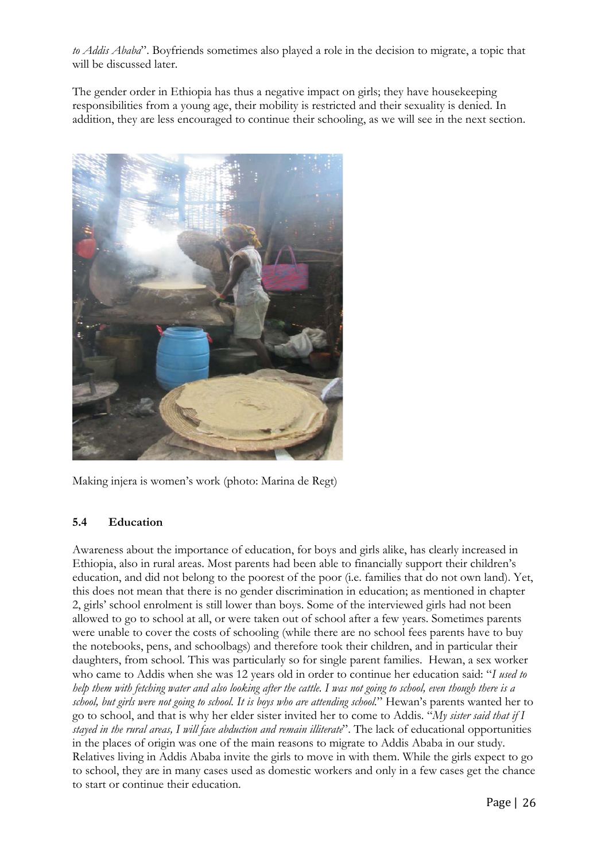*to Addis Ababa*". Boyfriends sometimes also played a role in the decision to migrate, a topic that will be discussed later.

The gender order in Ethiopia has thus a negative impact on girls; they have housekeeping responsibilities from a young age, their mobility is restricted and their sexuality is denied. In addition, they are less encouraged to continue their schooling, as we will see in the next section.



Making injera is women's work (photo: Marina de Regt)

## **5.4 Education**

Awareness about the importance of education, for boys and girls alike, has clearly increased in Ethiopia, also in rural areas. Most parents had been able to financially support their children's education, and did not belong to the poorest of the poor (i.e. families that do not own land). Yet, this does not mean that there is no gender discrimination in education; as mentioned in chapter 2, girls' school enrolment is still lower than boys. Some of the interviewed girls had not been allowed to go to school at all, or were taken out of school after a few years. Sometimes parents were unable to cover the costs of schooling (while there are no school fees parents have to buy the notebooks, pens, and schoolbags) and therefore took their children, and in particular their daughters, from school. This was particularly so for single parent families. Hewan, a sex worker who came to Addis when she was 12 years old in order to continue her education said: "*I used to help them with fetching water and also looking after the cattle. I was not going to school, even though there is a school, but girls were not going to school. It is boys who are attending school.*" Hewan's parents wanted her to go to school, and that is why her elder sister invited her to come to Addis. "*My sister said that if I stayed in the rural areas, I will face abduction and remain illiterate*". The lack of educational opportunities in the places of origin was one of the main reasons to migrate to Addis Ababa in our study. Relatives living in Addis Ababa invite the girls to move in with them. While the girls expect to go to school, they are in many cases used as domestic workers and only in a few cases get the chance to start or continue their education.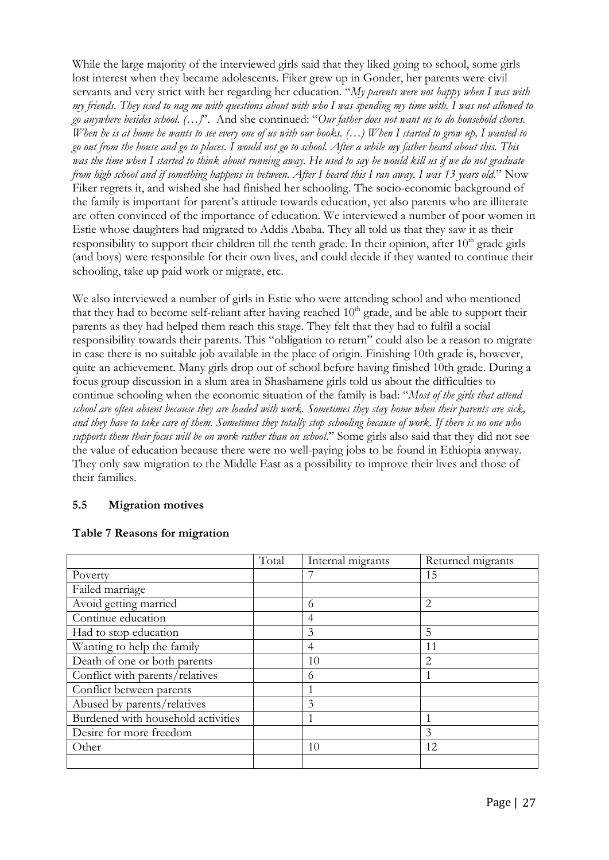While the large majority of the interviewed girls said that they liked going to school, some girls lost interest when they became adolescents. Fiker grew up in Gonder, her parents were civil servants and very strict with her regarding her education. "*My parents were not happy when I was with my friends. They used to nag me with questions about with who I was spending my time with. I was not allowed to go anywhere besides school. (…)*". And she continued: "*Our father does not want us to do household chores. When he is at home he wants to see every one of us with our books. (…) When I started to grow up, I wanted to go out from the house and go to places. I would not go to school. After a while my father heard about this. This was the time when I started to think about running away. He used to say he would kill us if we do not graduate from high school and if something happens in between. After I heard this I ran away. I was 13 years old.*" Now Fiker regrets it, and wished she had finished her schooling. The socio-economic background of the family is important for parent's attitude towards education, yet also parents who are illiterate are often convinced of the importance of education. We interviewed a number of poor women in Estie whose daughters had migrated to Addis Ababa. They all told us that they saw it as their responsibility to support their children till the tenth grade. In their opinion, after  $10<sup>th</sup>$  grade girls (and boys) were responsible for their own lives, and could decide if they wanted to continue their schooling, take up paid work or migrate, etc.

We also interviewed a number of girls in Estie who were attending school and who mentioned that they had to become self-reliant after having reached  $10<sup>th</sup>$  grade, and be able to support their parents as they had helped them reach this stage. They felt that they had to fulfil a social responsibility towards their parents. This "obligation to return" could also be a reason to migrate in case there is no suitable job available in the place of origin. Finishing 10th grade is, however, quite an achievement. Many girls drop out of school before having finished 10th grade. During a focus group discussion in a slum area in Shashamene girls told us about the difficulties to continue schooling when the economic situation of the family is bad: "*Most of the girls that attend school are often absent because they are loaded with work. Sometimes they stay home when their parents are sick, and they have to take care of them. Sometimes they totally stop schooling because of work. If there is no one who supports them their focus will be on work rather than on school*." Some girls also said that they did not see the value of education because there were no well-paying jobs to be found in Ethiopia anyway. They only saw migration to the Middle East as a possibility to improve their lives and those of their families.

## **5.5 Migration motives**

| <b>Table 7 Reasons for migration</b> |  |
|--------------------------------------|--|
|--------------------------------------|--|

|                                    | Total | Internal migrants | Returned migrants |
|------------------------------------|-------|-------------------|-------------------|
| Poverty                            |       |                   | 15                |
| Failed marriage                    |       |                   |                   |
| Avoid getting married              |       | 6                 | $\overline{2}$    |
| Continue education                 |       | $\overline{4}$    |                   |
| Had to stop education              |       | 3                 | 5                 |
| Wanting to help the family         |       | $\overline{4}$    | 11                |
| Death of one or both parents       |       | 10                | $\overline{2}$    |
| Conflict with parents/relatives    |       | 6                 |                   |
| Conflict between parents           |       |                   |                   |
| Abused by parents/relatives        |       | 3                 |                   |
| Burdened with household activities |       |                   |                   |
| Desire for more freedom            |       |                   | $\mathcal{E}$     |
| Other                              |       | 10                | 12                |
|                                    |       |                   |                   |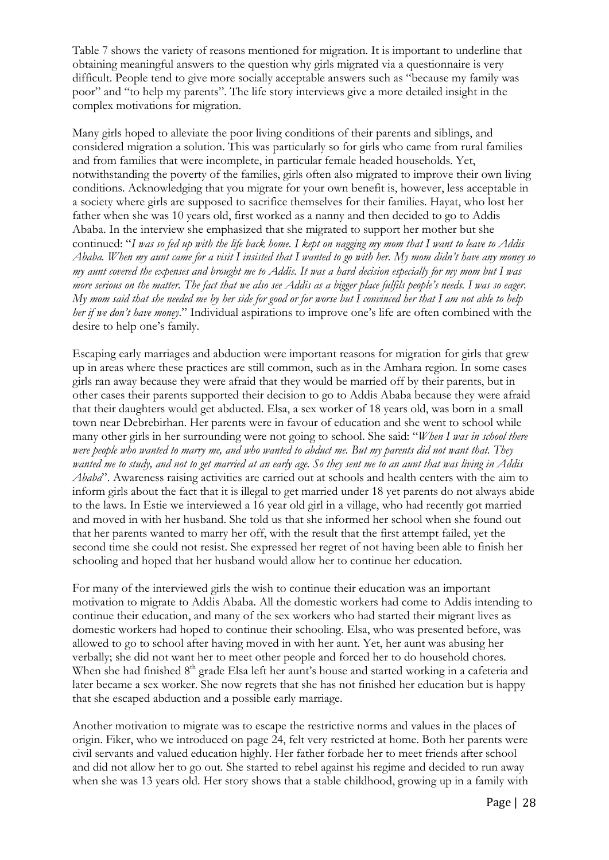Table 7 shows the variety of reasons mentioned for migration. It is important to underline that obtaining meaningful answers to the question why girls migrated via a questionnaire is very difficult. People tend to give more socially acceptable answers such as "because my family was poor" and "to help my parents". The life story interviews give a more detailed insight in the complex motivations for migration.

Many girls hoped to alleviate the poor living conditions of their parents and siblings, and considered migration a solution. This was particularly so for girls who came from rural families and from families that were incomplete, in particular female headed households. Yet, notwithstanding the poverty of the families, girls often also migrated to improve their own living conditions. Acknowledging that you migrate for your own benefit is, however, less acceptable in a society where girls are supposed to sacrifice themselves for their families. Hayat, who lost her father when she was 10 years old, first worked as a nanny and then decided to go to Addis Ababa. In the interview she emphasized that she migrated to support her mother but she continued: "*I was so fed up with the life back home. I kept on nagging my mom that I want to leave to Addis Ababa. When my aunt came for a visit I insisted that I wanted to go with her. My mom didn't have any money so my aunt covered the expenses and brought me to Addis. It was a hard decision especially for my mom but I was more serious on the matter. The fact that we also see Addis as a bigger place fulfils people's needs. I was so eager. My mom said that she needed me by her side for good or for worse but I convinced her that I am not able to help her if we don't have money*." Individual aspirations to improve one's life are often combined with the desire to help one's family.

Escaping early marriages and abduction were important reasons for migration for girls that grew up in areas where these practices are still common, such as in the Amhara region. In some cases girls ran away because they were afraid that they would be married off by their parents, but in other cases their parents supported their decision to go to Addis Ababa because they were afraid that their daughters would get abducted. Elsa, a sex worker of 18 years old, was born in a small town near Debrebirhan. Her parents were in favour of education and she went to school while many other girls in her surrounding were not going to school. She said: "*When I was in school there were people who wanted to marry me, and who wanted to abduct me. But my parents did not want that. They wanted me to study, and not to get married at an early age. So they sent me to an aunt that was living in Addis Ababa*". Awareness raising activities are carried out at schools and health centers with the aim to inform girls about the fact that it is illegal to get married under 18 yet parents do not always abide to the laws. In Estie we interviewed a 16 year old girl in a village, who had recently got married and moved in with her husband. She told us that she informed her school when she found out that her parents wanted to marry her off, with the result that the first attempt failed, yet the second time she could not resist. She expressed her regret of not having been able to finish her schooling and hoped that her husband would allow her to continue her education.

For many of the interviewed girls the wish to continue their education was an important motivation to migrate to Addis Ababa. All the domestic workers had come to Addis intending to continue their education, and many of the sex workers who had started their migrant lives as domestic workers had hoped to continue their schooling. Elsa, who was presented before, was allowed to go to school after having moved in with her aunt. Yet, her aunt was abusing her verbally; she did not want her to meet other people and forced her to do household chores. When she had finished 8<sup>th</sup> grade Elsa left her aunt's house and started working in a cafeteria and later became a sex worker. She now regrets that she has not finished her education but is happy that she escaped abduction and a possible early marriage.

Another motivation to migrate was to escape the restrictive norms and values in the places of origin. Fiker, who we introduced on page 24, felt very restricted at home. Both her parents were civil servants and valued education highly. Her father forbade her to meet friends after school and did not allow her to go out. She started to rebel against his regime and decided to run away when she was 13 years old. Her story shows that a stable childhood, growing up in a family with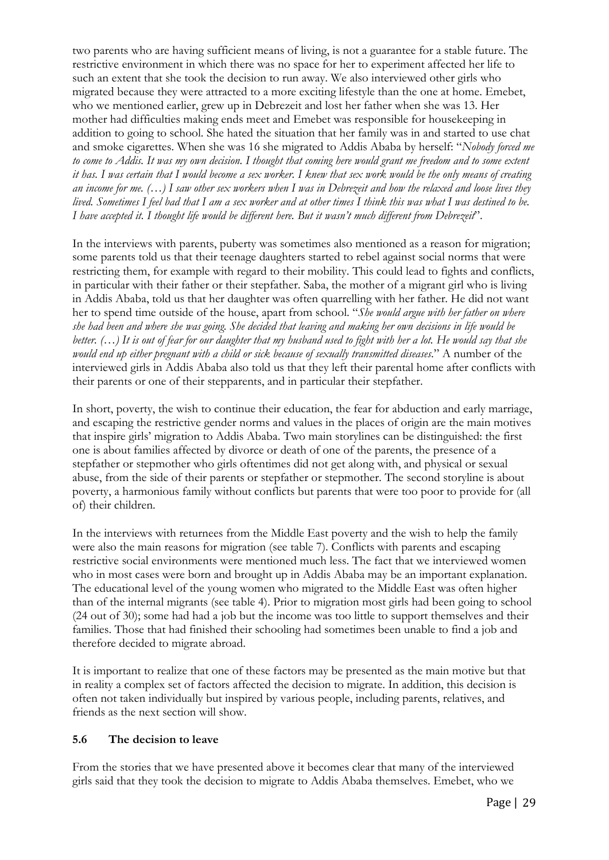two parents who are having sufficient means of living, is not a guarantee for a stable future. The restrictive environment in which there was no space for her to experiment affected her life to such an extent that she took the decision to run away. We also interviewed other girls who migrated because they were attracted to a more exciting lifestyle than the one at home. Emebet, who we mentioned earlier, grew up in Debrezeit and lost her father when she was 13. Her mother had difficulties making ends meet and Emebet was responsible for housekeeping in addition to going to school. She hated the situation that her family was in and started to use chat and smoke cigarettes. When she was 16 she migrated to Addis Ababa by herself: "*Nobody forced me*  to come to Addis. It was my own decision. I thought that coming here would grant me freedom and to some extent *it has. I was certain that I would become a sex worker. I knew that sex work would be the only means of creating an income for me. (…) I saw other sex workers when I was in Debrezeit and how the relaxed and loose lives they lived. Sometimes I feel bad that I am a sex worker and at other times I think this was what I was destined to be. I have accepted it. I thought life would be different here. But it wasn't much different from Debrezeit*".

In the interviews with parents, puberty was sometimes also mentioned as a reason for migration; some parents told us that their teenage daughters started to rebel against social norms that were restricting them, for example with regard to their mobility. This could lead to fights and conflicts, in particular with their father or their stepfather. Saba, the mother of a migrant girl who is living in Addis Ababa, told us that her daughter was often quarrelling with her father. He did not want her to spend time outside of the house, apart from school. "*She would argue with her father on where she had been and where she was going. She decided that leaving and making her own decisions in life would be better. (…) It is out of fear for our daughter that my husband used to fight with her a lot. He would say that she would end up either pregnant with a child or sick because of sexually transmitted diseases*." A number of the interviewed girls in Addis Ababa also told us that they left their parental home after conflicts with their parents or one of their stepparents, and in particular their stepfather.

In short, poverty, the wish to continue their education, the fear for abduction and early marriage, and escaping the restrictive gender norms and values in the places of origin are the main motives that inspire girls' migration to Addis Ababa. Two main storylines can be distinguished: the first one is about families affected by divorce or death of one of the parents, the presence of a stepfather or stepmother who girls oftentimes did not get along with, and physical or sexual abuse, from the side of their parents or stepfather or stepmother. The second storyline is about poverty, a harmonious family without conflicts but parents that were too poor to provide for (all of) their children.

In the interviews with returnees from the Middle East poverty and the wish to help the family were also the main reasons for migration (see table 7). Conflicts with parents and escaping restrictive social environments were mentioned much less. The fact that we interviewed women who in most cases were born and brought up in Addis Ababa may be an important explanation. The educational level of the young women who migrated to the Middle East was often higher than of the internal migrants (see table 4). Prior to migration most girls had been going to school (24 out of 30); some had had a job but the income was too little to support themselves and their families. Those that had finished their schooling had sometimes been unable to find a job and therefore decided to migrate abroad.

It is important to realize that one of these factors may be presented as the main motive but that in reality a complex set of factors affected the decision to migrate. In addition, this decision is often not taken individually but inspired by various people, including parents, relatives, and friends as the next section will show.

#### **5.6 The decision to leave**

From the stories that we have presented above it becomes clear that many of the interviewed girls said that they took the decision to migrate to Addis Ababa themselves. Emebet, who we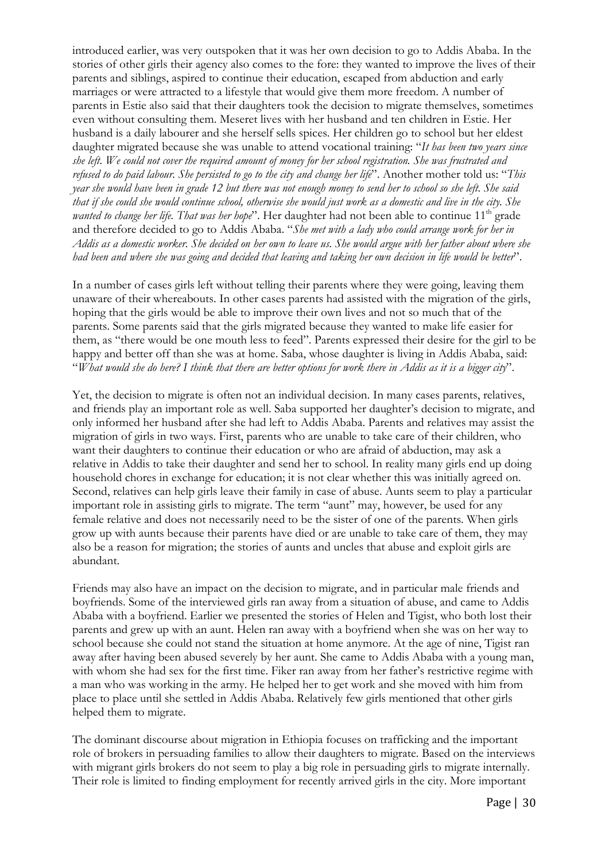introduced earlier, was very outspoken that it was her own decision to go to Addis Ababa. In the stories of other girls their agency also comes to the fore: they wanted to improve the lives of their parents and siblings, aspired to continue their education, escaped from abduction and early marriages or were attracted to a lifestyle that would give them more freedom. A number of parents in Estie also said that their daughters took the decision to migrate themselves, sometimes even without consulting them. Meseret lives with her husband and ten children in Estie. Her husband is a daily labourer and she herself sells spices. Her children go to school but her eldest daughter migrated because she was unable to attend vocational training: "*It has been two years since she left. We could not cover the required amount of money for her school registration. She was frustrated and refused to do paid labour. She persisted to go to the city and change her life*". Another mother told us: "*This year she would have been in grade 12 but there was not enough money to send her to school so she left. She said that if she could she would continue school, otherwise she would just work as a domestic and live in the city. She wanted to change her life. That was her hope*". Her daughter had not been able to continue 11<sup>th</sup> grade and therefore decided to go to Addis Ababa. "*She met with a lady who could arrange work for her in Addis as a domestic worker. She decided on her own to leave us. She would argue with her father about where she had been and where she was going and decided that leaving and taking her own decision in life would be better*".

In a number of cases girls left without telling their parents where they were going, leaving them unaware of their whereabouts. In other cases parents had assisted with the migration of the girls, hoping that the girls would be able to improve their own lives and not so much that of the parents. Some parents said that the girls migrated because they wanted to make life easier for them, as "there would be one mouth less to feed". Parents expressed their desire for the girl to be happy and better off than she was at home. Saba, whose daughter is living in Addis Ababa, said: "*What would she do here? I think that there are better options for work there in Addis as it is a bigger city*".

Yet, the decision to migrate is often not an individual decision. In many cases parents, relatives, and friends play an important role as well. Saba supported her daughter's decision to migrate, and only informed her husband after she had left to Addis Ababa. Parents and relatives may assist the migration of girls in two ways. First, parents who are unable to take care of their children, who want their daughters to continue their education or who are afraid of abduction, may ask a relative in Addis to take their daughter and send her to school. In reality many girls end up doing household chores in exchange for education; it is not clear whether this was initially agreed on. Second, relatives can help girls leave their family in case of abuse. Aunts seem to play a particular important role in assisting girls to migrate. The term "aunt" may, however, be used for any female relative and does not necessarily need to be the sister of one of the parents. When girls grow up with aunts because their parents have died or are unable to take care of them, they may also be a reason for migration; the stories of aunts and uncles that abuse and exploit girls are abundant.

Friends may also have an impact on the decision to migrate, and in particular male friends and boyfriends. Some of the interviewed girls ran away from a situation of abuse, and came to Addis Ababa with a boyfriend. Earlier we presented the stories of Helen and Tigist, who both lost their parents and grew up with an aunt. Helen ran away with a boyfriend when she was on her way to school because she could not stand the situation at home anymore. At the age of nine, Tigist ran away after having been abused severely by her aunt. She came to Addis Ababa with a young man, with whom she had sex for the first time. Fiker ran away from her father's restrictive regime with a man who was working in the army. He helped her to get work and she moved with him from place to place until she settled in Addis Ababa. Relatively few girls mentioned that other girls helped them to migrate.

The dominant discourse about migration in Ethiopia focuses on trafficking and the important role of brokers in persuading families to allow their daughters to migrate. Based on the interviews with migrant girls brokers do not seem to play a big role in persuading girls to migrate internally. Their role is limited to finding employment for recently arrived girls in the city. More important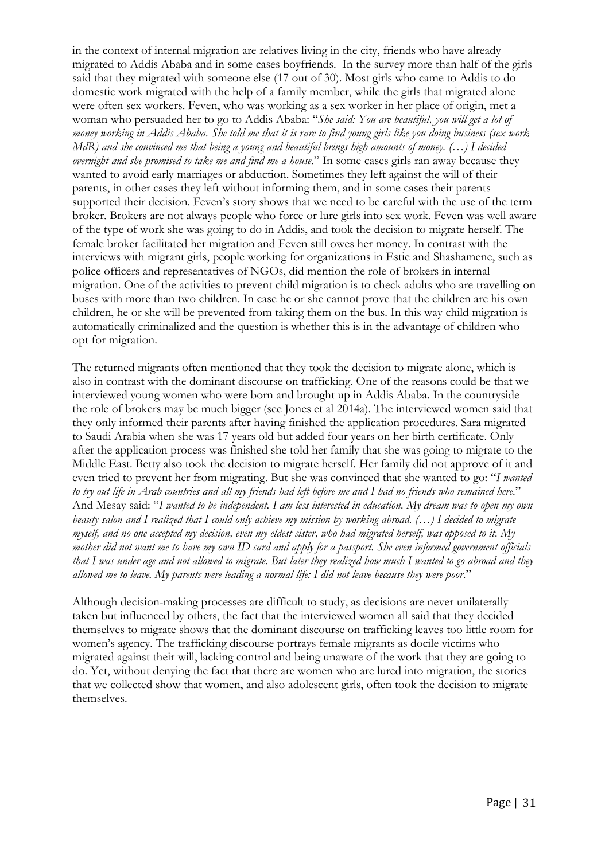in the context of internal migration are relatives living in the city, friends who have already migrated to Addis Ababa and in some cases boyfriends. In the survey more than half of the girls said that they migrated with someone else (17 out of 30). Most girls who came to Addis to do domestic work migrated with the help of a family member, while the girls that migrated alone were often sex workers. Feven, who was working as a sex worker in her place of origin, met a woman who persuaded her to go to Addis Ababa: "*She said: You are beautiful, you will get a lot of money working in Addis Ababa. She told me that it is rare to find young girls like you doing business (sex work MdR) and she convinced me that being a young and beautiful brings high amounts of money. (…) I decided overnight and she promised to take me and find me a house*." In some cases girls ran away because they wanted to avoid early marriages or abduction. Sometimes they left against the will of their parents, in other cases they left without informing them, and in some cases their parents supported their decision. Feven's story shows that we need to be careful with the use of the term broker. Brokers are not always people who force or lure girls into sex work. Feven was well aware of the type of work she was going to do in Addis, and took the decision to migrate herself. The female broker facilitated her migration and Feven still owes her money. In contrast with the interviews with migrant girls, people working for organizations in Estie and Shashamene, such as police officers and representatives of NGOs, did mention the role of brokers in internal migration. One of the activities to prevent child migration is to check adults who are travelling on buses with more than two children. In case he or she cannot prove that the children are his own children, he or she will be prevented from taking them on the bus. In this way child migration is automatically criminalized and the question is whether this is in the advantage of children who opt for migration.

The returned migrants often mentioned that they took the decision to migrate alone, which is also in contrast with the dominant discourse on trafficking. One of the reasons could be that we interviewed young women who were born and brought up in Addis Ababa. In the countryside the role of brokers may be much bigger (see Jones et al 2014a). The interviewed women said that they only informed their parents after having finished the application procedures. Sara migrated to Saudi Arabia when she was 17 years old but added four years on her birth certificate. Only after the application process was finished she told her family that she was going to migrate to the Middle East. Betty also took the decision to migrate herself. Her family did not approve of it and even tried to prevent her from migrating. But she was convinced that she wanted to go: "*I wanted to try out life in Arab countries and all my friends had left before me and I had no friends who remained here*." And Mesay said: "*I wanted to be independent. I am less interested in education. My dream was to open my own beauty salon and I realized that I could only achieve my mission by working abroad. (…) I decided to migrate myself, and no one accepted my decision, even my eldest sister, who had migrated herself, was opposed to it. My mother did not want me to have my own ID card and apply for a passport. She even informed government officials that I was under age and not allowed to migrate. But later they realized how much I wanted to go abroad and they allowed me to leave. My parents were leading a normal life: I did not leave because they were poor*."

Although decision-making processes are difficult to study, as decisions are never unilaterally taken but influenced by others, the fact that the interviewed women all said that they decided themselves to migrate shows that the dominant discourse on trafficking leaves too little room for women's agency. The trafficking discourse portrays female migrants as docile victims who migrated against their will, lacking control and being unaware of the work that they are going to do. Yet, without denying the fact that there are women who are lured into migration, the stories that we collected show that women, and also adolescent girls, often took the decision to migrate themselves.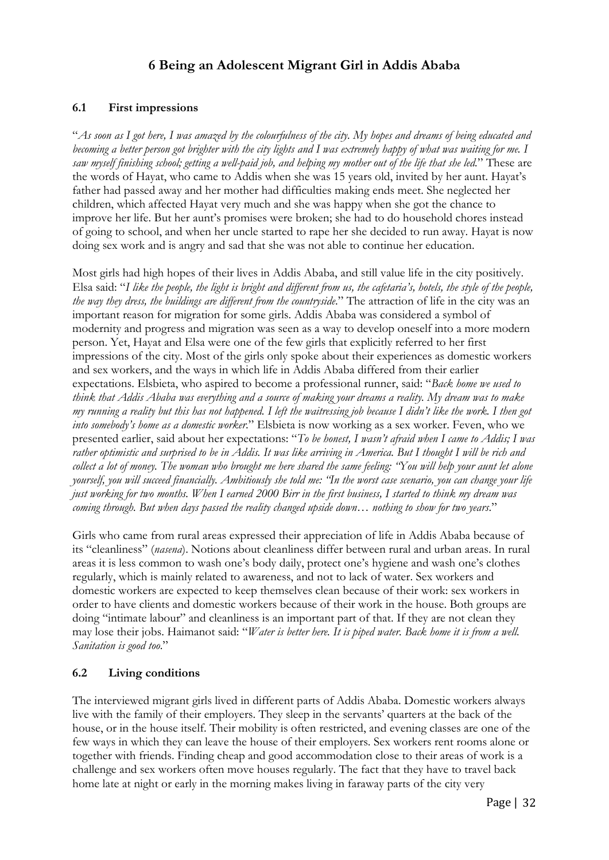# **6 Being an Adolescent Migrant Girl in Addis Ababa**

#### **6.1 First impressions**

"*As soon as I got here, I was amazed by the colourfulness of the city. My hopes and dreams of being educated and*  becoming a better person got brighter with the city lights and I was extremely happy of what was waiting for me. I *saw myself finishing school; getting a well-paid job, and helping my mother out of the life that she led.*" These are the words of Hayat, who came to Addis when she was 15 years old, invited by her aunt. Hayat's father had passed away and her mother had difficulties making ends meet. She neglected her children, which affected Hayat very much and she was happy when she got the chance to improve her life. But her aunt's promises were broken; she had to do household chores instead of going to school, and when her uncle started to rape her she decided to run away. Hayat is now doing sex work and is angry and sad that she was not able to continue her education.

Most girls had high hopes of their lives in Addis Ababa, and still value life in the city positively. Elsa said: "*I like the people, the light is bright and different from us, the cafetaria's, hotels, the style of the people, the way they dress, the buildings are different from the countryside*." The attraction of life in the city was an important reason for migration for some girls. Addis Ababa was considered a symbol of modernity and progress and migration was seen as a way to develop oneself into a more modern person. Yet, Hayat and Elsa were one of the few girls that explicitly referred to her first impressions of the city. Most of the girls only spoke about their experiences as domestic workers and sex workers, and the ways in which life in Addis Ababa differed from their earlier expectations. Elsbieta, who aspired to become a professional runner, said: "*Back home we used to think that Addis Ababa was everything and a source of making your dreams a reality. My dream was to make my running a reality but this has not happened. I left the waitressing job because I didn't like the work. I then got into somebody's home as a domestic worker*." Elsbieta is now working as a sex worker. Feven, who we presented earlier, said about her expectations: "*To be honest, I wasn't afraid when I came to Addis; I was rather optimistic and surprised to be in Addis. It was like arriving in America. But I thought I will be rich and collect a lot of money. The woman who brought me here shared the same feeling: "You will help your aunt let alone yourself, you will succeed financially. Ambitiously she told me: "In the worst case scenario, you can change your life just working for two months. When I earned 2000 Birr in the first business, I started to think my dream was coming through. But when days passed the reality changed upside down… nothing to show for two years*."

Girls who came from rural areas expressed their appreciation of life in Addis Ababa because of its "cleanliness" (*nasena*). Notions about cleanliness differ between rural and urban areas. In rural areas it is less common to wash one's body daily, protect one's hygiene and wash one's clothes regularly, which is mainly related to awareness, and not to lack of water. Sex workers and domestic workers are expected to keep themselves clean because of their work: sex workers in order to have clients and domestic workers because of their work in the house. Both groups are doing "intimate labour" and cleanliness is an important part of that. If they are not clean they may lose their jobs. Haimanot said: "*Water is better here. It is piped water. Back home it is from a well. Sanitation is good too*."

## **6.2 Living conditions**

The interviewed migrant girls lived in different parts of Addis Ababa. Domestic workers always live with the family of their employers. They sleep in the servants' quarters at the back of the house, or in the house itself. Their mobility is often restricted, and evening classes are one of the few ways in which they can leave the house of their employers. Sex workers rent rooms alone or together with friends. Finding cheap and good accommodation close to their areas of work is a challenge and sex workers often move houses regularly. The fact that they have to travel back home late at night or early in the morning makes living in faraway parts of the city very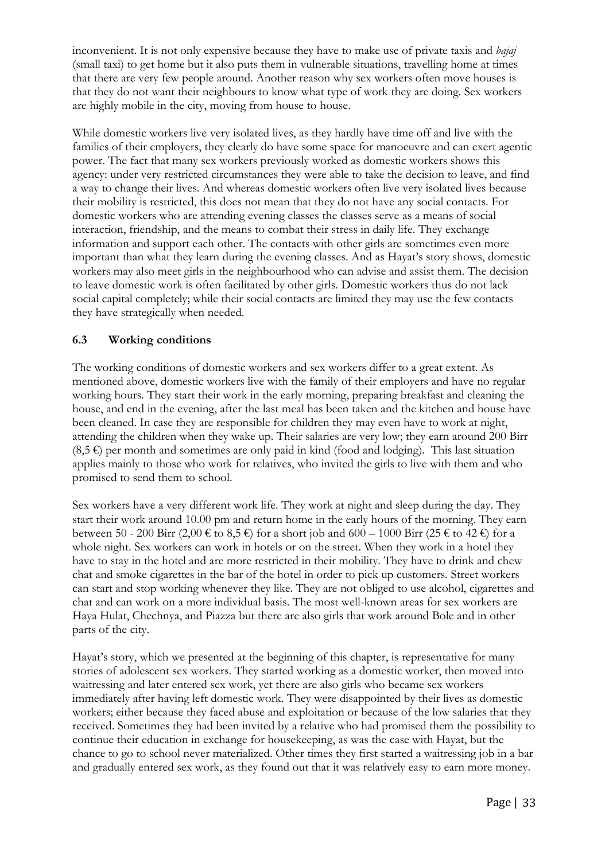inconvenient. It is not only expensive because they have to make use of private taxis and *bajaj* (small taxi) to get home but it also puts them in vulnerable situations, travelling home at times that there are very few people around. Another reason why sex workers often move houses is that they do not want their neighbours to know what type of work they are doing. Sex workers are highly mobile in the city, moving from house to house.

While domestic workers live very isolated lives, as they hardly have time off and live with the families of their employers, they clearly do have some space for manoeuvre and can exert agentic power. The fact that many sex workers previously worked as domestic workers shows this agency: under very restricted circumstances they were able to take the decision to leave, and find a way to change their lives. And whereas domestic workers often live very isolated lives because their mobility is restricted, this does not mean that they do not have any social contacts. For domestic workers who are attending evening classes the classes serve as a means of social interaction, friendship, and the means to combat their stress in daily life. They exchange information and support each other. The contacts with other girls are sometimes even more important than what they learn during the evening classes. And as Hayat's story shows, domestic workers may also meet girls in the neighbourhood who can advise and assist them. The decision to leave domestic work is often facilitated by other girls. Domestic workers thus do not lack social capital completely; while their social contacts are limited they may use the few contacts they have strategically when needed.

## **6.3 Working conditions**

The working conditions of domestic workers and sex workers differ to a great extent. As mentioned above, domestic workers live with the family of their employers and have no regular working hours. They start their work in the early morning, preparing breakfast and cleaning the house, and end in the evening, after the last meal has been taken and the kitchen and house have been cleaned. In case they are responsible for children they may even have to work at night, attending the children when they wake up. Their salaries are very low; they earn around 200 Birr  $(8,5 \epsilon)$  per month and sometimes are only paid in kind (food and lodging). This last situation applies mainly to those who work for relatives, who invited the girls to live with them and who promised to send them to school.

Sex workers have a very different work life. They work at night and sleep during the day. They start their work around 10.00 pm and return home in the early hours of the morning. They earn between 50 - 200 Birr (2,00 € to 8,5 €) for a short job and 600 – 1000 Birr (25 € to 42 €) for a whole night. Sex workers can work in hotels or on the street. When they work in a hotel they have to stay in the hotel and are more restricted in their mobility. They have to drink and chew chat and smoke cigarettes in the bar of the hotel in order to pick up customers. Street workers can start and stop working whenever they like. They are not obliged to use alcohol, cigarettes and chat and can work on a more individual basis. The most well-known areas for sex workers are Haya Hulat, Chechnya, and Piazza but there are also girls that work around Bole and in other parts of the city.

Hayat's story, which we presented at the beginning of this chapter, is representative for many stories of adolescent sex workers. They started working as a domestic worker, then moved into waitressing and later entered sex work, yet there are also girls who became sex workers immediately after having left domestic work. They were disappointed by their lives as domestic workers; either because they faced abuse and exploitation or because of the low salaries that they received. Sometimes they had been invited by a relative who had promised them the possibility to continue their education in exchange for housekeeping, as was the case with Hayat, but the chance to go to school never materialized. Other times they first started a waitressing job in a bar and gradually entered sex work, as they found out that it was relatively easy to earn more money.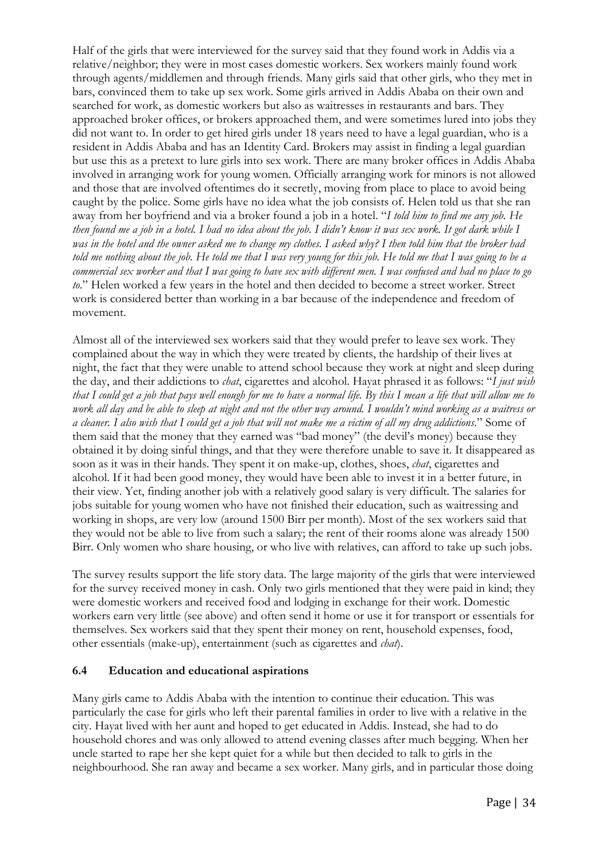Half of the girls that were interviewed for the survey said that they found work in Addis via a relative/neighbor; they were in most cases domestic workers. Sex workers mainly found work through agents/middlemen and through friends. Many girls said that other girls, who they met in bars, convinced them to take up sex work. Some girls arrived in Addis Ababa on their own and searched for work, as domestic workers but also as waitresses in restaurants and bars. They approached broker offices, or brokers approached them, and were sometimes lured into jobs they did not want to. In order to get hired girls under 18 years need to have a legal guardian, who is a resident in Addis Ababa and has an Identity Card. Brokers may assist in finding a legal guardian but use this as a pretext to lure girls into sex work. There are many broker offices in Addis Ababa involved in arranging work for young women. Officially arranging work for minors is not allowed and those that are involved oftentimes do it secretly, moving from place to place to avoid being caught by the police. Some girls have no idea what the job consists of. Helen told us that she ran away from her boyfriend and via a broker found a job in a hotel. "*I told him to find me any job. He then found me a job in a hotel. I had no idea about the job. I didn't know it was sex work. It got dark while I was in the hotel and the owner asked me to change my clothes. I asked why? I then told him that the broker had told me nothing about the job. He told me that I was very young for this job. He told me that I was going to be a commercial sex worker and that I was going to have sex with different men. I was confused and had no place to go to*." Helen worked a few years in the hotel and then decided to become a street worker. Street work is considered better than working in a bar because of the independence and freedom of movement.

Almost all of the interviewed sex workers said that they would prefer to leave sex work. They complained about the way in which they were treated by clients, the hardship of their lives at night, the fact that they were unable to attend school because they work at night and sleep during the day, and their addictions to *chat*, cigarettes and alcohol. Hayat phrased it as follows: "*I just wish that I could get a job that pays well enough for me to have a normal life. By this I mean a life that will allow me to work all day and be able to sleep at night and not the other way around. I wouldn't mind working as a waitress or a cleaner. I also wish that I could get a job that will not make me a victim of all my drug addictions*." Some of them said that the money that they earned was "bad money" (the devil's money) because they obtained it by doing sinful things, and that they were therefore unable to save it. It disappeared as soon as it was in their hands. They spent it on make-up, clothes, shoes, *chat*, cigarettes and alcohol. If it had been good money, they would have been able to invest it in a better future, in their view. Yet, finding another job with a relatively good salary is very difficult. The salaries for jobs suitable for young women who have not finished their education, such as waitressing and working in shops, are very low (around 1500 Birr per month). Most of the sex workers said that they would not be able to live from such a salary; the rent of their rooms alone was already 1500 Birr. Only women who share housing, or who live with relatives, can afford to take up such jobs.

The survey results support the life story data. The large majority of the girls that were interviewed for the survey received money in cash. Only two girls mentioned that they were paid in kind; they were domestic workers and received food and lodging in exchange for their work. Domestic workers earn very little (see above) and often send it home or use it for transport or essentials for themselves. Sex workers said that they spent their money on rent, household expenses, food, other essentials (make-up), entertainment (such as cigarettes and *chat*).

#### **6.4 Education and educational aspirations**

Many girls came to Addis Ababa with the intention to continue their education. This was particularly the case for girls who left their parental families in order to live with a relative in the city. Hayat lived with her aunt and hoped to get educated in Addis. Instead, she had to do household chores and was only allowed to attend evening classes after much begging. When her uncle started to rape her she kept quiet for a while but then decided to talk to girls in the neighbourhood. She ran away and became a sex worker. Many girls, and in particular those doing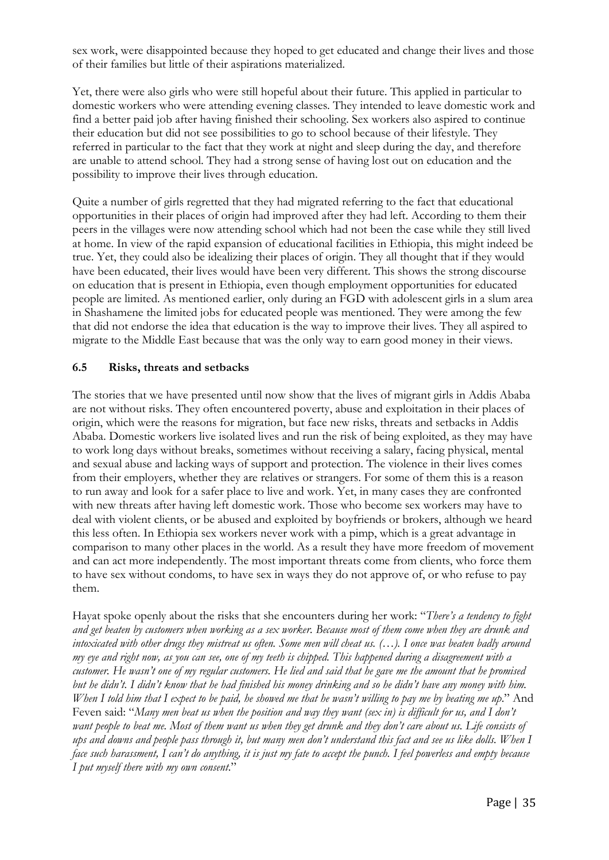sex work, were disappointed because they hoped to get educated and change their lives and those of their families but little of their aspirations materialized.

Yet, there were also girls who were still hopeful about their future. This applied in particular to domestic workers who were attending evening classes. They intended to leave domestic work and find a better paid job after having finished their schooling. Sex workers also aspired to continue their education but did not see possibilities to go to school because of their lifestyle. They referred in particular to the fact that they work at night and sleep during the day, and therefore are unable to attend school. They had a strong sense of having lost out on education and the possibility to improve their lives through education.

Quite a number of girls regretted that they had migrated referring to the fact that educational opportunities in their places of origin had improved after they had left. According to them their peers in the villages were now attending school which had not been the case while they still lived at home. In view of the rapid expansion of educational facilities in Ethiopia, this might indeed be true. Yet, they could also be idealizing their places of origin. They all thought that if they would have been educated, their lives would have been very different. This shows the strong discourse on education that is present in Ethiopia, even though employment opportunities for educated people are limited. As mentioned earlier, only during an FGD with adolescent girls in a slum area in Shashamene the limited jobs for educated people was mentioned. They were among the few that did not endorse the idea that education is the way to improve their lives. They all aspired to migrate to the Middle East because that was the only way to earn good money in their views.

#### **6.5 Risks, threats and setbacks**

The stories that we have presented until now show that the lives of migrant girls in Addis Ababa are not without risks. They often encountered poverty, abuse and exploitation in their places of origin, which were the reasons for migration, but face new risks, threats and setbacks in Addis Ababa. Domestic workers live isolated lives and run the risk of being exploited, as they may have to work long days without breaks, sometimes without receiving a salary, facing physical, mental and sexual abuse and lacking ways of support and protection. The violence in their lives comes from their employers, whether they are relatives or strangers. For some of them this is a reason to run away and look for a safer place to live and work. Yet, in many cases they are confronted with new threats after having left domestic work. Those who become sex workers may have to deal with violent clients, or be abused and exploited by boyfriends or brokers, although we heard this less often. In Ethiopia sex workers never work with a pimp, which is a great advantage in comparison to many other places in the world. As a result they have more freedom of movement and can act more independently. The most important threats come from clients, who force them to have sex without condoms, to have sex in ways they do not approve of, or who refuse to pay them.

Hayat spoke openly about the risks that she encounters during her work: "*There's a tendency to fight and get beaten by customers when working as a sex worker. Because most of them come when they are drunk and intoxicated with other drugs they mistreat us often. Some men will cheat us. (…). I once was beaten badly around my eye and right now, as you can see, one of my teeth is chipped. This happened during a disagreement with a customer. He wasn't one of my regular customers. He lied and said that he gave me the amount that he promised but he didn't. I didn't know that he had finished his money drinking and so he didn't have any money with him. When I told him that I expect to be paid, he showed me that he wasn't willing to pay me by beating me up*." And Feven said: "*Many men beat us when the position and way they want (sex in) is difficult for us, and I don't want people to beat me. Most of them want us when they get drunk and they don't care about us. Life consists of ups and downs and people pass through it, but many men don't understand this fact and see us like dolls. When I face such harassment, I can't do anything, it is just my fate to accept the punch. I feel powerless and empty because I put myself there with my own consent*."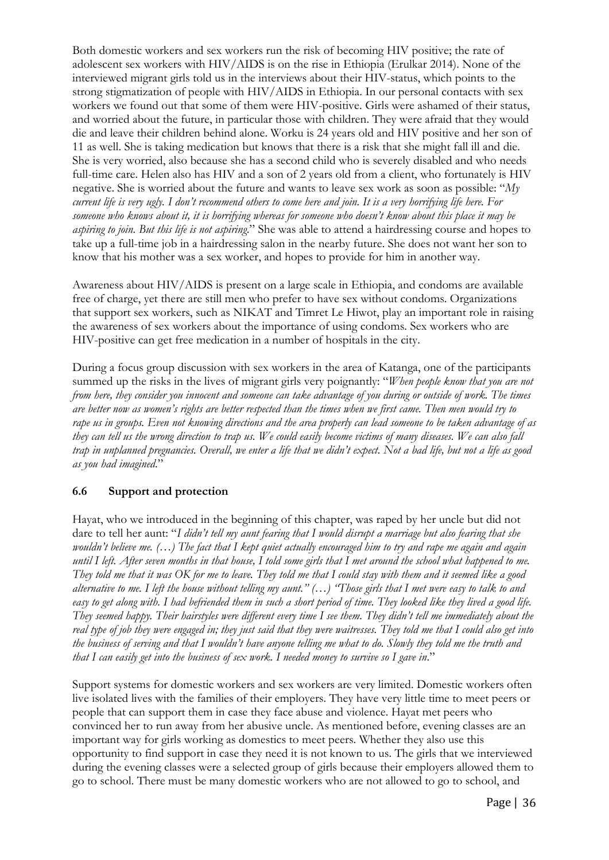Both domestic workers and sex workers run the risk of becoming HIV positive; the rate of adolescent sex workers with HIV/AIDS is on the rise in Ethiopia (Erulkar 2014). None of the interviewed migrant girls told us in the interviews about their HIV-status, which points to the strong stigmatization of people with HIV/AIDS in Ethiopia. In our personal contacts with sex workers we found out that some of them were HIV-positive. Girls were ashamed of their status, and worried about the future, in particular those with children. They were afraid that they would die and leave their children behind alone. Worku is 24 years old and HIV positive and her son of 11 as well. She is taking medication but knows that there is a risk that she might fall ill and die. She is very worried, also because she has a second child who is severely disabled and who needs full-time care. Helen also has HIV and a son of 2 years old from a client, who fortunately is HIV negative. She is worried about the future and wants to leave sex work as soon as possible: "*My current life is very ugly. I don't recommend others to come here and join. It is a very horrifying life here. For someone who knows about it, it is horrifying whereas for someone who doesn't know about this place it may be aspiring to join. But this life is not aspiring*." She was able to attend a hairdressing course and hopes to take up a full-time job in a hairdressing salon in the nearby future. She does not want her son to know that his mother was a sex worker, and hopes to provide for him in another way.

Awareness about HIV/AIDS is present on a large scale in Ethiopia, and condoms are available free of charge, yet there are still men who prefer to have sex without condoms. Organizations that support sex workers, such as NIKAT and Timret Le Hiwot, play an important role in raising the awareness of sex workers about the importance of using condoms. Sex workers who are HIV-positive can get free medication in a number of hospitals in the city.

During a focus group discussion with sex workers in the area of Katanga, one of the participants summed up the risks in the lives of migrant girls very poignantly: "*When people know that you are not from here, they consider you innocent and someone can take advantage of you during or outside of work. The times are better now as women's rights are better respected than the times when we first came. Then men would try to rape us in groups. Even not knowing directions and the area properly can lead someone to be taken advantage of as they can tell us the wrong direction to trap us. We could easily become victims of many diseases. We can also fall trap in unplanned pregnancies. Overall, we enter a life that we didn't expect. Not a bad life, but not a life as good as you had imagined*."

## **6.6 Support and protection**

Hayat, who we introduced in the beginning of this chapter, was raped by her uncle but did not dare to tell her aunt: "*I didn't tell my aunt fearing that I would disrupt a marriage but also fearing that she wouldn't believe me. (...)* The fact that I kept quiet actually encouraged him to try and rape me again and again *until I left. After seven months in that house, I told some girls that I met around the school what happened to me. They told me that it was OK for me to leave. They told me that I could stay with them and it seemed like a good alternative to me. I left the house without telling my aunt." (…) "Those girls that I met were easy to talk to and easy to get along with. I had befriended them in such a short period of time. They looked like they lived a good life. They seemed happy. Their hairstyles were different every time I see them. They didn't tell me immediately about the real type of job they were engaged in; they just said that they were waitresses. They told me that I could also get into the business of serving and that I wouldn't have anyone telling me what to do. Slowly they told me the truth and that I can easily get into the business of sex work. I needed money to survive so I gave in*."

Support systems for domestic workers and sex workers are very limited. Domestic workers often live isolated lives with the families of their employers. They have very little time to meet peers or people that can support them in case they face abuse and violence. Hayat met peers who convinced her to run away from her abusive uncle. As mentioned before, evening classes are an important way for girls working as domestics to meet peers. Whether they also use this opportunity to find support in case they need it is not known to us. The girls that we interviewed during the evening classes were a selected group of girls because their employers allowed them to go to school. There must be many domestic workers who are not allowed to go to school, and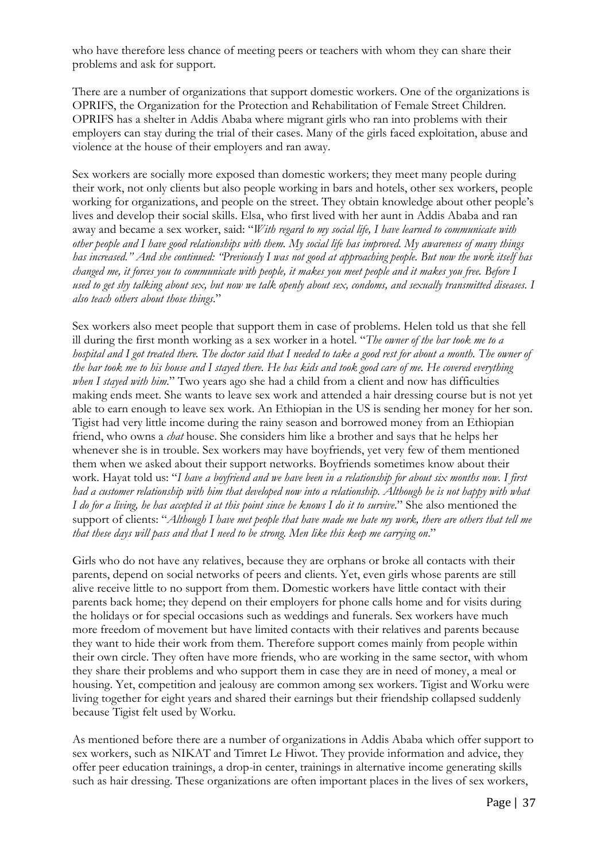who have therefore less chance of meeting peers or teachers with whom they can share their problems and ask for support.

There are a number of organizations that support domestic workers. One of the organizations is OPRIFS, the Organization for the Protection and Rehabilitation of Female Street Children. OPRIFS has a shelter in Addis Ababa where migrant girls who ran into problems with their employers can stay during the trial of their cases. Many of the girls faced exploitation, abuse and violence at the house of their employers and ran away.

Sex workers are socially more exposed than domestic workers; they meet many people during their work, not only clients but also people working in bars and hotels, other sex workers, people working for organizations, and people on the street. They obtain knowledge about other people's lives and develop their social skills. Elsa, who first lived with her aunt in Addis Ababa and ran away and became a sex worker, said: "*With regard to my social life, I have learned to communicate with other people and I have good relationships with them. My social life has improved. My awareness of many things has increased." And she continued: "Previously I was not good at approaching people. But now the work itself has changed me, it forces you to communicate with people, it makes you meet people and it makes you free. Before I used to get shy talking about sex, but now we talk openly about sex, condoms, and sexually transmitted diseases. I also teach others about those things*."

Sex workers also meet people that support them in case of problems. Helen told us that she fell ill during the first month working as a sex worker in a hotel. "*The owner of the bar took me to a hospital and I got treated there. The doctor said that I needed to take a good rest for about a month. The owner of the bar took me to his house and I stayed there. He has kids and took good care of me. He covered everything when I stayed with him*." Two years ago she had a child from a client and now has difficulties making ends meet. She wants to leave sex work and attended a hair dressing course but is not yet able to earn enough to leave sex work. An Ethiopian in the US is sending her money for her son. Tigist had very little income during the rainy season and borrowed money from an Ethiopian friend, who owns a *chat* house. She considers him like a brother and says that he helps her whenever she is in trouble. Sex workers may have boyfriends, yet very few of them mentioned them when we asked about their support networks. Boyfriends sometimes know about their work. Hayat told us: "*I have a boyfriend and we have been in a relationship for about six months now. I first had a customer relationship with him that developed now into a relationship. Although he is not happy with what I do for a living, he has accepted it at this point since he knows I do it to survive*." She also mentioned the support of clients: "*Although I have met people that have made me hate my work, there are others that tell me that these days will pass and that I need to be strong. Men like this keep me carrying on*."

Girls who do not have any relatives, because they are orphans or broke all contacts with their parents, depend on social networks of peers and clients. Yet, even girls whose parents are still alive receive little to no support from them. Domestic workers have little contact with their parents back home; they depend on their employers for phone calls home and for visits during the holidays or for special occasions such as weddings and funerals. Sex workers have much more freedom of movement but have limited contacts with their relatives and parents because they want to hide their work from them. Therefore support comes mainly from people within their own circle. They often have more friends, who are working in the same sector, with whom they share their problems and who support them in case they are in need of money, a meal or housing. Yet, competition and jealousy are common among sex workers. Tigist and Worku were living together for eight years and shared their earnings but their friendship collapsed suddenly because Tigist felt used by Worku.

As mentioned before there are a number of organizations in Addis Ababa which offer support to sex workers, such as NIKAT and Timret Le Hiwot. They provide information and advice, they offer peer education trainings, a drop-in center, trainings in alternative income generating skills such as hair dressing. These organizations are often important places in the lives of sex workers,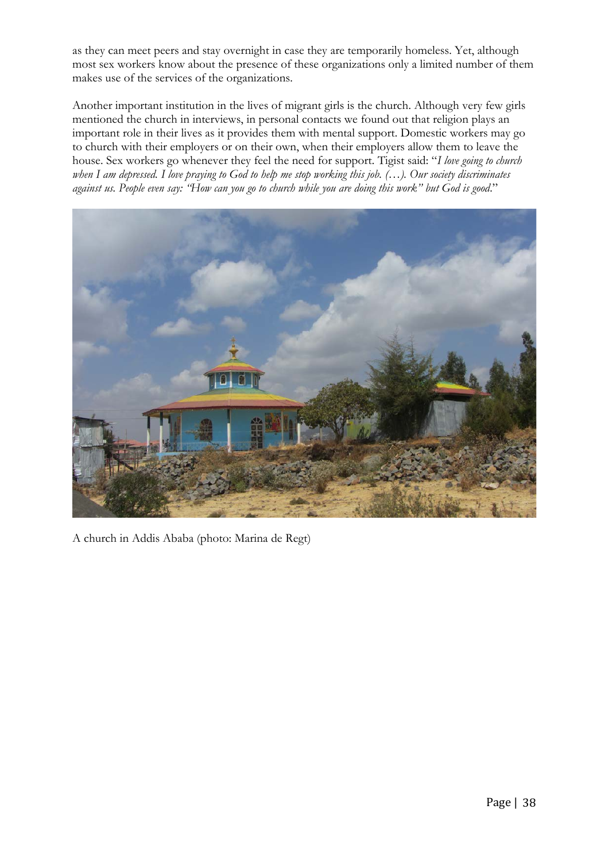as they can meet peers and stay overnight in case they are temporarily homeless. Yet, although most sex workers know about the presence of these organizations only a limited number of them makes use of the services of the organizations.

Another important institution in the lives of migrant girls is the church. Although very few girls mentioned the church in interviews, in personal contacts we found out that religion plays an important role in their lives as it provides them with mental support. Domestic workers may go to church with their employers or on their own, when their employers allow them to leave the house. Sex workers go whenever they feel the need for support. Tigist said: "*I love going to church when I am depressed. I love praying to God to help me stop working this job. (…). Our society discriminates against us. People even say: "How can you go to church while you are doing this work" but God is good*."



A church in Addis Ababa (photo: Marina de Regt)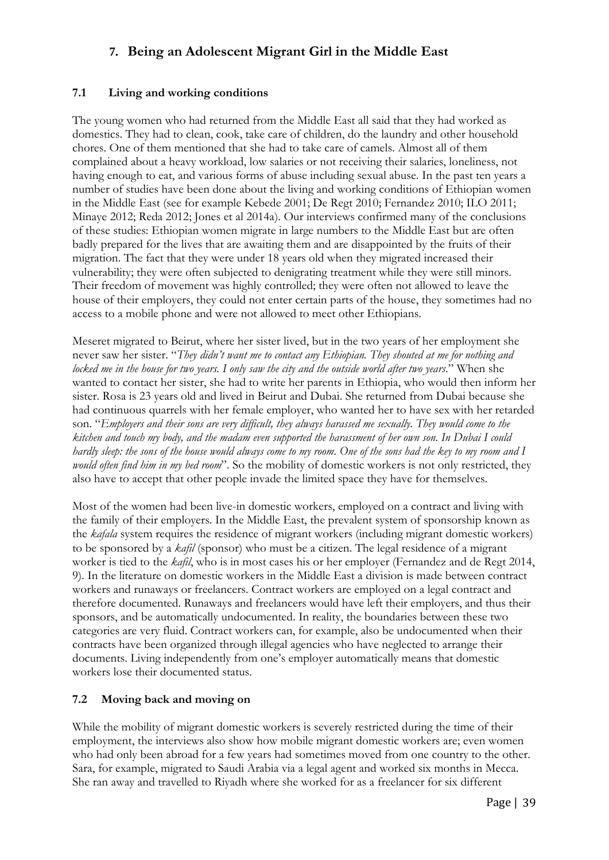# **7. Being an Adolescent Migrant Girl in the Middle East**

## **7.1 Living and working conditions**

The young women who had returned from the Middle East all said that they had worked as domestics. They had to clean, cook, take care of children, do the laundry and other household chores. One of them mentioned that she had to take care of camels. Almost all of them complained about a heavy workload, low salaries or not receiving their salaries, loneliness, not having enough to eat, and various forms of abuse including sexual abuse. In the past ten years a number of studies have been done about the living and working conditions of Ethiopian women in the Middle East (see for example Kebede 2001; De Regt 2010; Fernandez 2010; ILO 2011; Minaye 2012; Reda 2012; Jones et al 2014a). Our interviews confirmed many of the conclusions of these studies: Ethiopian women migrate in large numbers to the Middle East but are often badly prepared for the lives that are awaiting them and are disappointed by the fruits of their migration. The fact that they were under 18 years old when they migrated increased their vulnerability; they were often subjected to denigrating treatment while they were still minors. Their freedom of movement was highly controlled; they were often not allowed to leave the house of their employers, they could not enter certain parts of the house, they sometimes had no access to a mobile phone and were not allowed to meet other Ethiopians.

Meseret migrated to Beirut, where her sister lived, but in the two years of her employment she never saw her sister. "*They didn't want me to contact any Ethiopian. They shouted at me for nothing and locked me in the house for two years. I only saw the city and the outside world after two years*." When she wanted to contact her sister, she had to write her parents in Ethiopia, who would then inform her sister. Rosa is 23 years old and lived in Beirut and Dubai. She returned from Dubai because she had continuous quarrels with her female employer, who wanted her to have sex with her retarded son. "*Employers and their sons are very difficult, they always harassed me sexually. They would come to the kitchen and touch my body, and the madam even supported the harassment of her own son. In Dubai I could hardly sleep: the sons of the house would always come to my room. One of the sons had the key to my room and I would often find him in my bed room*". So the mobility of domestic workers is not only restricted, they also have to accept that other people invade the limited space they have for themselves.

Most of the women had been live-in domestic workers, employed on a contract and living with the family of their employers. In the Middle East, the prevalent system of sponsorship known as the *kafala* system requires the residence of migrant workers (including migrant domestic workers) to be sponsored by a *kafil* (sponsor) who must be a citizen. The legal residence of a migrant worker is tied to the *kafil*, who is in most cases his or her employer (Fernandez and de Regt 2014, 9). In the literature on domestic workers in the Middle East a division is made between contract workers and runaways or freelancers. Contract workers are employed on a legal contract and therefore documented. Runaways and freelancers would have left their employers, and thus their sponsors, and be automatically undocumented. In reality, the boundaries between these two categories are very fluid. Contract workers can, for example, also be undocumented when their contracts have been organized through illegal agencies who have neglected to arrange their documents. Living independently from one's employer automatically means that domestic workers lose their documented status.

#### **7.2 Moving back and moving on**

While the mobility of migrant domestic workers is severely restricted during the time of their employment, the interviews also show how mobile migrant domestic workers are; even women who had only been abroad for a few years had sometimes moved from one country to the other. Sara, for example, migrated to Saudi Arabia via a legal agent and worked six months in Mecca. She ran away and travelled to Riyadh where she worked for as a freelancer for six different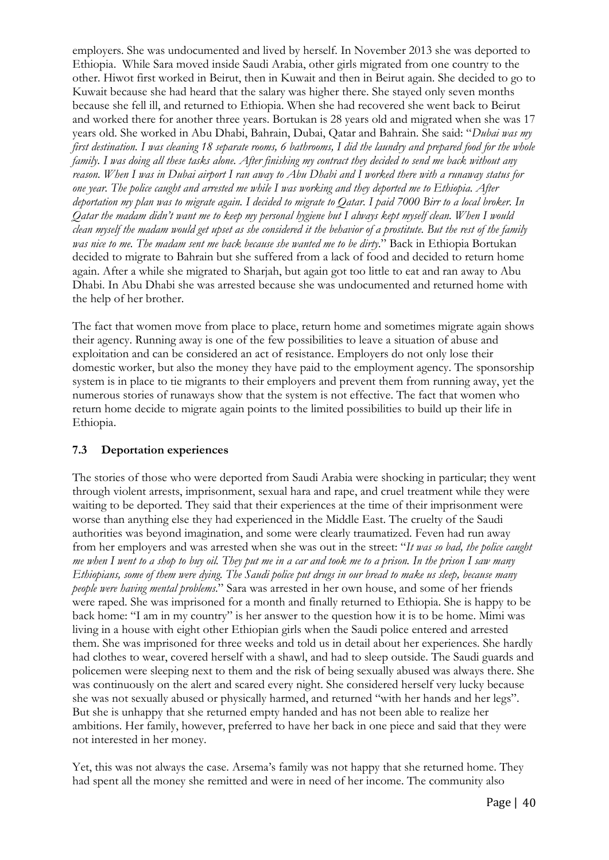employers. She was undocumented and lived by herself. In November 2013 she was deported to Ethiopia. While Sara moved inside Saudi Arabia, other girls migrated from one country to the other. Hiwot first worked in Beirut, then in Kuwait and then in Beirut again. She decided to go to Kuwait because she had heard that the salary was higher there. She stayed only seven months because she fell ill, and returned to Ethiopia. When she had recovered she went back to Beirut and worked there for another three years. Bortukan is 28 years old and migrated when she was 17 years old. She worked in Abu Dhabi, Bahrain, Dubai, Qatar and Bahrain. She said: "*Dubai was my first destination.* I was cleaning 18 separate rooms, 6 bathrooms, I did the laundry and prepared food for the whole *family. I was doing all these tasks alone. After finishing my contract they decided to send me back without any reason. When I was in Dubai airport I ran away to Abu Dhabi and I worked there with a runaway status for one year. The police caught and arrested me while I was working and they deported me to Ethiopia. After deportation my plan was to migrate again. I decided to migrate to Qatar. I paid 7000 Birr to a local broker. In Qatar the madam didn't want me to keep my personal hygiene but I always kept myself clean. When I would clean myself the madam would get upset as she considered it the behavior of a prostitute. But the rest of the family*  was nice to me. The madam sent me back because she wanted me to be dirty." Back in Ethiopia Bortukan decided to migrate to Bahrain but she suffered from a lack of food and decided to return home again. After a while she migrated to Sharjah, but again got too little to eat and ran away to Abu Dhabi. In Abu Dhabi she was arrested because she was undocumented and returned home with the help of her brother.

The fact that women move from place to place, return home and sometimes migrate again shows their agency. Running away is one of the few possibilities to leave a situation of abuse and exploitation and can be considered an act of resistance. Employers do not only lose their domestic worker, but also the money they have paid to the employment agency. The sponsorship system is in place to tie migrants to their employers and prevent them from running away, yet the numerous stories of runaways show that the system is not effective. The fact that women who return home decide to migrate again points to the limited possibilities to build up their life in Ethiopia.

## **7.3 Deportation experiences**

The stories of those who were deported from Saudi Arabia were shocking in particular; they went through violent arrests, imprisonment, sexual hara and rape, and cruel treatment while they were waiting to be deported. They said that their experiences at the time of their imprisonment were worse than anything else they had experienced in the Middle East. The cruelty of the Saudi authorities was beyond imagination, and some were clearly traumatized. Feven had run away from her employers and was arrested when she was out in the street: "*It was so bad, the police caught me when I went to a shop to buy oil. They put me in a car and took me to a prison. In the prison I saw many Ethiopians, some of them were dying. The Saudi police put drugs in our bread to make us sleep, because many people were having mental problems*." Sara was arrested in her own house, and some of her friends were raped. She was imprisoned for a month and finally returned to Ethiopia. She is happy to be back home: "I am in my country" is her answer to the question how it is to be home. Mimi was living in a house with eight other Ethiopian girls when the Saudi police entered and arrested them. She was imprisoned for three weeks and told us in detail about her experiences. She hardly had clothes to wear, covered herself with a shawl, and had to sleep outside. The Saudi guards and policemen were sleeping next to them and the risk of being sexually abused was always there. She was continuously on the alert and scared every night. She considered herself very lucky because she was not sexually abused or physically harmed, and returned "with her hands and her legs". But she is unhappy that she returned empty handed and has not been able to realize her ambitions. Her family, however, preferred to have her back in one piece and said that they were not interested in her money.

Yet, this was not always the case. Arsema's family was not happy that she returned home. They had spent all the money she remitted and were in need of her income. The community also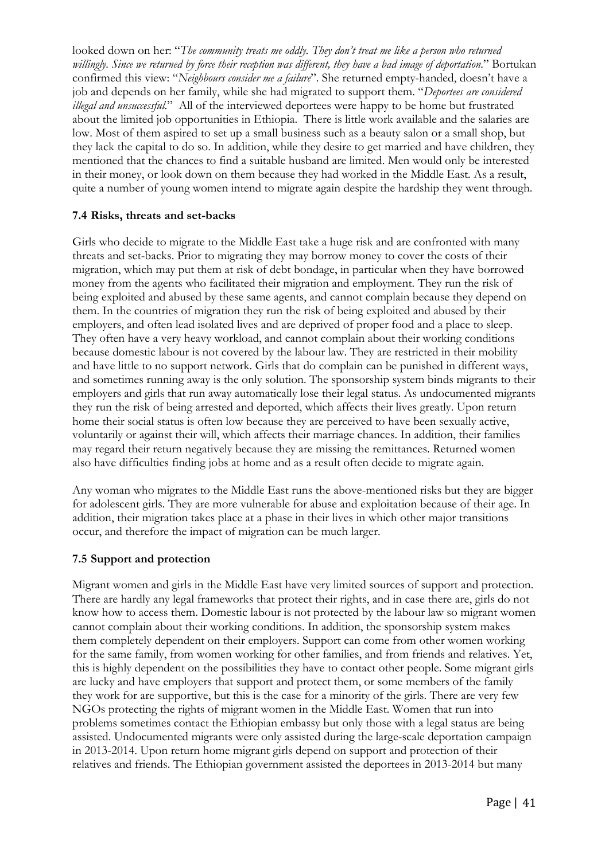looked down on her: "*The community treats me oddly*. They don't treat me like a person who returned *willingly. Since we returned by force their reception was different, they have a bad image of deportation*." Bortukan confirmed this view: "*Neighbours consider me a failure*". She returned empty-handed, doesn't have a job and depends on her family, while she had migrated to support them. "*Deportees are considered illegal and unsuccessful*." All of the interviewed deportees were happy to be home but frustrated about the limited job opportunities in Ethiopia. There is little work available and the salaries are low. Most of them aspired to set up a small business such as a beauty salon or a small shop, but they lack the capital to do so. In addition, while they desire to get married and have children, they mentioned that the chances to find a suitable husband are limited. Men would only be interested in their money, or look down on them because they had worked in the Middle East. As a result, quite a number of young women intend to migrate again despite the hardship they went through.

## **7.4 Risks, threats and set-backs**

Girls who decide to migrate to the Middle East take a huge risk and are confronted with many threats and set-backs. Prior to migrating they may borrow money to cover the costs of their migration, which may put them at risk of debt bondage, in particular when they have borrowed money from the agents who facilitated their migration and employment. They run the risk of being exploited and abused by these same agents, and cannot complain because they depend on them. In the countries of migration they run the risk of being exploited and abused by their employers, and often lead isolated lives and are deprived of proper food and a place to sleep. They often have a very heavy workload, and cannot complain about their working conditions because domestic labour is not covered by the labour law. They are restricted in their mobility and have little to no support network. Girls that do complain can be punished in different ways, and sometimes running away is the only solution. The sponsorship system binds migrants to their employers and girls that run away automatically lose their legal status. As undocumented migrants they run the risk of being arrested and deported, which affects their lives greatly. Upon return home their social status is often low because they are perceived to have been sexually active, voluntarily or against their will, which affects their marriage chances. In addition, their families may regard their return negatively because they are missing the remittances. Returned women also have difficulties finding jobs at home and as a result often decide to migrate again.

Any woman who migrates to the Middle East runs the above-mentioned risks but they are bigger for adolescent girls. They are more vulnerable for abuse and exploitation because of their age. In addition, their migration takes place at a phase in their lives in which other major transitions occur, and therefore the impact of migration can be much larger.

#### **7.5 Support and protection**

Migrant women and girls in the Middle East have very limited sources of support and protection. There are hardly any legal frameworks that protect their rights, and in case there are, girls do not know how to access them. Domestic labour is not protected by the labour law so migrant women cannot complain about their working conditions. In addition, the sponsorship system makes them completely dependent on their employers. Support can come from other women working for the same family, from women working for other families, and from friends and relatives. Yet, this is highly dependent on the possibilities they have to contact other people. Some migrant girls are lucky and have employers that support and protect them, or some members of the family they work for are supportive, but this is the case for a minority of the girls. There are very few NGOs protecting the rights of migrant women in the Middle East. Women that run into problems sometimes contact the Ethiopian embassy but only those with a legal status are being assisted. Undocumented migrants were only assisted during the large-scale deportation campaign in 2013-2014. Upon return home migrant girls depend on support and protection of their relatives and friends. The Ethiopian government assisted the deportees in 2013-2014 but many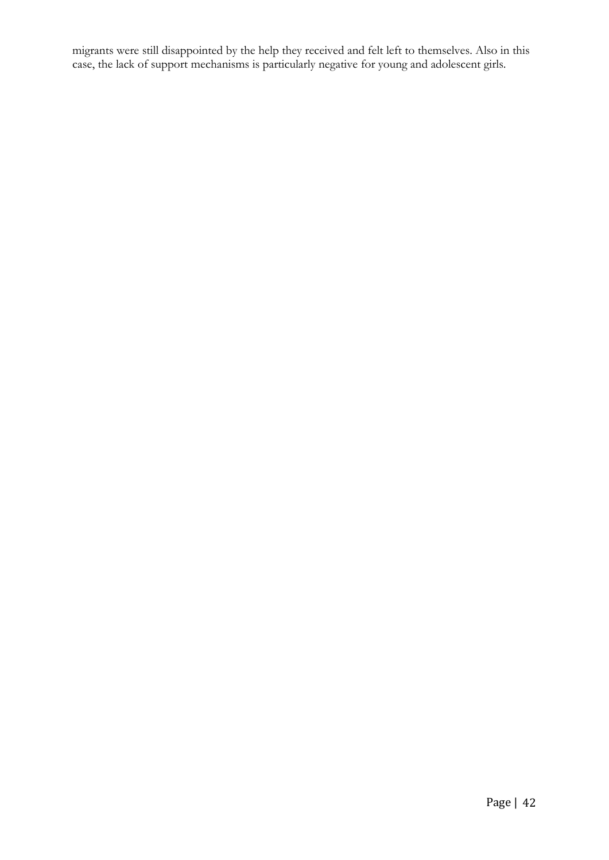migrants were still disappointed by the help they received and felt left to themselves. Also in this case, the lack of support mechanisms is particularly negative for young and adolescent girls.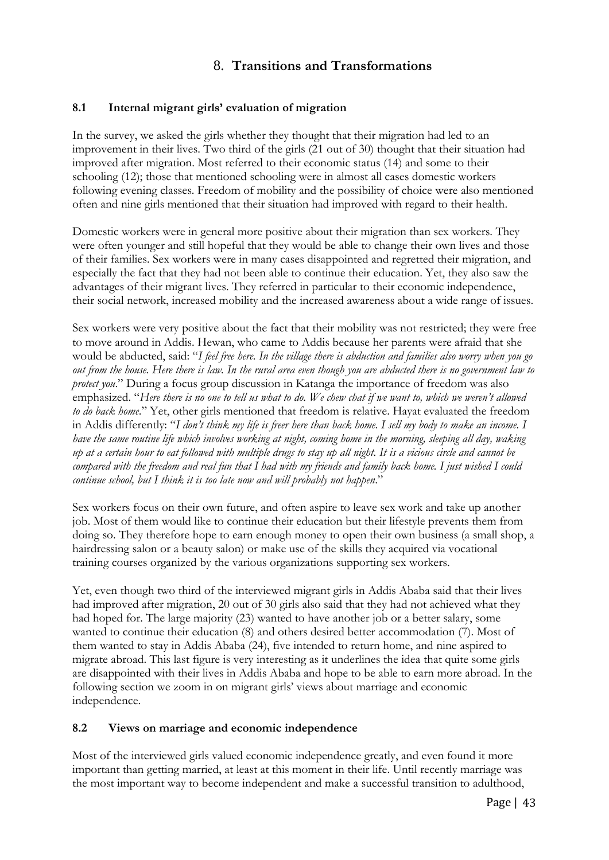# 8. **Transitions and Transformations**

#### **8.1 Internal migrant girls' evaluation of migration**

In the survey, we asked the girls whether they thought that their migration had led to an improvement in their lives. Two third of the girls (21 out of 30) thought that their situation had improved after migration. Most referred to their economic status (14) and some to their schooling (12); those that mentioned schooling were in almost all cases domestic workers following evening classes. Freedom of mobility and the possibility of choice were also mentioned often and nine girls mentioned that their situation had improved with regard to their health.

Domestic workers were in general more positive about their migration than sex workers. They were often younger and still hopeful that they would be able to change their own lives and those of their families. Sex workers were in many cases disappointed and regretted their migration, and especially the fact that they had not been able to continue their education. Yet, they also saw the advantages of their migrant lives. They referred in particular to their economic independence, their social network, increased mobility and the increased awareness about a wide range of issues.

Sex workers were very positive about the fact that their mobility was not restricted; they were free to move around in Addis. Hewan, who came to Addis because her parents were afraid that she would be abducted, said: "*I feel free here. In the village there is abduction and families also worry when you go out from the house. Here there is law. In the rural area even though you are abducted there is no government law to protect you*." During a focus group discussion in Katanga the importance of freedom was also emphasized. "*Here there is no one to tell us what to do. We chew chat if we want to, which we weren't allowed to do back home*." Yet, other girls mentioned that freedom is relative. Hayat evaluated the freedom in Addis differently: "*I don't think my life is freer here than back home. I sell my body to make an income. I have the same routine life which involves working at night, coming home in the morning, sleeping all day, waking up at a certain hour to eat followed with multiple drugs to stay up all night. It is a vicious circle and cannot be compared with the freedom and real fun that I had with my friends and family back home. I just wished I could continue school, but I think it is too late now and will probably not happen*."

Sex workers focus on their own future, and often aspire to leave sex work and take up another job. Most of them would like to continue their education but their lifestyle prevents them from doing so. They therefore hope to earn enough money to open their own business (a small shop, a hairdressing salon or a beauty salon) or make use of the skills they acquired via vocational training courses organized by the various organizations supporting sex workers.

Yet, even though two third of the interviewed migrant girls in Addis Ababa said that their lives had improved after migration, 20 out of 30 girls also said that they had not achieved what they had hoped for. The large majority (23) wanted to have another job or a better salary, some wanted to continue their education (8) and others desired better accommodation (7). Most of them wanted to stay in Addis Ababa (24), five intended to return home, and nine aspired to migrate abroad. This last figure is very interesting as it underlines the idea that quite some girls are disappointed with their lives in Addis Ababa and hope to be able to earn more abroad. In the following section we zoom in on migrant girls' views about marriage and economic independence.

#### **8.2 Views on marriage and economic independence**

Most of the interviewed girls valued economic independence greatly, and even found it more important than getting married, at least at this moment in their life. Until recently marriage was the most important way to become independent and make a successful transition to adulthood,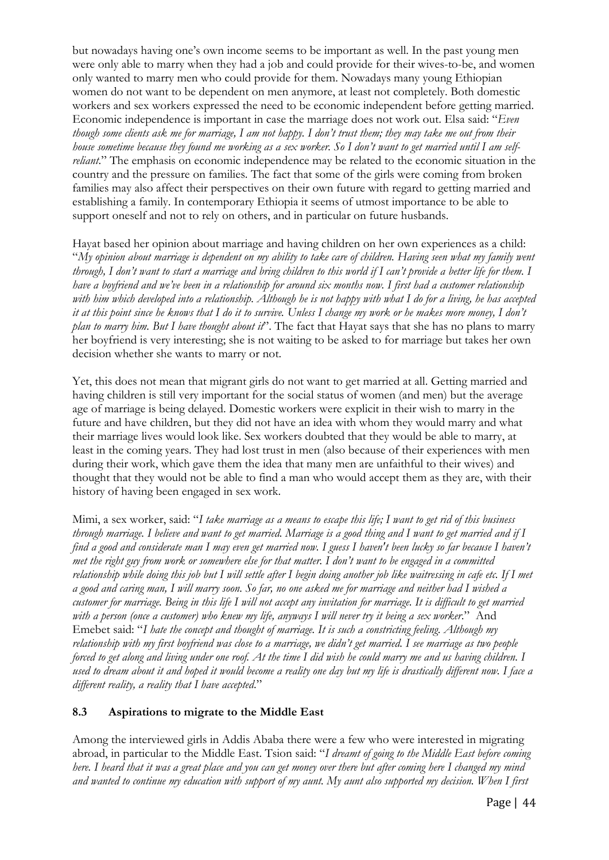but nowadays having one's own income seems to be important as well. In the past young men were only able to marry when they had a job and could provide for their wives-to-be, and women only wanted to marry men who could provide for them. Nowadays many young Ethiopian women do not want to be dependent on men anymore, at least not completely. Both domestic workers and sex workers expressed the need to be economic independent before getting married. Economic independence is important in case the marriage does not work out. Elsa said: "*Even though some clients ask me for marriage, I am not happy. I don't trust them; they may take me out from their house sometime because they found me working as a sex worker. So I don't want to get married until I am selfreliant*." The emphasis on economic independence may be related to the economic situation in the country and the pressure on families. The fact that some of the girls were coming from broken families may also affect their perspectives on their own future with regard to getting married and establishing a family. In contemporary Ethiopia it seems of utmost importance to be able to support oneself and not to rely on others, and in particular on future husbands.

Hayat based her opinion about marriage and having children on her own experiences as a child: "*My opinion about marriage is dependent on my ability to take care of children. Having seen what my family went through, I don't want to start a marriage and bring children to this world if I can't provide a better life for them. I have a boyfriend and we've been in a relationship for around six months now. I first had a customer relationship with him which developed into a relationship. Although he is not happy with what I do for a living, he has accepted it at this point since he knows that I do it to survive. Unless I change my work or he makes more money, I don't plan to marry him. But I have thought about it*". The fact that Hayat says that she has no plans to marry her boyfriend is very interesting; she is not waiting to be asked to for marriage but takes her own decision whether she wants to marry or not.

Yet, this does not mean that migrant girls do not want to get married at all. Getting married and having children is still very important for the social status of women (and men) but the average age of marriage is being delayed. Domestic workers were explicit in their wish to marry in the future and have children, but they did not have an idea with whom they would marry and what their marriage lives would look like. Sex workers doubted that they would be able to marry, at least in the coming years. They had lost trust in men (also because of their experiences with men during their work, which gave them the idea that many men are unfaithful to their wives) and thought that they would not be able to find a man who would accept them as they are, with their history of having been engaged in sex work.

Mimi, a sex worker, said: "*I take marriage as a means to escape this life; I want to get rid of this business through marriage. I believe and want to get married. Marriage is a good thing and I want to get married and if I find a good and considerate man I may even get married now. I guess I haven't been lucky so far because I haven't met the right guy from work or somewhere else for that matter. I don't want to be engaged in a committed relationship while doing this job but I will settle after I begin doing another job like waitressing in cafe etc. If I met a good and caring man, I will marry soon. So far, no one asked me for marriage and neither had I wished a customer for marriage. Being in this life I will not accept any invitation for marriage. It is difficult to get married with a person (once a customer) who knew my life, anyways I will never try it being a sex worker*." And Emebet said: "*I hate the concept and thought of marriage. It is such a constricting feeling. Although my relationship with my first boyfriend was close to a marriage, we didn't get married. I see marriage as two people forced to get along and living under one roof. At the time I did wish he could marry me and us having children. I used to dream about it and hoped it would become a reality one day but my life is drastically different now. I face a different reality, a reality that I have accepted*."

## **8.3 Aspirations to migrate to the Middle East**

Among the interviewed girls in Addis Ababa there were a few who were interested in migrating abroad, in particular to the Middle East. Tsion said: "*I dreamt of going to the Middle East before coming here. I heard that it was a great place and you can get money over there but after coming here I changed my mind and wanted to continue my education with support of my aunt. My aunt also supported my decision. When I first*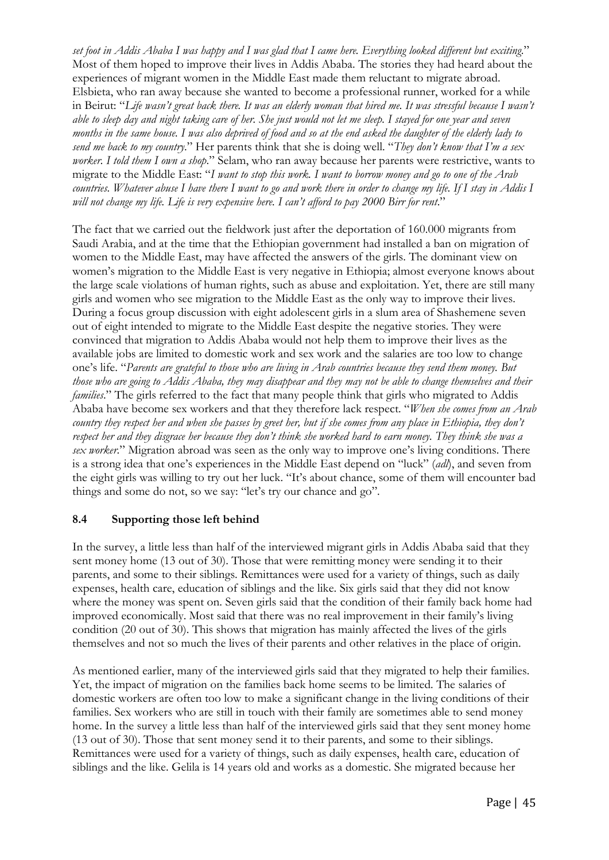*set foot in Addis Ababa I was happy and I was glad that I came here. Everything looked different but exciting*." Most of them hoped to improve their lives in Addis Ababa. The stories they had heard about the experiences of migrant women in the Middle East made them reluctant to migrate abroad. Elsbieta, who ran away because she wanted to become a professional runner, worked for a while in Beirut: "*Life wasn't great back there. It was an elderly woman that hired me. It was stressful because I wasn't able to sleep day and night taking care of her. She just would not let me sleep. I stayed for one year and seven months in the same house. I was also deprived of food and so at the end asked the daughter of the elderly lady to send me back to my country*." Her parents think that she is doing well. "*They don't know that I'm a sex worker. I told them I own a shop*." Selam, who ran away because her parents were restrictive, wants to migrate to the Middle East: "*I want to stop this work. I want to borrow money and go to one of the Arab countries. Whatever abuse I have there I want to go and work there in order to change my life. If I stay in Addis I will not change my life. Life is very expensive here. I can't afford to pay 2000 Birr for rent*."

The fact that we carried out the fieldwork just after the deportation of 160.000 migrants from Saudi Arabia, and at the time that the Ethiopian government had installed a ban on migration of women to the Middle East, may have affected the answers of the girls. The dominant view on women's migration to the Middle East is very negative in Ethiopia; almost everyone knows about the large scale violations of human rights, such as abuse and exploitation. Yet, there are still many girls and women who see migration to the Middle East as the only way to improve their lives. During a focus group discussion with eight adolescent girls in a slum area of Shashemene seven out of eight intended to migrate to the Middle East despite the negative stories. They were convinced that migration to Addis Ababa would not help them to improve their lives as the available jobs are limited to domestic work and sex work and the salaries are too low to change one's life. "*Parents are grateful to those who are living in Arab countries because they send them money. But those who are going to Addis Ababa, they may disappear and they may not be able to change themselves and their families*." The girls referred to the fact that many people think that girls who migrated to Addis Ababa have become sex workers and that they therefore lack respect. "*When she comes from an Arab country they respect her and when she passes by greet her, but if she comes from any place in Ethiopia, they don't respect her and they disgrace her because they don't think she worked hard to earn money. They think she was a sex worker*." Migration abroad was seen as the only way to improve one's living conditions. There is a strong idea that one's experiences in the Middle East depend on "luck" (*adl*), and seven from the eight girls was willing to try out her luck. "It's about chance, some of them will encounter bad things and some do not, so we say: "let's try our chance and go".

## **8.4 Supporting those left behind**

In the survey, a little less than half of the interviewed migrant girls in Addis Ababa said that they sent money home (13 out of 30). Those that were remitting money were sending it to their parents, and some to their siblings. Remittances were used for a variety of things, such as daily expenses, health care, education of siblings and the like. Six girls said that they did not know where the money was spent on. Seven girls said that the condition of their family back home had improved economically. Most said that there was no real improvement in their family's living condition (20 out of 30). This shows that migration has mainly affected the lives of the girls themselves and not so much the lives of their parents and other relatives in the place of origin.

As mentioned earlier, many of the interviewed girls said that they migrated to help their families. Yet, the impact of migration on the families back home seems to be limited. The salaries of domestic workers are often too low to make a significant change in the living conditions of their families. Sex workers who are still in touch with their family are sometimes able to send money home. In the survey a little less than half of the interviewed girls said that they sent money home (13 out of 30). Those that sent money send it to their parents, and some to their siblings. Remittances were used for a variety of things, such as daily expenses, health care, education of siblings and the like. Gelila is 14 years old and works as a domestic. She migrated because her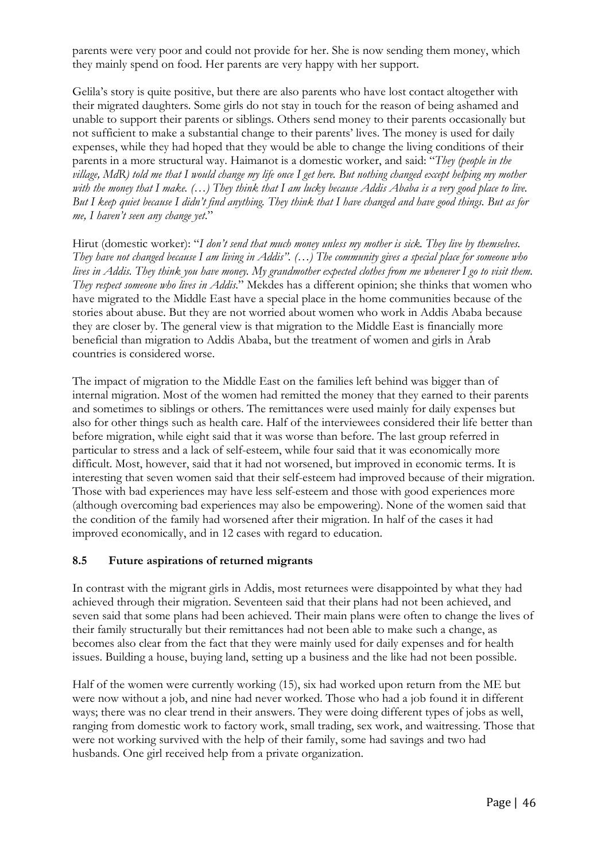parents were very poor and could not provide for her. She is now sending them money, which they mainly spend on food. Her parents are very happy with her support.

Gelila's story is quite positive, but there are also parents who have lost contact altogether with their migrated daughters. Some girls do not stay in touch for the reason of being ashamed and unable to support their parents or siblings. Others send money to their parents occasionally but not sufficient to make a substantial change to their parents' lives. The money is used for daily expenses, while they had hoped that they would be able to change the living conditions of their parents in a more structural way. Haimanot is a domestic worker, and said: "*They (people in the village, MdR) told me that I would change my life once I get here. But nothing changed except helping my mother*  with the money that I make. (...) They think that I am lucky because Addis Ababa is a very good place to live. *But I keep quiet because I didn't find anything. They think that I have changed and have good things. But as for me, I haven't seen any change yet*."

Hirut (domestic worker): "*I don't send that much money unless my mother is sick. They live by themselves. They have not changed because I am living in Addis". (…) The community gives a special place for someone who lives in Addis. They think you have money. My grandmother expected clothes from me whenever I go to visit them. They respect someone who lives in Addis*." Mekdes has a different opinion; she thinks that women who have migrated to the Middle East have a special place in the home communities because of the stories about abuse. But they are not worried about women who work in Addis Ababa because they are closer by. The general view is that migration to the Middle East is financially more beneficial than migration to Addis Ababa, but the treatment of women and girls in Arab countries is considered worse.

The impact of migration to the Middle East on the families left behind was bigger than of internal migration. Most of the women had remitted the money that they earned to their parents and sometimes to siblings or others. The remittances were used mainly for daily expenses but also for other things such as health care. Half of the interviewees considered their life better than before migration, while eight said that it was worse than before. The last group referred in particular to stress and a lack of self-esteem, while four said that it was economically more difficult. Most, however, said that it had not worsened, but improved in economic terms. It is interesting that seven women said that their self-esteem had improved because of their migration. Those with bad experiences may have less self-esteem and those with good experiences more (although overcoming bad experiences may also be empowering). None of the women said that the condition of the family had worsened after their migration. In half of the cases it had improved economically, and in 12 cases with regard to education.

#### **8.5 Future aspirations of returned migrants**

In contrast with the migrant girls in Addis, most returnees were disappointed by what they had achieved through their migration. Seventeen said that their plans had not been achieved, and seven said that some plans had been achieved. Their main plans were often to change the lives of their family structurally but their remittances had not been able to make such a change, as becomes also clear from the fact that they were mainly used for daily expenses and for health issues. Building a house, buying land, setting up a business and the like had not been possible.

Half of the women were currently working (15), six had worked upon return from the ME but were now without a job, and nine had never worked. Those who had a job found it in different ways; there was no clear trend in their answers. They were doing different types of jobs as well, ranging from domestic work to factory work, small trading, sex work, and waitressing. Those that were not working survived with the help of their family, some had savings and two had husbands. One girl received help from a private organization.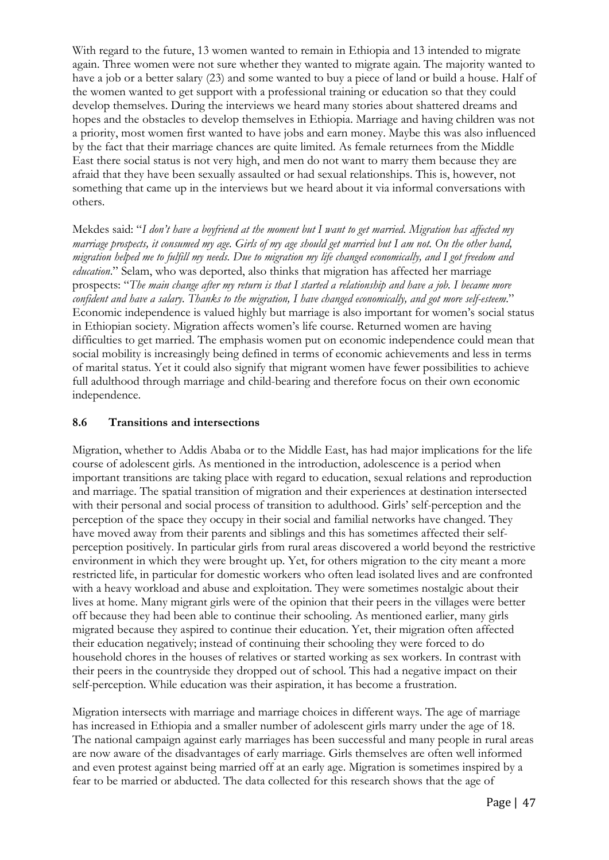With regard to the future, 13 women wanted to remain in Ethiopia and 13 intended to migrate again. Three women were not sure whether they wanted to migrate again. The majority wanted to have a job or a better salary (23) and some wanted to buy a piece of land or build a house. Half of the women wanted to get support with a professional training or education so that they could develop themselves. During the interviews we heard many stories about shattered dreams and hopes and the obstacles to develop themselves in Ethiopia. Marriage and having children was not a priority, most women first wanted to have jobs and earn money. Maybe this was also influenced by the fact that their marriage chances are quite limited. As female returnees from the Middle East there social status is not very high, and men do not want to marry them because they are afraid that they have been sexually assaulted or had sexual relationships. This is, however, not something that came up in the interviews but we heard about it via informal conversations with others.

Mekdes said: "*I don't have a boyfriend at the moment but I want to get married. Migration has affected my marriage prospects, it consumed my age. Girls of my age should get married but I am not. On the other hand, migration helped me to fulfill my needs. Due to migration my life changed economically, and I got freedom and education*." Selam, who was deported, also thinks that migration has affected her marriage prospects: "*The main change after my return is that I started a relationship and have a job. I became more confident and have a salary. Thanks to the migration, I have changed economically, and got more self-esteem*." Economic independence is valued highly but marriage is also important for women's social status in Ethiopian society. Migration affects women's life course. Returned women are having difficulties to get married. The emphasis women put on economic independence could mean that social mobility is increasingly being defined in terms of economic achievements and less in terms of marital status. Yet it could also signify that migrant women have fewer possibilities to achieve full adulthood through marriage and child-bearing and therefore focus on their own economic independence.

#### **8.6 Transitions and intersections**

Migration, whether to Addis Ababa or to the Middle East, has had major implications for the life course of adolescent girls. As mentioned in the introduction, adolescence is a period when important transitions are taking place with regard to education, sexual relations and reproduction and marriage. The spatial transition of migration and their experiences at destination intersected with their personal and social process of transition to adulthood. Girls' self-perception and the perception of the space they occupy in their social and familial networks have changed. They have moved away from their parents and siblings and this has sometimes affected their selfperception positively. In particular girls from rural areas discovered a world beyond the restrictive environment in which they were brought up. Yet, for others migration to the city meant a more restricted life, in particular for domestic workers who often lead isolated lives and are confronted with a heavy workload and abuse and exploitation. They were sometimes nostalgic about their lives at home. Many migrant girls were of the opinion that their peers in the villages were better off because they had been able to continue their schooling. As mentioned earlier, many girls migrated because they aspired to continue their education. Yet, their migration often affected their education negatively; instead of continuing their schooling they were forced to do household chores in the houses of relatives or started working as sex workers. In contrast with their peers in the countryside they dropped out of school. This had a negative impact on their self-perception. While education was their aspiration, it has become a frustration.

Migration intersects with marriage and marriage choices in different ways. The age of marriage has increased in Ethiopia and a smaller number of adolescent girls marry under the age of 18. The national campaign against early marriages has been successful and many people in rural areas are now aware of the disadvantages of early marriage. Girls themselves are often well informed and even protest against being married off at an early age. Migration is sometimes inspired by a fear to be married or abducted. The data collected for this research shows that the age of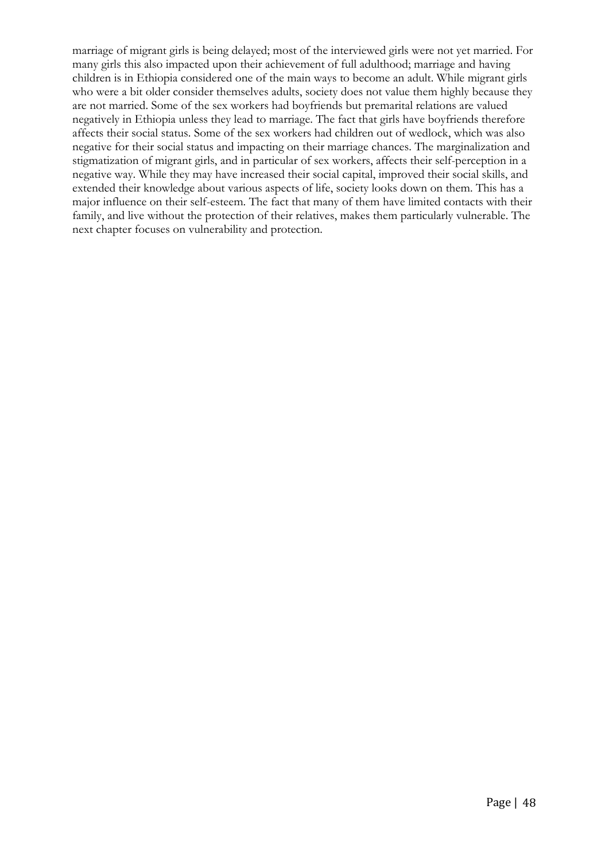marriage of migrant girls is being delayed; most of the interviewed girls were not yet married. For many girls this also impacted upon their achievement of full adulthood; marriage and having children is in Ethiopia considered one of the main ways to become an adult. While migrant girls who were a bit older consider themselves adults, society does not value them highly because they are not married. Some of the sex workers had boyfriends but premarital relations are valued negatively in Ethiopia unless they lead to marriage. The fact that girls have boyfriends therefore affects their social status. Some of the sex workers had children out of wedlock, which was also negative for their social status and impacting on their marriage chances. The marginalization and stigmatization of migrant girls, and in particular of sex workers, affects their self-perception in a negative way. While they may have increased their social capital, improved their social skills, and extended their knowledge about various aspects of life, society looks down on them. This has a major influence on their self-esteem. The fact that many of them have limited contacts with their family, and live without the protection of their relatives, makes them particularly vulnerable. The next chapter focuses on vulnerability and protection.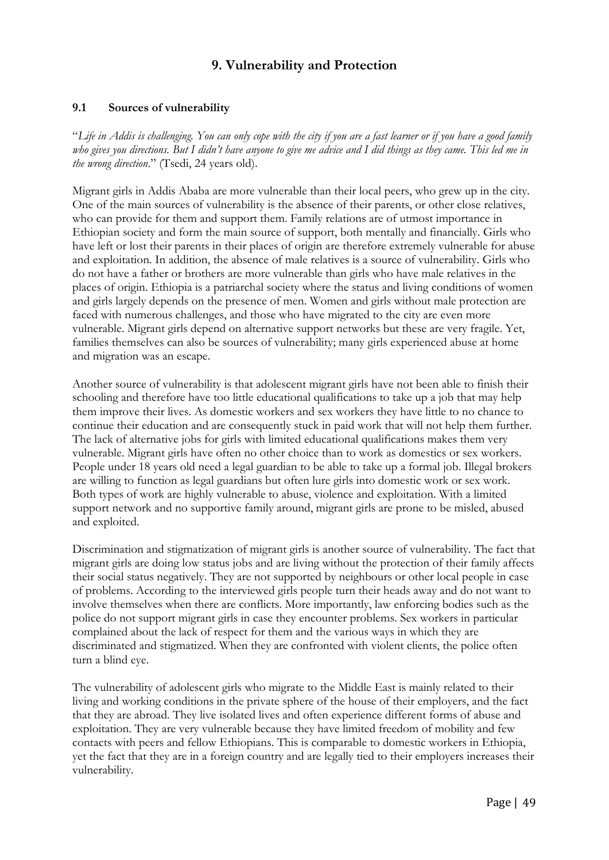# **9. Vulnerability and Protection**

## **9.1 Sources of vulnerability**

"*Life in Addis is challenging. You can only cope with the city if you are a fast learner or if you have a good family who gives you directions. But I didn't have anyone to give me advice and I did things as they came. This led me in the wrong direction*." (Tsedi, 24 years old).

Migrant girls in Addis Ababa are more vulnerable than their local peers, who grew up in the city. One of the main sources of vulnerability is the absence of their parents, or other close relatives, who can provide for them and support them. Family relations are of utmost importance in Ethiopian society and form the main source of support, both mentally and financially. Girls who have left or lost their parents in their places of origin are therefore extremely vulnerable for abuse and exploitation. In addition, the absence of male relatives is a source of vulnerability. Girls who do not have a father or brothers are more vulnerable than girls who have male relatives in the places of origin. Ethiopia is a patriarchal society where the status and living conditions of women and girls largely depends on the presence of men. Women and girls without male protection are faced with numerous challenges, and those who have migrated to the city are even more vulnerable. Migrant girls depend on alternative support networks but these are very fragile. Yet, families themselves can also be sources of vulnerability; many girls experienced abuse at home and migration was an escape.

Another source of vulnerability is that adolescent migrant girls have not been able to finish their schooling and therefore have too little educational qualifications to take up a job that may help them improve their lives. As domestic workers and sex workers they have little to no chance to continue their education and are consequently stuck in paid work that will not help them further. The lack of alternative jobs for girls with limited educational qualifications makes them very vulnerable. Migrant girls have often no other choice than to work as domestics or sex workers. People under 18 years old need a legal guardian to be able to take up a formal job. Illegal brokers are willing to function as legal guardians but often lure girls into domestic work or sex work. Both types of work are highly vulnerable to abuse, violence and exploitation. With a limited support network and no supportive family around, migrant girls are prone to be misled, abused and exploited.

Discrimination and stigmatization of migrant girls is another source of vulnerability. The fact that migrant girls are doing low status jobs and are living without the protection of their family affects their social status negatively. They are not supported by neighbours or other local people in case of problems. According to the interviewed girls people turn their heads away and do not want to involve themselves when there are conflicts. More importantly, law enforcing bodies such as the police do not support migrant girls in case they encounter problems. Sex workers in particular complained about the lack of respect for them and the various ways in which they are discriminated and stigmatized. When they are confronted with violent clients, the police often turn a blind eye.

The vulnerability of adolescent girls who migrate to the Middle East is mainly related to their living and working conditions in the private sphere of the house of their employers, and the fact that they are abroad. They live isolated lives and often experience different forms of abuse and exploitation. They are very vulnerable because they have limited freedom of mobility and few contacts with peers and fellow Ethiopians. This is comparable to domestic workers in Ethiopia, yet the fact that they are in a foreign country and are legally tied to their employers increases their vulnerability.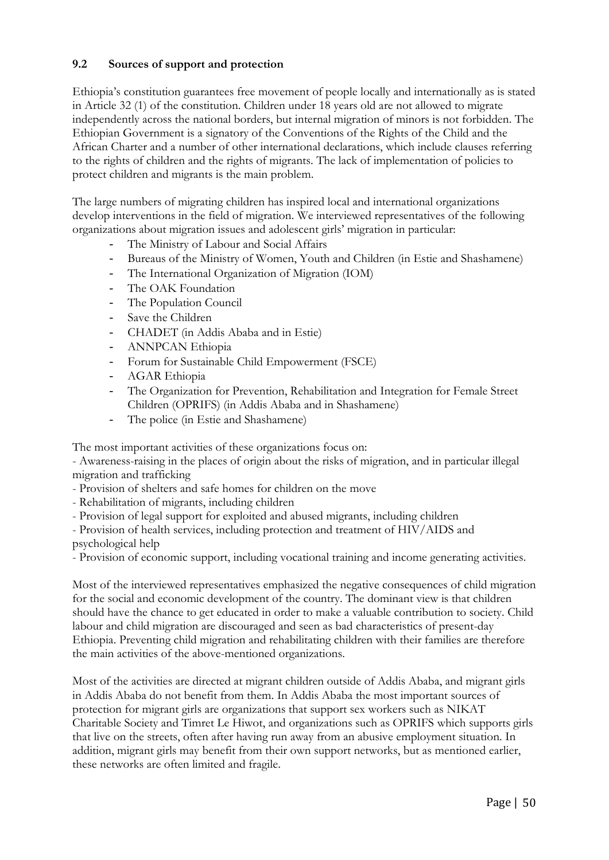## **9.2 Sources of support and protection**

Ethiopia's constitution guarantees free movement of people locally and internationally as is stated in Article 32 (1) of the constitution. Children under 18 years old are not allowed to migrate independently across the national borders, but internal migration of minors is not forbidden. The Ethiopian Government is a signatory of the Conventions of the Rights of the Child and the African Charter and a number of other international declarations, which include clauses referring to the rights of children and the rights of migrants. The lack of implementation of policies to protect children and migrants is the main problem.

The large numbers of migrating children has inspired local and international organizations develop interventions in the field of migration. We interviewed representatives of the following organizations about migration issues and adolescent girls' migration in particular:

- The Ministry of Labour and Social Affairs
- Bureaus of the Ministry of Women, Youth and Children (in Estie and Shashamene)
- The International Organization of Migration (IOM)
- The OAK Foundation
- The Population Council
- Save the Children
- CHADET (in Addis Ababa and in Estie)
- ANNPCAN Ethiopia
- Forum for Sustainable Child Empowerment (FSCE)
- AGAR Ethiopia
- The Organization for Prevention, Rehabilitation and Integration for Female Street Children (OPRIFS) (in Addis Ababa and in Shashamene)
- The police (in Estie and Shashamene)

The most important activities of these organizations focus on:

- Awareness-raising in the places of origin about the risks of migration, and in particular illegal migration and trafficking

- Provision of shelters and safe homes for children on the move
- Rehabilitation of migrants, including children
- Provision of legal support for exploited and abused migrants, including children

- Provision of health services, including protection and treatment of HIV/AIDS and psychological help

- Provision of economic support, including vocational training and income generating activities.

Most of the interviewed representatives emphasized the negative consequences of child migration for the social and economic development of the country. The dominant view is that children should have the chance to get educated in order to make a valuable contribution to society. Child labour and child migration are discouraged and seen as bad characteristics of present-day Ethiopia. Preventing child migration and rehabilitating children with their families are therefore the main activities of the above-mentioned organizations.

Most of the activities are directed at migrant children outside of Addis Ababa, and migrant girls in Addis Ababa do not benefit from them. In Addis Ababa the most important sources of protection for migrant girls are organizations that support sex workers such as NIKAT Charitable Society and Timret Le Hiwot, and organizations such as OPRIFS which supports girls that live on the streets, often after having run away from an abusive employment situation. In addition, migrant girls may benefit from their own support networks, but as mentioned earlier, these networks are often limited and fragile.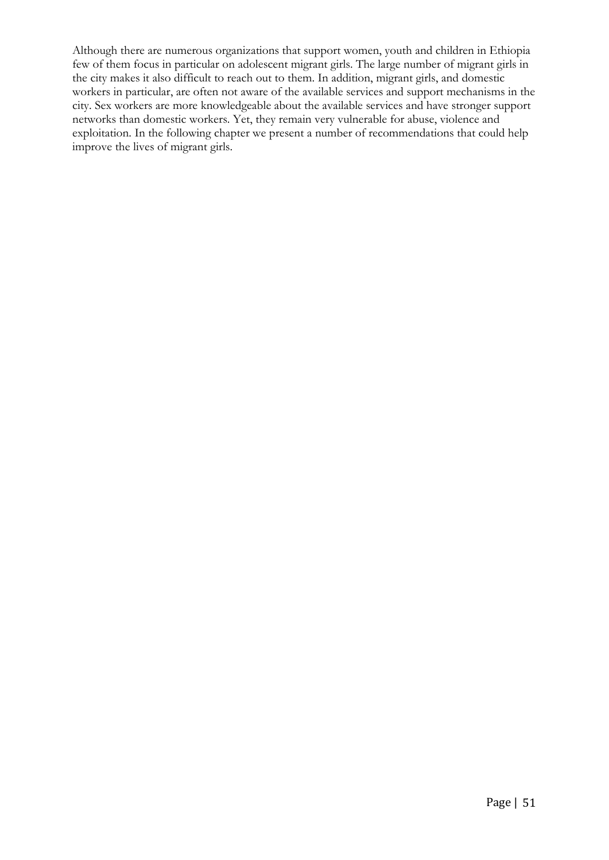Although there are numerous organizations that support women, youth and children in Ethiopia few of them focus in particular on adolescent migrant girls. The large number of migrant girls in the city makes it also difficult to reach out to them. In addition, migrant girls, and domestic workers in particular, are often not aware of the available services and support mechanisms in the city. Sex workers are more knowledgeable about the available services and have stronger support networks than domestic workers. Yet, they remain very vulnerable for abuse, violence and exploitation. In the following chapter we present a number of recommendations that could help improve the lives of migrant girls.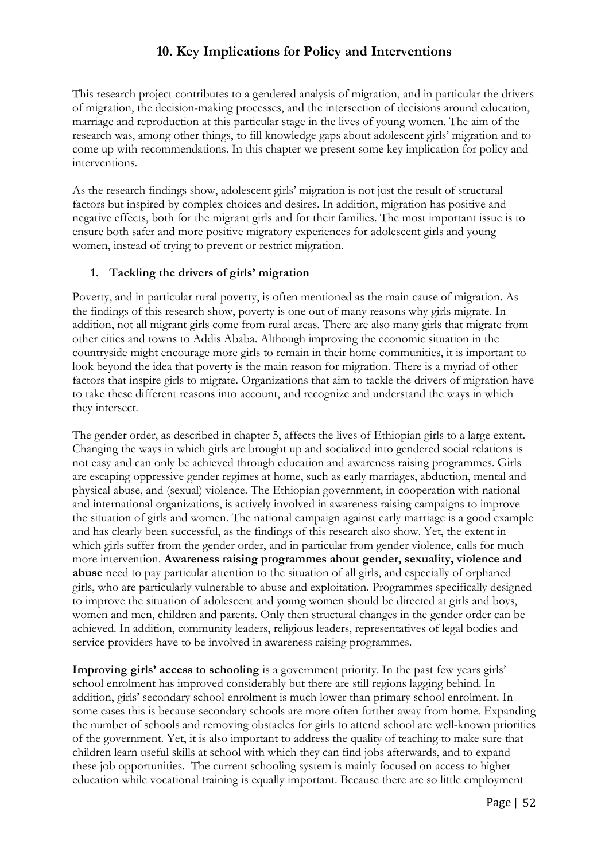# **10. Key Implications for Policy and Interventions**

This research project contributes to a gendered analysis of migration, and in particular the drivers of migration, the decision-making processes, and the intersection of decisions around education, marriage and reproduction at this particular stage in the lives of young women. The aim of the research was, among other things, to fill knowledge gaps about adolescent girls' migration and to come up with recommendations. In this chapter we present some key implication for policy and interventions.

As the research findings show, adolescent girls' migration is not just the result of structural factors but inspired by complex choices and desires. In addition, migration has positive and negative effects, both for the migrant girls and for their families. The most important issue is to ensure both safer and more positive migratory experiences for adolescent girls and young women, instead of trying to prevent or restrict migration.

## **1. Tackling the drivers of girls' migration**

Poverty, and in particular rural poverty, is often mentioned as the main cause of migration. As the findings of this research show, poverty is one out of many reasons why girls migrate. In addition, not all migrant girls come from rural areas. There are also many girls that migrate from other cities and towns to Addis Ababa. Although improving the economic situation in the countryside might encourage more girls to remain in their home communities, it is important to look beyond the idea that poverty is the main reason for migration. There is a myriad of other factors that inspire girls to migrate. Organizations that aim to tackle the drivers of migration have to take these different reasons into account, and recognize and understand the ways in which they intersect.

The gender order, as described in chapter 5, affects the lives of Ethiopian girls to a large extent. Changing the ways in which girls are brought up and socialized into gendered social relations is not easy and can only be achieved through education and awareness raising programmes. Girls are escaping oppressive gender regimes at home, such as early marriages, abduction, mental and physical abuse, and (sexual) violence. The Ethiopian government, in cooperation with national and international organizations, is actively involved in awareness raising campaigns to improve the situation of girls and women. The national campaign against early marriage is a good example and has clearly been successful, as the findings of this research also show. Yet, the extent in which girls suffer from the gender order, and in particular from gender violence, calls for much more intervention. **Awareness raising programmes about gender, sexuality, violence and abuse** need to pay particular attention to the situation of all girls, and especially of orphaned girls, who are particularly vulnerable to abuse and exploitation. Programmes specifically designed to improve the situation of adolescent and young women should be directed at girls and boys, women and men, children and parents. Only then structural changes in the gender order can be achieved. In addition, community leaders, religious leaders, representatives of legal bodies and service providers have to be involved in awareness raising programmes.

**Improving girls' access to schooling** is a government priority. In the past few years girls' school enrolment has improved considerably but there are still regions lagging behind. In addition, girls' secondary school enrolment is much lower than primary school enrolment. In some cases this is because secondary schools are more often further away from home. Expanding the number of schools and removing obstacles for girls to attend school are well-known priorities of the government. Yet, it is also important to address the quality of teaching to make sure that children learn useful skills at school with which they can find jobs afterwards, and to expand these job opportunities. The current schooling system is mainly focused on access to higher education while vocational training is equally important. Because there are so little employment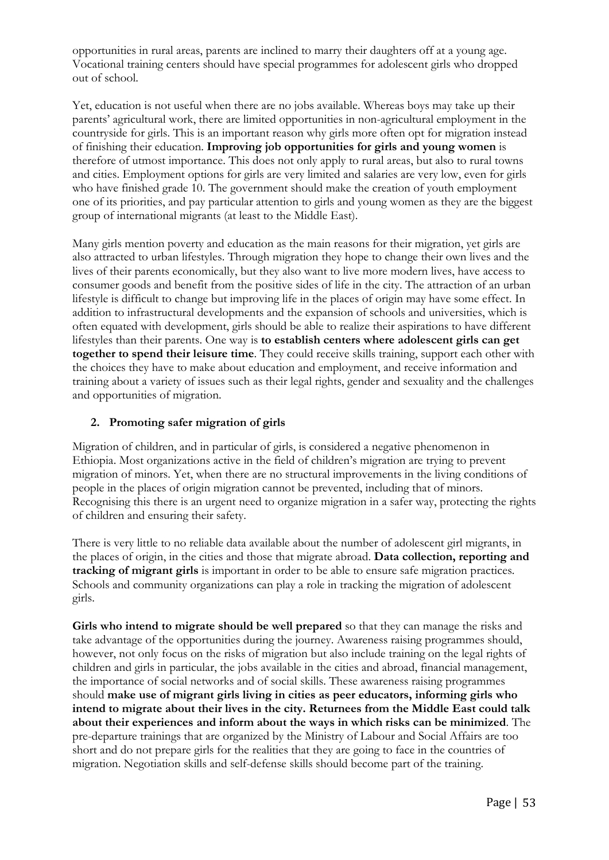opportunities in rural areas, parents are inclined to marry their daughters off at a young age. Vocational training centers should have special programmes for adolescent girls who dropped out of school.

Yet, education is not useful when there are no jobs available. Whereas boys may take up their parents' agricultural work, there are limited opportunities in non-agricultural employment in the countryside for girls. This is an important reason why girls more often opt for migration instead of finishing their education. **Improving job opportunities for girls and young women** is therefore of utmost importance. This does not only apply to rural areas, but also to rural towns and cities. Employment options for girls are very limited and salaries are very low, even for girls who have finished grade 10. The government should make the creation of youth employment one of its priorities, and pay particular attention to girls and young women as they are the biggest group of international migrants (at least to the Middle East).

Many girls mention poverty and education as the main reasons for their migration, yet girls are also attracted to urban lifestyles. Through migration they hope to change their own lives and the lives of their parents economically, but they also want to live more modern lives, have access to consumer goods and benefit from the positive sides of life in the city. The attraction of an urban lifestyle is difficult to change but improving life in the places of origin may have some effect. In addition to infrastructural developments and the expansion of schools and universities, which is often equated with development, girls should be able to realize their aspirations to have different lifestyles than their parents. One way is **to establish centers where adolescent girls can get together to spend their leisure time**. They could receive skills training, support each other with the choices they have to make about education and employment, and receive information and training about a variety of issues such as their legal rights, gender and sexuality and the challenges and opportunities of migration.

## **2. Promoting safer migration of girls**

Migration of children, and in particular of girls, is considered a negative phenomenon in Ethiopia. Most organizations active in the field of children's migration are trying to prevent migration of minors. Yet, when there are no structural improvements in the living conditions of people in the places of origin migration cannot be prevented, including that of minors. Recognising this there is an urgent need to organize migration in a safer way, protecting the rights of children and ensuring their safety.

There is very little to no reliable data available about the number of adolescent girl migrants, in the places of origin, in the cities and those that migrate abroad. **Data collection, reporting and tracking of migrant girls** is important in order to be able to ensure safe migration practices. Schools and community organizations can play a role in tracking the migration of adolescent girls.

**Girls who intend to migrate should be well prepared** so that they can manage the risks and take advantage of the opportunities during the journey. Awareness raising programmes should, however, not only focus on the risks of migration but also include training on the legal rights of children and girls in particular, the jobs available in the cities and abroad, financial management, the importance of social networks and of social skills. These awareness raising programmes should **make use of migrant girls living in cities as peer educators, informing girls who intend to migrate about their lives in the city. Returnees from the Middle East could talk about their experiences and inform about the ways in which risks can be minimized**. The pre-departure trainings that are organized by the Ministry of Labour and Social Affairs are too short and do not prepare girls for the realities that they are going to face in the countries of migration. Negotiation skills and self-defense skills should become part of the training.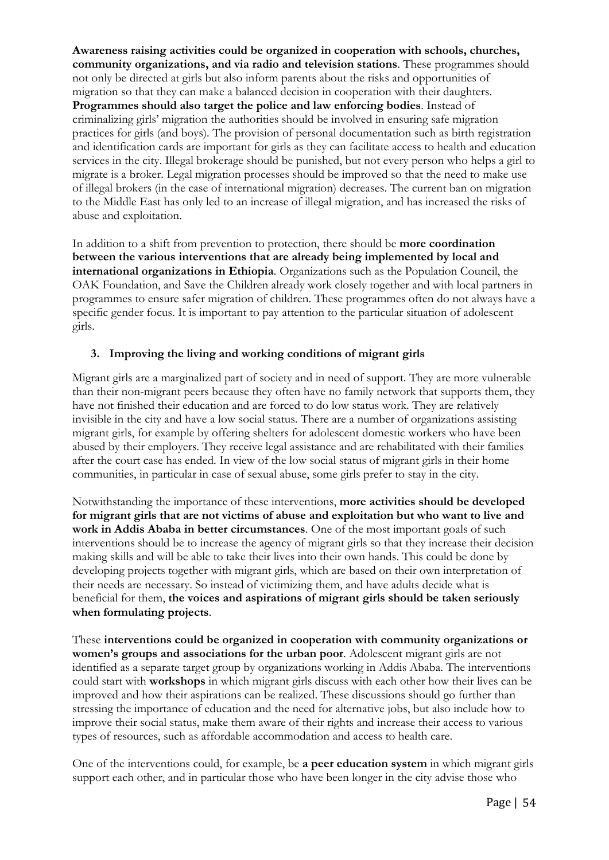**Awareness raising activities could be organized in cooperation with schools, churches, community organizations, and via radio and television stations**. These programmes should not only be directed at girls but also inform parents about the risks and opportunities of migration so that they can make a balanced decision in cooperation with their daughters. **Programmes should also target the police and law enforcing bodies**. Instead of criminalizing girls' migration the authorities should be involved in ensuring safe migration practices for girls (and boys). The provision of personal documentation such as birth registration and identification cards are important for girls as they can facilitate access to health and education services in the city. Illegal brokerage should be punished, but not every person who helps a girl to migrate is a broker. Legal migration processes should be improved so that the need to make use of illegal brokers (in the case of international migration) decreases. The current ban on migration to the Middle East has only led to an increase of illegal migration, and has increased the risks of abuse and exploitation.

In addition to a shift from prevention to protection, there should be **more coordination between the various interventions that are already being implemented by local and international organizations in Ethiopia**. Organizations such as the Population Council, the OAK Foundation, and Save the Children already work closely together and with local partners in programmes to ensure safer migration of children. These programmes often do not always have a specific gender focus. It is important to pay attention to the particular situation of adolescent girls.

## **3. Improving the living and working conditions of migrant girls**

Migrant girls are a marginalized part of society and in need of support. They are more vulnerable than their non-migrant peers because they often have no family network that supports them, they have not finished their education and are forced to do low status work. They are relatively invisible in the city and have a low social status. There are a number of organizations assisting migrant girls, for example by offering shelters for adolescent domestic workers who have been abused by their employers. They receive legal assistance and are rehabilitated with their families after the court case has ended. In view of the low social status of migrant girls in their home communities, in particular in case of sexual abuse, some girls prefer to stay in the city.

Notwithstanding the importance of these interventions, **more activities should be developed for migrant girls that are not victims of abuse and exploitation but who want to live and work in Addis Ababa in better circumstances**. One of the most important goals of such interventions should be to increase the agency of migrant girls so that they increase their decision making skills and will be able to take their lives into their own hands. This could be done by developing projects together with migrant girls, which are based on their own interpretation of their needs are necessary. So instead of victimizing them, and have adults decide what is beneficial for them, **the voices and aspirations of migrant girls should be taken seriously when formulating projects**.

These **interventions could be organized in cooperation with community organizations or women's groups and associations for the urban poor**. Adolescent migrant girls are not identified as a separate target group by organizations working in Addis Ababa. The interventions could start with **workshops** in which migrant girls discuss with each other how their lives can be improved and how their aspirations can be realized. These discussions should go further than stressing the importance of education and the need for alternative jobs, but also include how to improve their social status, make them aware of their rights and increase their access to various types of resources, such as affordable accommodation and access to health care.

One of the interventions could, for example, be **a peer education system** in which migrant girls support each other, and in particular those who have been longer in the city advise those who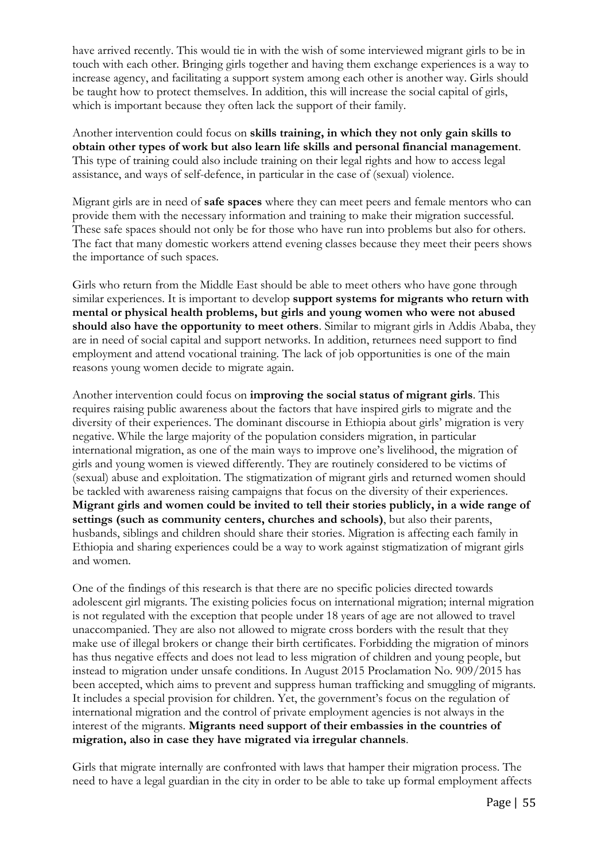have arrived recently. This would tie in with the wish of some interviewed migrant girls to be in touch with each other. Bringing girls together and having them exchange experiences is a way to increase agency, and facilitating a support system among each other is another way. Girls should be taught how to protect themselves. In addition, this will increase the social capital of girls, which is important because they often lack the support of their family.

Another intervention could focus on **skills training, in which they not only gain skills to obtain other types of work but also learn life skills and personal financial management**. This type of training could also include training on their legal rights and how to access legal assistance, and ways of self-defence, in particular in the case of (sexual) violence.

Migrant girls are in need of **safe spaces** where they can meet peers and female mentors who can provide them with the necessary information and training to make their migration successful. These safe spaces should not only be for those who have run into problems but also for others. The fact that many domestic workers attend evening classes because they meet their peers shows the importance of such spaces.

Girls who return from the Middle East should be able to meet others who have gone through similar experiences. It is important to develop **support systems for migrants who return with mental or physical health problems, but girls and young women who were not abused should also have the opportunity to meet others**. Similar to migrant girls in Addis Ababa, they are in need of social capital and support networks. In addition, returnees need support to find employment and attend vocational training. The lack of job opportunities is one of the main reasons young women decide to migrate again.

Another intervention could focus on **improving the social status of migrant girls**. This requires raising public awareness about the factors that have inspired girls to migrate and the diversity of their experiences. The dominant discourse in Ethiopia about girls' migration is very negative. While the large majority of the population considers migration, in particular international migration, as one of the main ways to improve one's livelihood, the migration of girls and young women is viewed differently. They are routinely considered to be victims of (sexual) abuse and exploitation. The stigmatization of migrant girls and returned women should be tackled with awareness raising campaigns that focus on the diversity of their experiences. **Migrant girls and women could be invited to tell their stories publicly, in a wide range of settings (such as community centers, churches and schools)**, but also their parents, husbands, siblings and children should share their stories. Migration is affecting each family in Ethiopia and sharing experiences could be a way to work against stigmatization of migrant girls and women.

One of the findings of this research is that there are no specific policies directed towards adolescent girl migrants. The existing policies focus on international migration; internal migration is not regulated with the exception that people under 18 years of age are not allowed to travel unaccompanied. They are also not allowed to migrate cross borders with the result that they make use of illegal brokers or change their birth certificates. Forbidding the migration of minors has thus negative effects and does not lead to less migration of children and young people, but instead to migration under unsafe conditions. In August 2015 Proclamation No. 909/2015 has been accepted, which aims to prevent and suppress human trafficking and smuggling of migrants. It includes a special provision for children. Yet, the government's focus on the regulation of international migration and the control of private employment agencies is not always in the interest of the migrants. **Migrants need support of their embassies in the countries of migration, also in case they have migrated via irregular channels**.

Girls that migrate internally are confronted with laws that hamper their migration process. The need to have a legal guardian in the city in order to be able to take up formal employment affects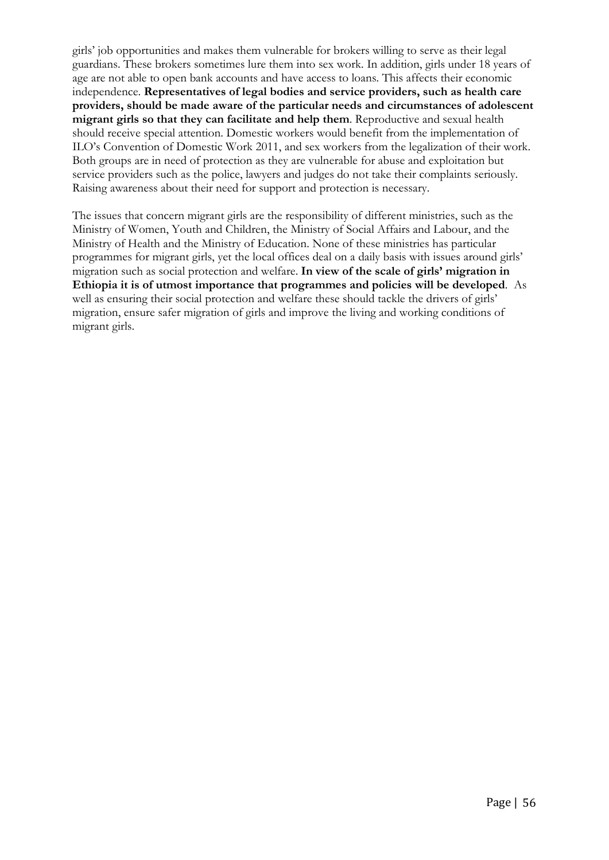girls' job opportunities and makes them vulnerable for brokers willing to serve as their legal guardians. These brokers sometimes lure them into sex work. In addition, girls under 18 years of age are not able to open bank accounts and have access to loans. This affects their economic independence. **Representatives of legal bodies and service providers, such as health care providers, should be made aware of the particular needs and circumstances of adolescent migrant girls so that they can facilitate and help them**. Reproductive and sexual health should receive special attention. Domestic workers would benefit from the implementation of ILO's Convention of Domestic Work 2011, and sex workers from the legalization of their work. Both groups are in need of protection as they are vulnerable for abuse and exploitation but service providers such as the police, lawyers and judges do not take their complaints seriously. Raising awareness about their need for support and protection is necessary.

The issues that concern migrant girls are the responsibility of different ministries, such as the Ministry of Women, Youth and Children, the Ministry of Social Affairs and Labour, and the Ministry of Health and the Ministry of Education. None of these ministries has particular programmes for migrant girls, yet the local offices deal on a daily basis with issues around girls' migration such as social protection and welfare. **In view of the scale of girls' migration in Ethiopia it is of utmost importance that programmes and policies will be developed**. As well as ensuring their social protection and welfare these should tackle the drivers of girls' migration, ensure safer migration of girls and improve the living and working conditions of migrant girls.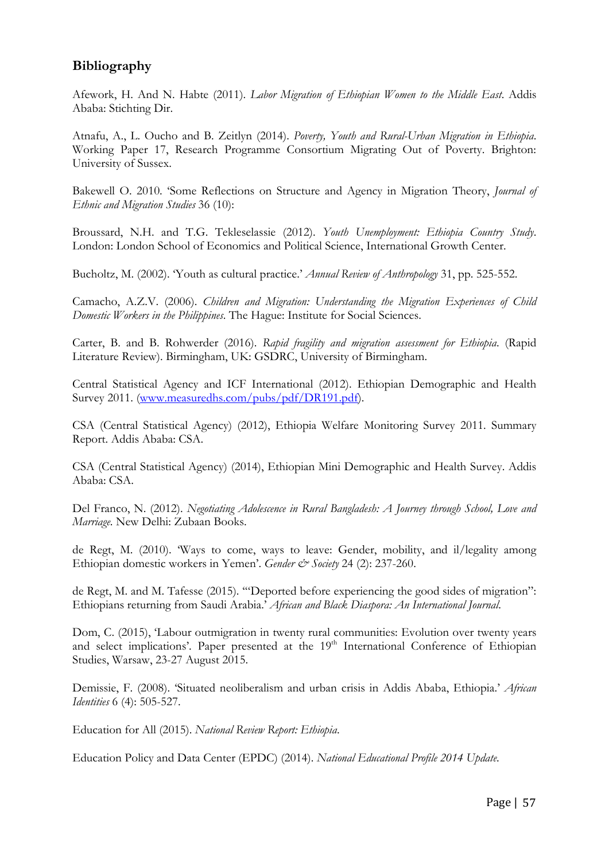# **Bibliography**

Afework, H. And N. Habte (2011). *Labor Migration of Ethiopian Women to the Middle East*. Addis Ababa: Stichting Dir.

Atnafu, A., L. Oucho and B. Zeitlyn (2014). *Poverty, Youth and Rural-Urban Migration in Ethiopia*. Working Paper 17, Research Programme Consortium Migrating Out of Poverty. Brighton: University of Sussex.

Bakewell O. 2010. 'Some Reflections on Structure and Agency in Migration Theory, *Journal of Ethnic and Migration Studies* 36 (10):

Broussard, N.H. and T.G. Tekleselassie (2012). *Youth Unemployment: Ethiopia Country Study*. London: London School of Economics and Political Science, International Growth Center.

Bucholtz, M. (2002). 'Youth as cultural practice.' *Annual Review of Anthropology* 31, pp. 525-552.

Camacho, A.Z.V. (2006). *Children and Migration: Understanding the Migration Experiences of Child Domestic Workers in the Philippines*. The Hague: Institute for Social Sciences.

Carter, B. and B. Rohwerder (2016). *Rapid fragility and migration assessment for Ethiopia*. (Rapid Literature Review). Birmingham, UK: GSDRC, University of Birmingham.

Central Statistical Agency and ICF International (2012). Ethiopian Demographic and Health Survey 2011. [\(www.measuredhs.com/pubs/pdf/DR191.pdf\)](http://www.measuredhs.com/pubs/pdf/DR191.pdf).

CSA (Central Statistical Agency) (2012), Ethiopia Welfare Monitoring Survey 2011. Summary Report. Addis Ababa: CSA.

CSA (Central Statistical Agency) (2014), Ethiopian Mini Demographic and Health Survey. Addis Ababa: CSA.

Del Franco, N. (2012). *Negotiating Adolescence in Rural Bangladesh: A Journey through School, Love and Marriage*. New Delhi: Zubaan Books.

de Regt, M. (2010). 'Ways to come, ways to leave: Gender, mobility, and il/legality among Ethiopian domestic workers in Yemen'. *Gender & Society* 24 (2): 237-260.

de Regt, M. and M. Tafesse (2015). '"Deported before experiencing the good sides of migration": Ethiopians returning from Saudi Arabia.' *African and Black Diaspora: An International Journal*.

Dom, C. (2015), 'Labour outmigration in twenty rural communities: Evolution over twenty years and select implications'. Paper presented at the 19<sup>th</sup> International Conference of Ethiopian Studies, Warsaw, 23-27 August 2015.

Demissie, F. (2008). 'Situated neoliberalism and urban crisis in Addis Ababa, Ethiopia.' *African Identities* 6 (4): 505-527.

Education for All (2015). *National Review Report: Ethiopia*.

Education Policy and Data Center (EPDC) (2014). *National Educational Profile 2014 Update*.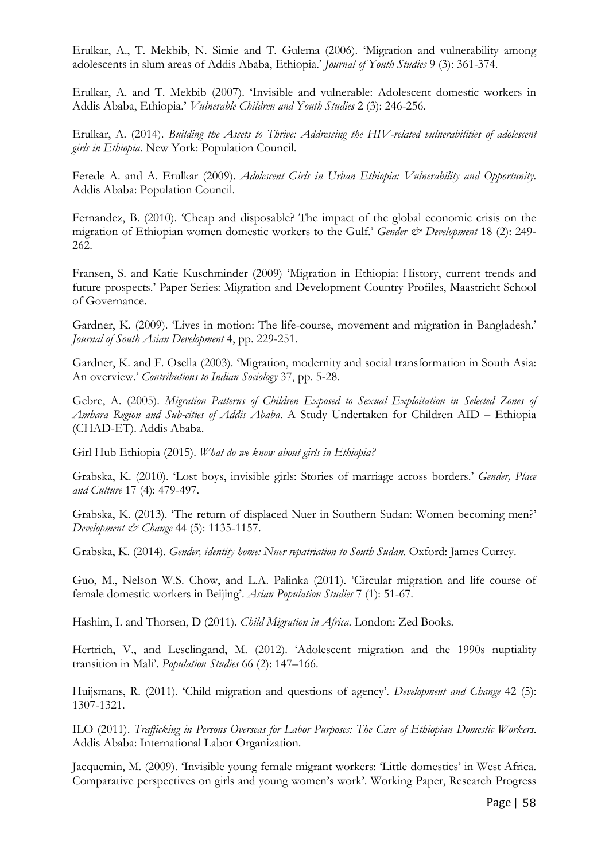Erulkar, A., T. Mekbib, N. Simie and T. Gulema (2006). 'Migration and vulnerability among adolescents in slum areas of Addis Ababa, Ethiopia.' *Journal of Youth Studies* 9 (3): 361-374.

Erulkar, A. and T. Mekbib (2007). 'Invisible and vulnerable: Adolescent domestic workers in Addis Ababa, Ethiopia.' *Vulnerable Children and Youth Studies* 2 (3): 246-256.

Erulkar, A. (2014). *Building the Assets to Thrive: Addressing the HIV-related vulnerabilities of adolescent girls in Ethiopia*. New York: Population Council.

Ferede A. and A. Erulkar (2009). *Adolescent Girls in Urban Ethiopia: Vulnerability and Opportunity*. Addis Ababa: Population Council.

Fernandez, B. (2010). 'Cheap and disposable? The impact of the global economic crisis on the migration of Ethiopian women domestic workers to the Gulf.' *Gender & Development* 18 (2): 249- 262.

Fransen, S. and Katie Kuschminder (2009) 'Migration in Ethiopia: History, current trends and future prospects.' Paper Series: Migration and Development Country Profiles, Maastricht School of Governance.

Gardner, K. (2009). 'Lives in motion: The life-course, movement and migration in Bangladesh.' *Journal of South Asian Development* 4, pp. 229-251.

Gardner, K. and F. Osella (2003). 'Migration, modernity and social transformation in South Asia: An overview.' *Contributions to Indian Sociology* 37, pp. 5-28.

Gebre, A. (2005). *Migration Patterns of Children Exposed to Sexual Exploitation in Selected Zones of Amhara Region and Sub-cities of Addis Ababa*. A Study Undertaken for Children AID – Ethiopia (CHAD-ET). Addis Ababa.

Girl Hub Ethiopia (2015). *What do we know about girls in Ethiopia?*

Grabska, K. (2010). 'Lost boys, invisible girls: Stories of marriage across borders.' *Gender, Place and Culture* 17 (4): 479-497.

Grabska, K. (2013). 'The return of displaced Nuer in Southern Sudan: Women becoming men?' *Development & Change* 44 (5): 1135-1157.

Grabska, K. (2014). *Gender, identity home: Nuer repatriation to South Sudan.* Oxford: James Currey.

Guo, M., Nelson W.S. Chow, and L.A. Palinka (2011). 'Circular migration and life course of female domestic workers in Beijing'. *Asian Population Studies* 7 (1): 51-67.

Hashim, I. and Thorsen, D (2011). *Child Migration in Africa*. London: Zed Books.

Hertrich, V., and Lesclingand, M. (2012). 'Adolescent migration and the 1990s nuptiality transition in Mali'. *Population Studies* 66 (2): 147–166.

Huijsmans, R. (2011). 'Child migration and questions of agency'. *Development and Change* 42 (5): 1307-1321.

ILO (2011). *Trafficking in Persons Overseas for Labor Purposes: The Case of Ethiopian Domestic Workers*. Addis Ababa: International Labor Organization.

Jacquemin, M. (2009). 'Invisible young female migrant workers: 'Little domestics' in West Africa. Comparative perspectives on girls and young women's work'. Working Paper, Research Progress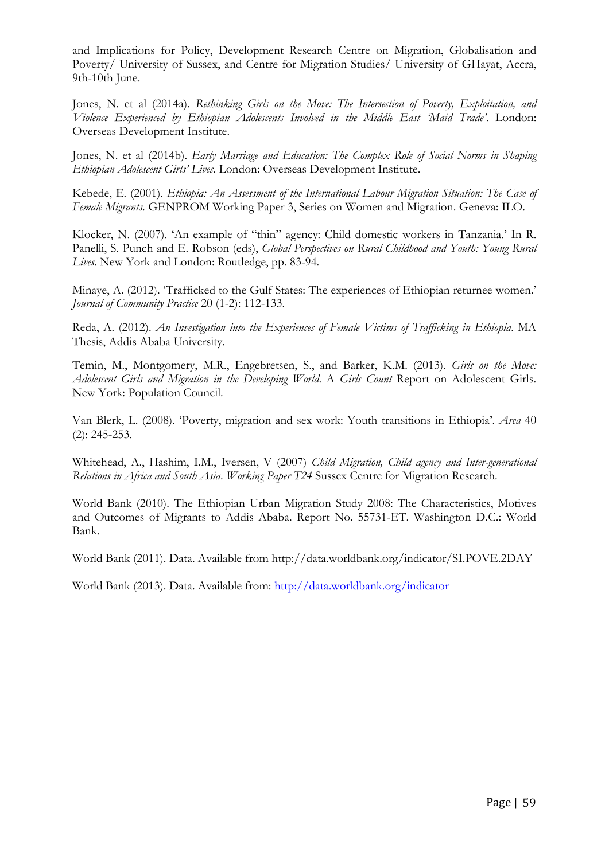and Implications for Policy, Development Research Centre on Migration, Globalisation and Poverty/ University of Sussex, and Centre for Migration Studies/ University of GHayat, Accra, 9th-10th June.

Jones, N. et al (2014a). *Rethinking Girls on the Move: The Intersection of Poverty, Exploitation, and Violence Experienced by Ethiopian Adolescents Involved in the Middle East 'Maid Trade'*. London: Overseas Development Institute.

Jones, N. et al (2014b). *Early Marriage and Education: The Complex Role of Social Norms in Shaping Ethiopian Adolescent Girls' Lives*. London: Overseas Development Institute.

Kebede, E. (2001). *Ethiopia: An Assessment of the International Labour Migration Situation: The Case of Female Migrants*. GENPROM Working Paper 3, Series on Women and Migration. Geneva: ILO.

Klocker, N. (2007). 'An example of "thin" agency: Child domestic workers in Tanzania.' In R. Panelli, S. Punch and E. Robson (eds), *Global Perspectives on Rural Childhood and Youth: Young Rural Lives*. New York and London: Routledge, pp. 83-94.

Minaye, A. (2012). 'Trafficked to the Gulf States: The experiences of Ethiopian returnee women.' *Journal of Community Practice* 20 (1-2): 112-133.

Reda, A. (2012). *An Investigation into the Experiences of Female Victims of Trafficking in Ethiopia*. MA Thesis, Addis Ababa University.

Temin, M., Montgomery, M.R., Engebretsen, S., and Barker, K.M. (2013). *Girls on the Move: Adolescent Girls and Migration in the Developing World*. A *Girls Count* Report on Adolescent Girls. New York: Population Council.

Van Blerk, L. (2008). 'Poverty, migration and sex work: Youth transitions in Ethiopia'. *Area* 40 (2): 245-253.

Whitehead, A., Hashim, I.M., Iversen, V (2007) *Child Migration, Child agency and Inter-generational Relations in Africa and South Asia*. *Working Paper T24* Sussex Centre for Migration Research.

World Bank (2010). The Ethiopian Urban Migration Study 2008: The Characteristics, Motives and Outcomes of Migrants to Addis Ababa. Report No. 55731-ET. Washington D.C.: World Bank.

World Bank (2011). Data. Available from http://data.worldbank.org/indicator/SI.POVE.2DAY

World Bank (2013). Data. Available from:<http://data.worldbank.org/indicator>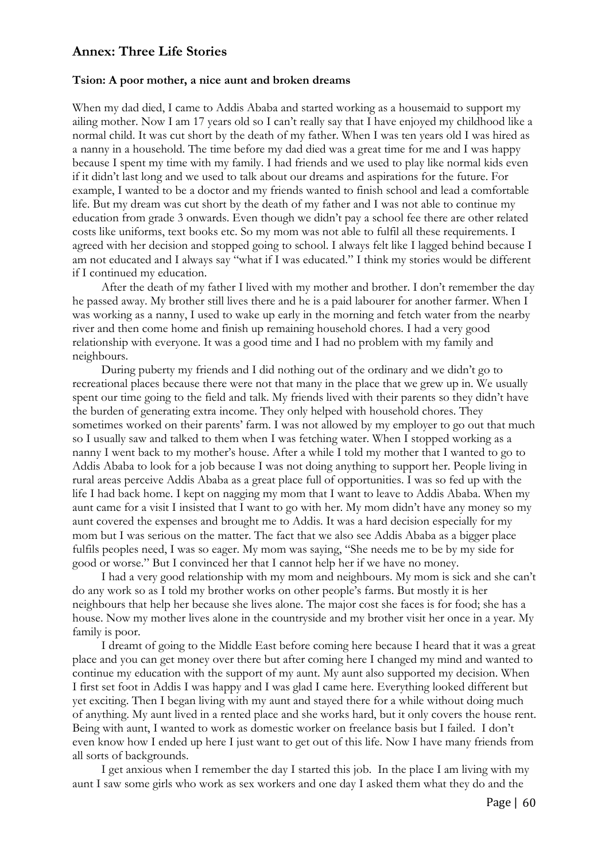## **Annex: Three Life Stories**

#### **Tsion: A poor mother, a nice aunt and broken dreams**

When my dad died, I came to Addis Ababa and started working as a housemaid to support my ailing mother. Now I am 17 years old so I can't really say that I have enjoyed my childhood like a normal child. It was cut short by the death of my father. When I was ten years old I was hired as a nanny in a household. The time before my dad died was a great time for me and I was happy because I spent my time with my family. I had friends and we used to play like normal kids even if it didn't last long and we used to talk about our dreams and aspirations for the future. For example, I wanted to be a doctor and my friends wanted to finish school and lead a comfortable life. But my dream was cut short by the death of my father and I was not able to continue my education from grade 3 onwards. Even though we didn't pay a school fee there are other related costs like uniforms, text books etc. So my mom was not able to fulfil all these requirements. I agreed with her decision and stopped going to school. I always felt like I lagged behind because I am not educated and I always say "what if I was educated." I think my stories would be different if I continued my education.

After the death of my father I lived with my mother and brother. I don't remember the day he passed away. My brother still lives there and he is a paid labourer for another farmer. When I was working as a nanny, I used to wake up early in the morning and fetch water from the nearby river and then come home and finish up remaining household chores. I had a very good relationship with everyone. It was a good time and I had no problem with my family and neighbours.

During puberty my friends and I did nothing out of the ordinary and we didn't go to recreational places because there were not that many in the place that we grew up in. We usually spent our time going to the field and talk. My friends lived with their parents so they didn't have the burden of generating extra income. They only helped with household chores. They sometimes worked on their parents' farm. I was not allowed by my employer to go out that much so I usually saw and talked to them when I was fetching water. When I stopped working as a nanny I went back to my mother's house. After a while I told my mother that I wanted to go to Addis Ababa to look for a job because I was not doing anything to support her. People living in rural areas perceive Addis Ababa as a great place full of opportunities. I was so fed up with the life I had back home. I kept on nagging my mom that I want to leave to Addis Ababa. When my aunt came for a visit I insisted that I want to go with her. My mom didn't have any money so my aunt covered the expenses and brought me to Addis. It was a hard decision especially for my mom but I was serious on the matter. The fact that we also see Addis Ababa as a bigger place fulfils peoples need, I was so eager. My mom was saying, "She needs me to be by my side for good or worse." But I convinced her that I cannot help her if we have no money.

I had a very good relationship with my mom and neighbours. My mom is sick and she can't do any work so as I told my brother works on other people's farms. But mostly it is her neighbours that help her because she lives alone. The major cost she faces is for food; she has a house. Now my mother lives alone in the countryside and my brother visit her once in a year. My family is poor.

I dreamt of going to the Middle East before coming here because I heard that it was a great place and you can get money over there but after coming here I changed my mind and wanted to continue my education with the support of my aunt. My aunt also supported my decision. When I first set foot in Addis I was happy and I was glad I came here. Everything looked different but yet exciting. Then I began living with my aunt and stayed there for a while without doing much of anything. My aunt lived in a rented place and she works hard, but it only covers the house rent. Being with aunt, I wanted to work as domestic worker on freelance basis but I failed. I don't even know how I ended up here I just want to get out of this life. Now I have many friends from all sorts of backgrounds.

I get anxious when I remember the day I started this job. In the place I am living with my aunt I saw some girls who work as sex workers and one day I asked them what they do and the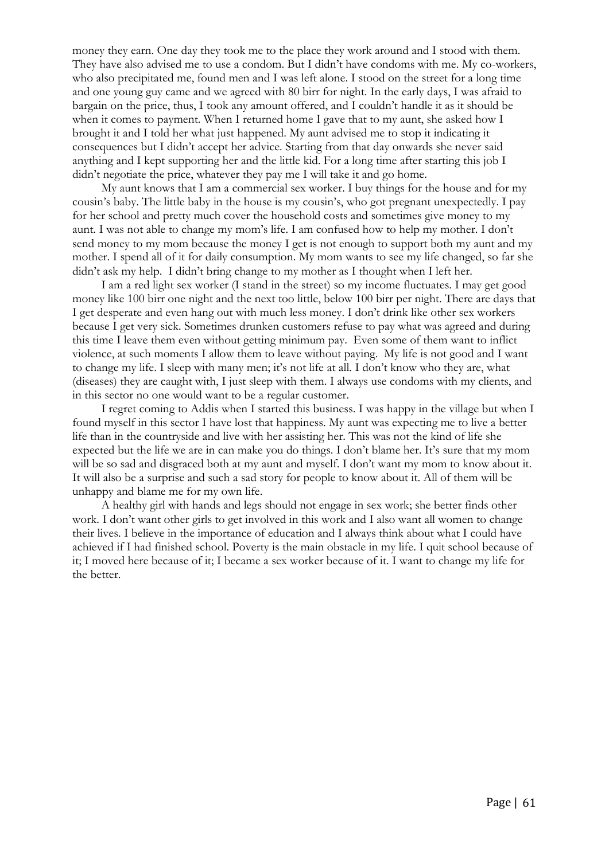money they earn. One day they took me to the place they work around and I stood with them. They have also advised me to use a condom. But I didn't have condoms with me. My co-workers, who also precipitated me, found men and I was left alone. I stood on the street for a long time and one young guy came and we agreed with 80 birr for night. In the early days, I was afraid to bargain on the price, thus, I took any amount offered, and I couldn't handle it as it should be when it comes to payment. When I returned home I gave that to my aunt, she asked how I brought it and I told her what just happened. My aunt advised me to stop it indicating it consequences but I didn't accept her advice. Starting from that day onwards she never said anything and I kept supporting her and the little kid. For a long time after starting this job I didn't negotiate the price, whatever they pay me I will take it and go home.

My aunt knows that I am a commercial sex worker. I buy things for the house and for my cousin's baby. The little baby in the house is my cousin's, who got pregnant unexpectedly. I pay for her school and pretty much cover the household costs and sometimes give money to my aunt. I was not able to change my mom's life. I am confused how to help my mother. I don't send money to my mom because the money I get is not enough to support both my aunt and my mother. I spend all of it for daily consumption. My mom wants to see my life changed, so far she didn't ask my help. I didn't bring change to my mother as I thought when I left her.

I am a red light sex worker (I stand in the street) so my income fluctuates. I may get good money like 100 birr one night and the next too little, below 100 birr per night. There are days that I get desperate and even hang out with much less money. I don't drink like other sex workers because I get very sick. Sometimes drunken customers refuse to pay what was agreed and during this time I leave them even without getting minimum pay. Even some of them want to inflict violence, at such moments I allow them to leave without paying. My life is not good and I want to change my life. I sleep with many men; it's not life at all. I don't know who they are, what (diseases) they are caught with, I just sleep with them. I always use condoms with my clients, and in this sector no one would want to be a regular customer.

I regret coming to Addis when I started this business. I was happy in the village but when I found myself in this sector I have lost that happiness. My aunt was expecting me to live a better life than in the countryside and live with her assisting her. This was not the kind of life she expected but the life we are in can make you do things. I don't blame her. It's sure that my mom will be so sad and disgraced both at my aunt and myself. I don't want my mom to know about it. It will also be a surprise and such a sad story for people to know about it. All of them will be unhappy and blame me for my own life.

A healthy girl with hands and legs should not engage in sex work; she better finds other work. I don't want other girls to get involved in this work and I also want all women to change their lives. I believe in the importance of education and I always think about what I could have achieved if I had finished school. Poverty is the main obstacle in my life. I quit school because of it; I moved here because of it; I became a sex worker because of it. I want to change my life for the better.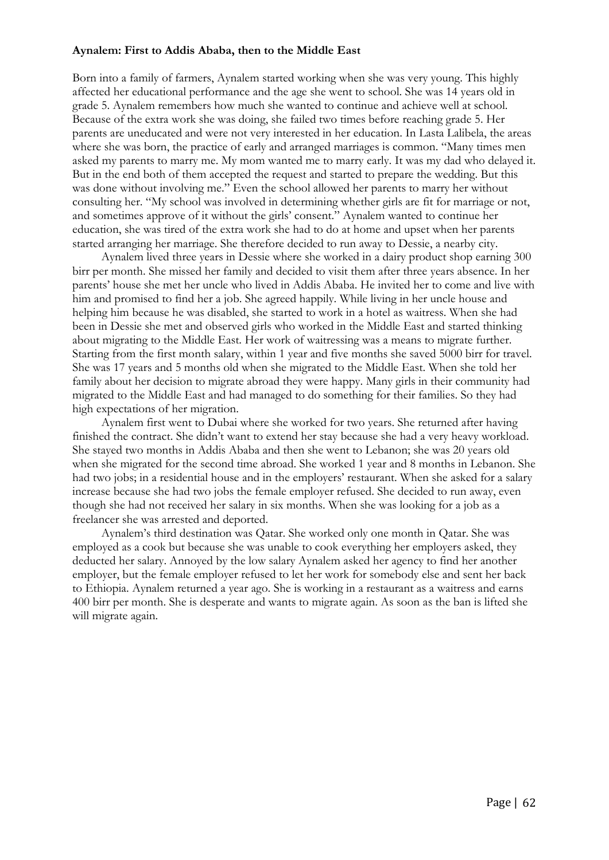#### **Aynalem: First to Addis Ababa, then to the Middle East**

Born into a family of farmers, Aynalem started working when she was very young. This highly affected her educational performance and the age she went to school. She was 14 years old in grade 5. Aynalem remembers how much she wanted to continue and achieve well at school. Because of the extra work she was doing, she failed two times before reaching grade 5. Her parents are uneducated and were not very interested in her education. In Lasta Lalibela, the areas where she was born, the practice of early and arranged marriages is common. "Many times men asked my parents to marry me. My mom wanted me to marry early. It was my dad who delayed it. But in the end both of them accepted the request and started to prepare the wedding. But this was done without involving me." Even the school allowed her parents to marry her without consulting her. "My school was involved in determining whether girls are fit for marriage or not, and sometimes approve of it without the girls' consent." Aynalem wanted to continue her education, she was tired of the extra work she had to do at home and upset when her parents started arranging her marriage. She therefore decided to run away to Dessie, a nearby city.

Aynalem lived three years in Dessie where she worked in a dairy product shop earning 300 birr per month. She missed her family and decided to visit them after three years absence. In her parents' house she met her uncle who lived in Addis Ababa. He invited her to come and live with him and promised to find her a job. She agreed happily. While living in her uncle house and helping him because he was disabled, she started to work in a hotel as waitress. When she had been in Dessie she met and observed girls who worked in the Middle East and started thinking about migrating to the Middle East. Her work of waitressing was a means to migrate further. Starting from the first month salary, within 1 year and five months she saved 5000 birr for travel. She was 17 years and 5 months old when she migrated to the Middle East. When she told her family about her decision to migrate abroad they were happy. Many girls in their community had migrated to the Middle East and had managed to do something for their families. So they had high expectations of her migration.

Aynalem first went to Dubai where she worked for two years. She returned after having finished the contract. She didn't want to extend her stay because she had a very heavy workload. She stayed two months in Addis Ababa and then she went to Lebanon; she was 20 years old when she migrated for the second time abroad. She worked 1 year and 8 months in Lebanon. She had two jobs; in a residential house and in the employers' restaurant. When she asked for a salary increase because she had two jobs the female employer refused. She decided to run away, even though she had not received her salary in six months. When she was looking for a job as a freelancer she was arrested and deported.

Aynalem's third destination was Qatar. She worked only one month in Qatar. She was employed as a cook but because she was unable to cook everything her employers asked, they deducted her salary. Annoyed by the low salary Aynalem asked her agency to find her another employer, but the female employer refused to let her work for somebody else and sent her back to Ethiopia. Aynalem returned a year ago. She is working in a restaurant as a waitress and earns 400 birr per month. She is desperate and wants to migrate again. As soon as the ban is lifted she will migrate again.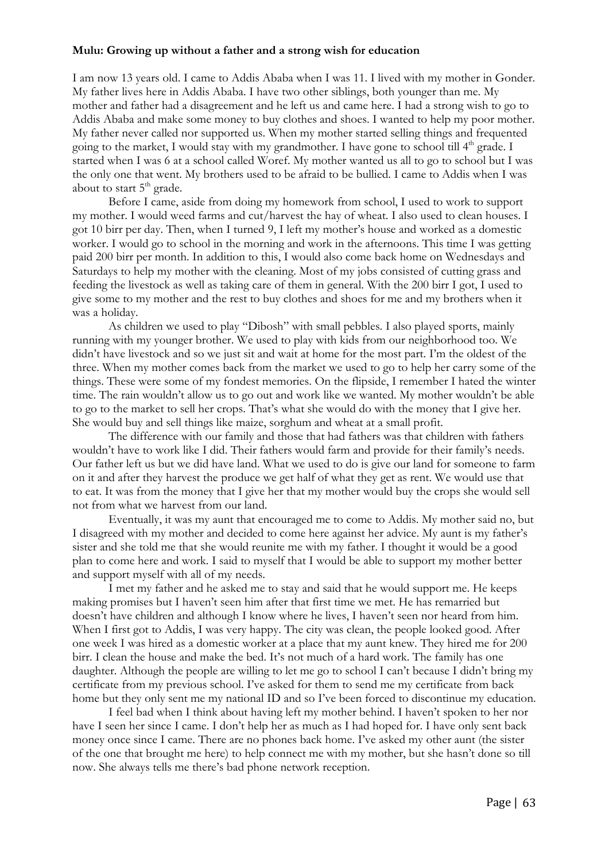#### **Mulu: Growing up without a father and a strong wish for education**

I am now 13 years old. I came to Addis Ababa when I was 11. I lived with my mother in Gonder. My father lives here in Addis Ababa. I have two other siblings, both younger than me. My mother and father had a disagreement and he left us and came here. I had a strong wish to go to Addis Ababa and make some money to buy clothes and shoes. I wanted to help my poor mother. My father never called nor supported us. When my mother started selling things and frequented going to the market, I would stay with my grandmother. I have gone to school till  $4<sup>th</sup>$  grade. I started when I was 6 at a school called Woref. My mother wanted us all to go to school but I was the only one that went. My brothers used to be afraid to be bullied. I came to Addis when I was about to start  $5<sup>th</sup>$  grade.

Before I came, aside from doing my homework from school, I used to work to support my mother. I would weed farms and cut/harvest the hay of wheat. I also used to clean houses. I got 10 birr per day. Then, when I turned 9, I left my mother's house and worked as a domestic worker. I would go to school in the morning and work in the afternoons. This time I was getting paid 200 birr per month. In addition to this, I would also come back home on Wednesdays and Saturdays to help my mother with the cleaning. Most of my jobs consisted of cutting grass and feeding the livestock as well as taking care of them in general. With the 200 birr I got, I used to give some to my mother and the rest to buy clothes and shoes for me and my brothers when it was a holiday.

As children we used to play "Dibosh" with small pebbles. I also played sports, mainly running with my younger brother. We used to play with kids from our neighborhood too. We didn't have livestock and so we just sit and wait at home for the most part. I'm the oldest of the three. When my mother comes back from the market we used to go to help her carry some of the things. These were some of my fondest memories. On the flipside, I remember I hated the winter time. The rain wouldn't allow us to go out and work like we wanted. My mother wouldn't be able to go to the market to sell her crops. That's what she would do with the money that I give her. She would buy and sell things like maize, sorghum and wheat at a small profit.

The difference with our family and those that had fathers was that children with fathers wouldn't have to work like I did. Their fathers would farm and provide for their family's needs. Our father left us but we did have land. What we used to do is give our land for someone to farm on it and after they harvest the produce we get half of what they get as rent. We would use that to eat. It was from the money that I give her that my mother would buy the crops she would sell not from what we harvest from our land.

Eventually, it was my aunt that encouraged me to come to Addis. My mother said no, but I disagreed with my mother and decided to come here against her advice. My aunt is my father's sister and she told me that she would reunite me with my father. I thought it would be a good plan to come here and work. I said to myself that I would be able to support my mother better and support myself with all of my needs.

I met my father and he asked me to stay and said that he would support me. He keeps making promises but I haven't seen him after that first time we met. He has remarried but doesn't have children and although I know where he lives, I haven't seen nor heard from him. When I first got to Addis, I was very happy. The city was clean, the people looked good. After one week I was hired as a domestic worker at a place that my aunt knew. They hired me for 200 birr. I clean the house and make the bed. It's not much of a hard work. The family has one daughter. Although the people are willing to let me go to school I can't because I didn't bring my certificate from my previous school. I've asked for them to send me my certificate from back home but they only sent me my national ID and so I've been forced to discontinue my education.

I feel bad when I think about having left my mother behind. I haven't spoken to her nor have I seen her since I came. I don't help her as much as I had hoped for. I have only sent back money once since I came. There are no phones back home. I've asked my other aunt (the sister of the one that brought me here) to help connect me with my mother, but she hasn't done so till now. She always tells me there's bad phone network reception.